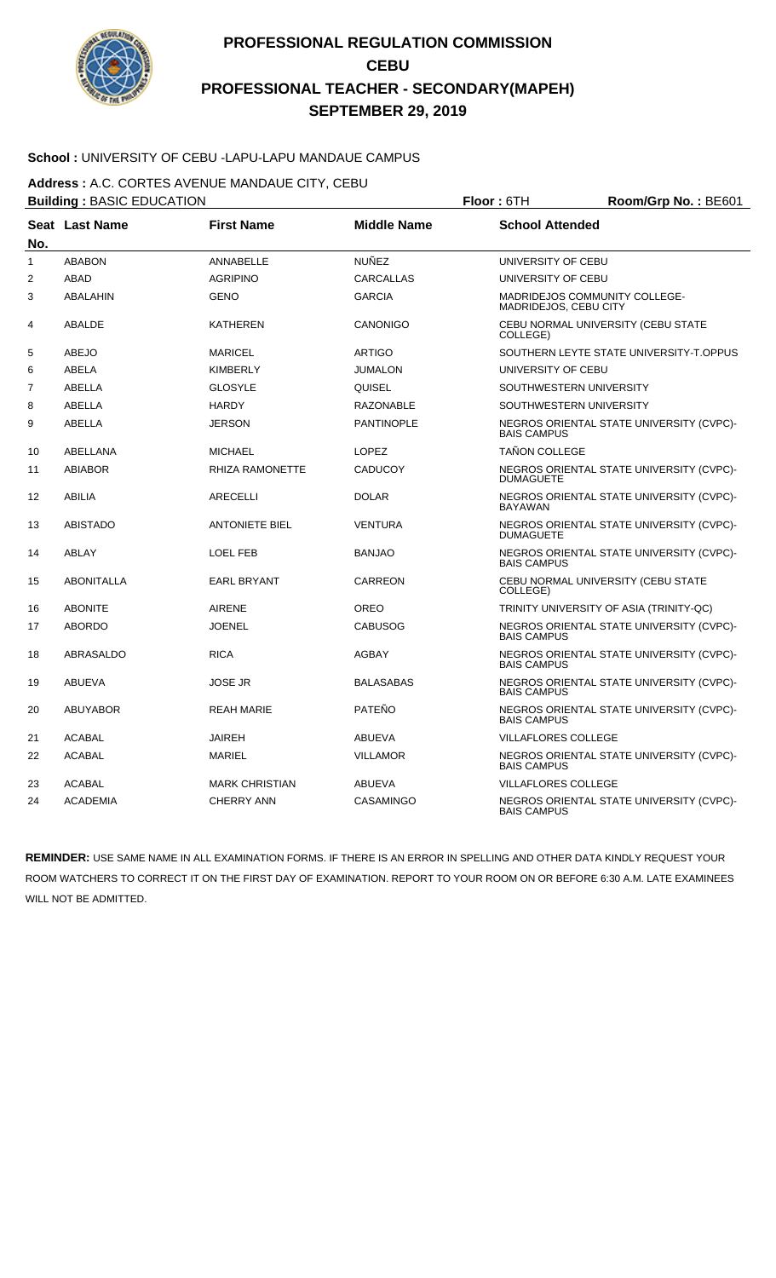

### **School :** UNIVERSITY OF CEBU -LAPU-LAPU MANDAUE CAMPUS

**Address :** A.C. CORTES AVENUE MANDAUE CITY, CEBU

|              | <b>Building: BASIC EDUCATION</b> |                        |                    | Floor: 6TH<br>Room/Grp No.: BE601                              |  |  |
|--------------|----------------------------------|------------------------|--------------------|----------------------------------------------------------------|--|--|
| No.          | Seat Last Name                   | <b>First Name</b>      | <b>Middle Name</b> | <b>School Attended</b>                                         |  |  |
| $\mathbf{1}$ | <b>ABABON</b>                    | ANNABELLE              | <b>NUÑEZ</b>       | UNIVERSITY OF CEBU                                             |  |  |
| 2            | <b>ABAD</b>                      | <b>AGRIPINO</b>        | <b>CARCALLAS</b>   | UNIVERSITY OF CEBU                                             |  |  |
| 3            | ABALAHIN                         | <b>GENO</b>            | <b>GARCIA</b>      | MADRIDEJOS COMMUNITY COLLEGE-<br>MADRIDEJOS, CEBU CITY         |  |  |
| 4            | ABALDE                           | <b>KATHEREN</b>        | CANONIGO           | CEBU NORMAL UNIVERSITY (CEBU STATE<br>COLLEGE)                 |  |  |
| 5            | <b>ABEJO</b>                     | <b>MARICEL</b>         | <b>ARTIGO</b>      | SOUTHERN LEYTE STATE UNIVERSITY-T.OPPUS                        |  |  |
| 6            | <b>ABELA</b>                     | <b>KIMBERLY</b>        | <b>JUMALON</b>     | UNIVERSITY OF CEBU                                             |  |  |
| 7            | ABELLA                           | <b>GLOSYLE</b>         | QUISEL             | SOUTHWESTERN UNIVERSITY                                        |  |  |
| 8            | ABELLA                           | <b>HARDY</b>           | <b>RAZONABLE</b>   | SOUTHWESTERN UNIVERSITY                                        |  |  |
| 9            | <b>ABELLA</b>                    | <b>JERSON</b>          | <b>PANTINOPLE</b>  | NEGROS ORIENTAL STATE UNIVERSITY (CVPC)-<br><b>BAIS CAMPUS</b> |  |  |
| 10           | ABELLANA                         | <b>MICHAEL</b>         | <b>LOPEZ</b>       | <b>TAÑON COLLEGE</b>                                           |  |  |
| 11           | <b>ABIABOR</b>                   | <b>RHIZA RAMONETTE</b> | <b>CADUCOY</b>     | NEGROS ORIENTAL STATE UNIVERSITY (CVPC)-<br><b>DUMAGUETE</b>   |  |  |
| 12           | <b>ABILIA</b>                    | <b>ARECELLI</b>        | <b>DOLAR</b>       | NEGROS ORIENTAL STATE UNIVERSITY (CVPC)-<br><b>BAYAWAN</b>     |  |  |
| 13           | <b>ABISTADO</b>                  | <b>ANTONIETE BIEL</b>  | <b>VENTURA</b>     | NEGROS ORIENTAL STATE UNIVERSITY (CVPC)-<br><b>DUMAGUETE</b>   |  |  |
| 14           | <b>ABLAY</b>                     | <b>LOEL FEB</b>        | <b>BANJAO</b>      | NEGROS ORIENTAL STATE UNIVERSITY (CVPC)-<br><b>BAIS CAMPUS</b> |  |  |
| 15           | <b>ABONITALLA</b>                | <b>EARL BRYANT</b>     | <b>CARREON</b>     | CEBU NORMAL UNIVERSITY (CEBU STATE<br>COLLEGE)                 |  |  |
| 16           | <b>ABONITE</b>                   | <b>AIRENE</b>          | <b>OREO</b>        | TRINITY UNIVERSITY OF ASIA (TRINITY-QC)                        |  |  |
| 17           | <b>ABORDO</b>                    | <b>JOENEL</b>          | <b>CABUSOG</b>     | NEGROS ORIENTAL STATE UNIVERSITY (CVPC)-<br><b>BAIS CAMPUS</b> |  |  |
| 18           | ABRASALDO                        | <b>RICA</b>            | <b>AGBAY</b>       | NEGROS ORIENTAL STATE UNIVERSITY (CVPC)-<br><b>BAIS CAMPUS</b> |  |  |
| 19           | <b>ABUEVA</b>                    | <b>JOSE JR</b>         | <b>BALASABAS</b>   | NEGROS ORIENTAL STATE UNIVERSITY (CVPC)-<br><b>BAIS CAMPUS</b> |  |  |
| 20           | <b>ABUYABOR</b>                  | <b>REAH MARIE</b>      | PATEÑO             | NEGROS ORIENTAL STATE UNIVERSITY (CVPC)-<br><b>BAIS CAMPUS</b> |  |  |
| 21           | <b>ACABAL</b>                    | <b>JAIREH</b>          | <b>ABUEVA</b>      | <b>VILLAFLORES COLLEGE</b>                                     |  |  |
| 22           | <b>ACABAL</b>                    | <b>MARIEL</b>          | <b>VILLAMOR</b>    | NEGROS ORIENTAL STATE UNIVERSITY (CVPC)-<br><b>BAIS CAMPUS</b> |  |  |
| 23           | <b>ACABAL</b>                    | <b>MARK CHRISTIAN</b>  | ABUEVA             | <b>VILLAFLORES COLLEGE</b>                                     |  |  |
| 24           | <b>ACADEMIA</b>                  | <b>CHERRY ANN</b>      | <b>CASAMINGO</b>   | NEGROS ORIENTAL STATE UNIVERSITY (CVPC)-<br><b>BAIS CAMPUS</b> |  |  |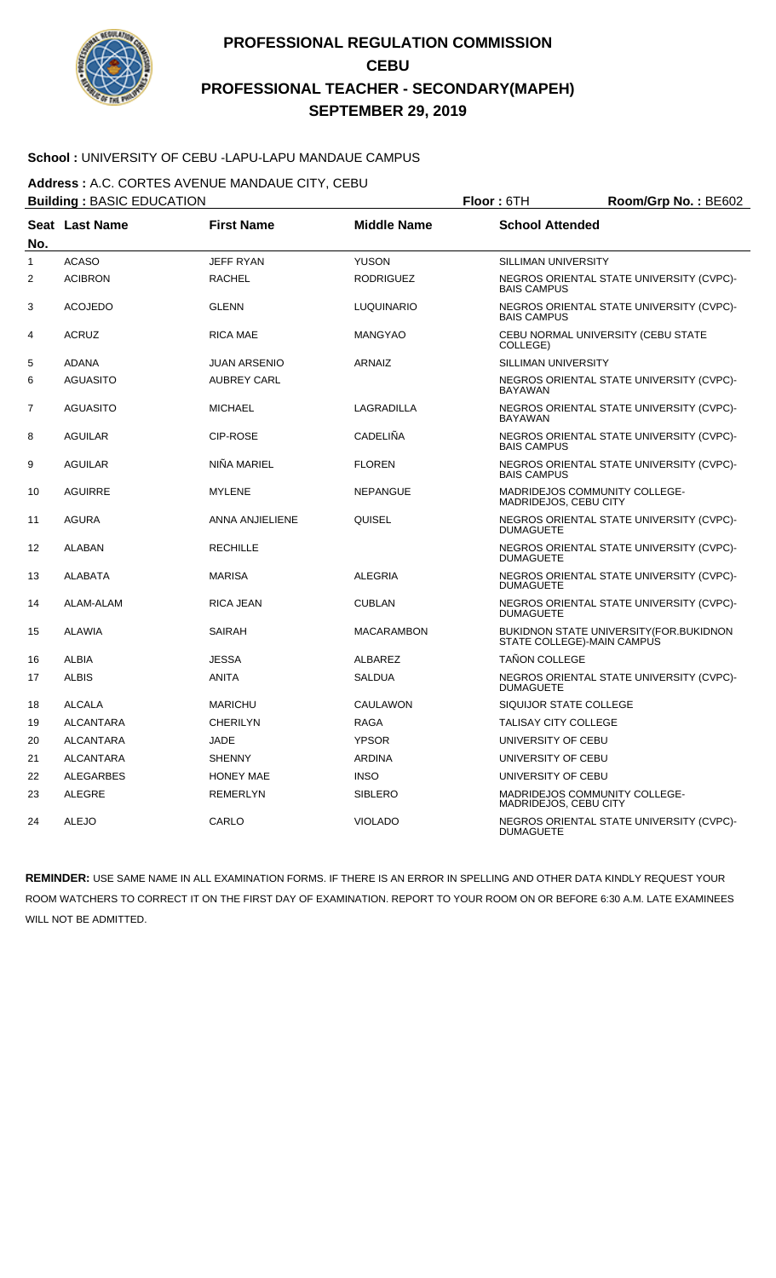

### **School :** UNIVERSITY OF CEBU -LAPU-LAPU MANDAUE CAMPUS

**Address :** A.C. CORTES AVENUE MANDAUE CITY, CEBU

|                | <b>Building: BASIC EDUCATION</b> |                        |                    | Room/Grp No.: BE602<br>Floor: 6TH                             |                                          |
|----------------|----------------------------------|------------------------|--------------------|---------------------------------------------------------------|------------------------------------------|
| No.            | Seat Last Name                   | <b>First Name</b>      | <b>Middle Name</b> | <b>School Attended</b>                                        |                                          |
| $\mathbf{1}$   | <b>ACASO</b>                     | <b>JEFF RYAN</b>       | <b>YUSON</b>       | <b>SILLIMAN UNIVERSITY</b>                                    |                                          |
| 2              | <b>ACIBRON</b>                   | <b>RACHEL</b>          | <b>RODRIGUEZ</b>   | <b>BAIS CAMPUS</b>                                            | NEGROS ORIENTAL STATE UNIVERSITY (CVPC)- |
| 3              | <b>ACOJEDO</b>                   | <b>GLENN</b>           | <b>LUQUINARIO</b>  | <b>BAIS CAMPUS</b>                                            | NEGROS ORIENTAL STATE UNIVERSITY (CVPC)- |
| 4              | <b>ACRUZ</b>                     | <b>RICA MAE</b>        | <b>MANGYAO</b>     | CEBU NORMAL UNIVERSITY (CEBU STATE<br>COLLEGE)                |                                          |
| 5              | <b>ADANA</b>                     | <b>JUAN ARSENIO</b>    | <b>ARNAIZ</b>      | <b>SILLIMAN UNIVERSITY</b>                                    |                                          |
| 6              | <b>AGUASITO</b>                  | <b>AUBREY CARL</b>     |                    | <b>BAYAWAN</b>                                                | NEGROS ORIENTAL STATE UNIVERSITY (CVPC)- |
| $\overline{7}$ | <b>AGUASITO</b>                  | <b>MICHAEL</b>         | LAGRADILLA         | <b>BAYAWAN</b>                                                | NEGROS ORIENTAL STATE UNIVERSITY (CVPC)- |
| 8              | <b>AGUILAR</b>                   | <b>CIP-ROSE</b>        | CADELIÑA           | <b>BAIS CAMPUS</b>                                            | NEGROS ORIENTAL STATE UNIVERSITY (CVPC)- |
| 9              | <b>AGUILAR</b>                   | NIÑA MARIEL            | <b>FLOREN</b>      | <b>BAIS CAMPUS</b>                                            | NEGROS ORIENTAL STATE UNIVERSITY (CVPC)- |
| 10             | <b>AGUIRRE</b>                   | <b>MYLENE</b>          | <b>NEPANGUE</b>    | <b>MADRIDEJOS COMMUNITY COLLEGE-</b><br>MADRIDEJOS, CEBU CITY |                                          |
| 11             | <b>AGURA</b>                     | <b>ANNA ANJIELIENE</b> | QUISEL             | <b>DUMAGUETE</b>                                              | NEGROS ORIENTAL STATE UNIVERSITY (CVPC)- |
| 12             | <b>ALABAN</b>                    | <b>RECHILLE</b>        |                    | <b>DUMAGUETE</b>                                              | NEGROS ORIENTAL STATE UNIVERSITY (CVPC)- |
| 13             | <b>ALABATA</b>                   | <b>MARISA</b>          | <b>ALEGRIA</b>     | <b>DUMAGUETE</b>                                              | NEGROS ORIENTAL STATE UNIVERSITY (CVPC)- |
| 14             | ALAM-ALAM                        | <b>RICA JEAN</b>       | <b>CUBLAN</b>      | <b>DUMAGUETE</b>                                              | NEGROS ORIENTAL STATE UNIVERSITY (CVPC)- |
| 15             | <b>ALAWIA</b>                    | <b>SAIRAH</b>          | <b>MACARAMBON</b>  | STATE COLLEGE)-MAIN CAMPUS                                    | BUKIDNON STATE UNIVERSITY (FOR. BUKIDNON |
| 16             | ALBIA                            | <b>JESSA</b>           | ALBAREZ            | <b>TAÑON COLLEGE</b>                                          |                                          |
| 17             | <b>ALBIS</b>                     | ANITA                  | <b>SALDUA</b>      | <b>DUMAGUETE</b>                                              | NEGROS ORIENTAL STATE UNIVERSITY (CVPC)- |
| 18             | <b>ALCALA</b>                    | <b>MARICHU</b>         | CAULAWON           | SIQUIJOR STATE COLLEGE                                        |                                          |
| 19             | <b>ALCANTARA</b>                 | <b>CHERILYN</b>        | <b>RAGA</b>        | <b>TALISAY CITY COLLEGE</b>                                   |                                          |
| 20             | <b>ALCANTARA</b>                 | <b>JADE</b>            | <b>YPSOR</b>       | UNIVERSITY OF CEBU                                            |                                          |
| 21             | <b>ALCANTARA</b>                 | <b>SHENNY</b>          | <b>ARDINA</b>      | UNIVERSITY OF CEBU                                            |                                          |
| 22             | ALEGARBES                        | <b>HONEY MAE</b>       | <b>INSO</b>        | UNIVERSITY OF CEBU                                            |                                          |
| 23             | <b>ALEGRE</b>                    | <b>REMERLYN</b>        | <b>SIBLERO</b>     | MADRIDEJOS COMMUNITY COLLEGE-<br>MADRIDEJOS, CEBU CITY        |                                          |
| 24             | <b>ALEJO</b>                     | CARLO                  | <b>VIOLADO</b>     | <b>DUMAGUETE</b>                                              | NEGROS ORIENTAL STATE UNIVERSITY (CVPC)- |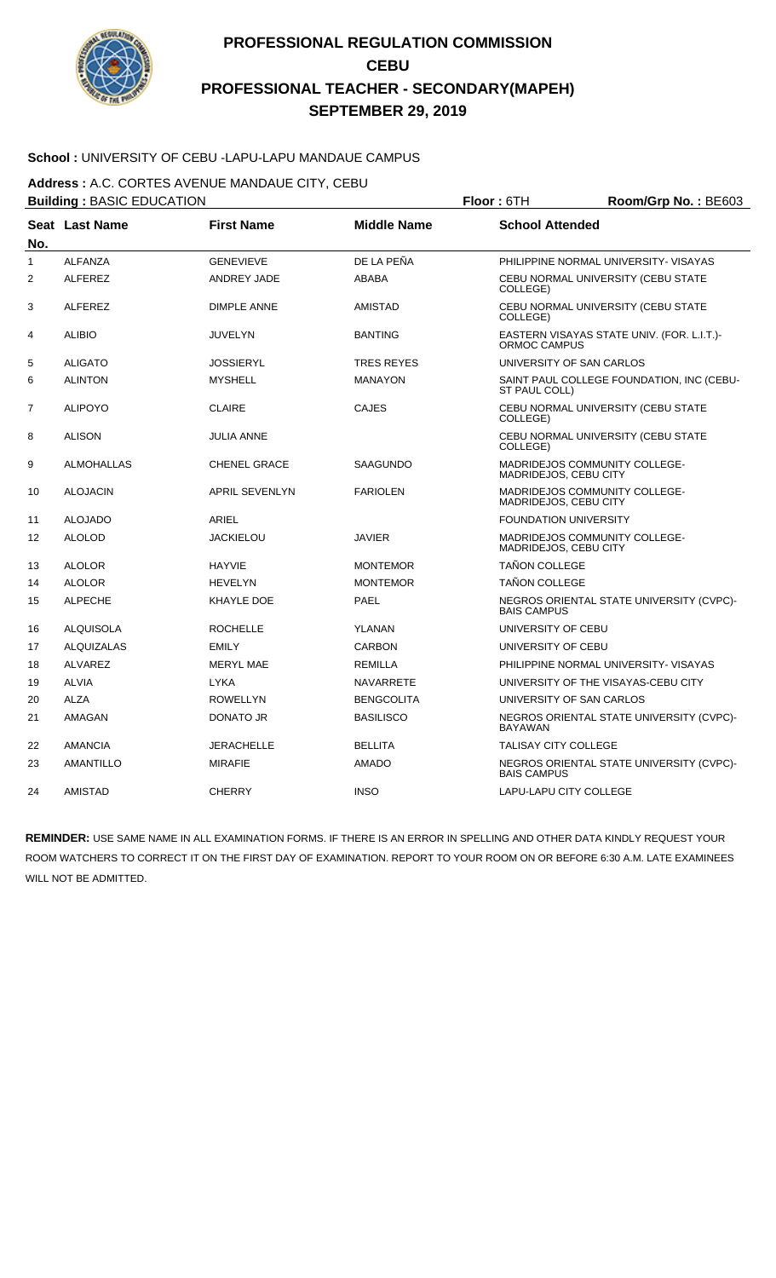

### **School :** UNIVERSITY OF CEBU -LAPU-LAPU MANDAUE CAMPUS

**Address :** A.C. CORTES AVENUE MANDAUE CITY, CEBU

|                | <b>Building: BASIC EDUCATION</b> |                       |                    | Floor: 6TH<br>Room/Grp No.: BE603                      |                                            |
|----------------|----------------------------------|-----------------------|--------------------|--------------------------------------------------------|--------------------------------------------|
| No.            | Seat Last Name                   | <b>First Name</b>     | <b>Middle Name</b> | <b>School Attended</b>                                 |                                            |
| $\mathbf{1}$   | <b>ALFANZA</b>                   | <b>GENEVIEVE</b>      | DE LA PEÑA         |                                                        | PHILIPPINE NORMAL UNIVERSITY- VISAYAS      |
| $\overline{2}$ | <b>ALFEREZ</b>                   | ANDREY JADE           | <b>ABABA</b>       | COLLEGE)                                               | CEBU NORMAL UNIVERSITY (CEBU STATE         |
| 3              | <b>ALFEREZ</b>                   | <b>DIMPLE ANNE</b>    | <b>AMISTAD</b>     | COLLEGE)                                               | CEBU NORMAL UNIVERSITY (CEBU STATE         |
| 4              | <b>ALIBIO</b>                    | <b>JUVELYN</b>        | <b>BANTING</b>     | ORMOC CAMPUS                                           | EASTERN VISAYAS STATE UNIV. (FOR. L.I.T.)- |
| 5              | <b>ALIGATO</b>                   | <b>JOSSIERYL</b>      | <b>TRES REYES</b>  | UNIVERSITY OF SAN CARLOS                               |                                            |
| 6              | <b>ALINTON</b>                   | <b>MYSHELL</b>        | <b>MANAYON</b>     | ST PAUL COLL)                                          | SAINT PAUL COLLEGE FOUNDATION, INC (CEBU-  |
| $\overline{7}$ | <b>ALIPOYO</b>                   | <b>CLAIRE</b>         | <b>CAJES</b>       | COLLEGE)                                               | CEBU NORMAL UNIVERSITY (CEBU STATE         |
| 8              | <b>ALISON</b>                    | <b>JULIA ANNE</b>     |                    | COLLEGE)                                               | CEBU NORMAL UNIVERSITY (CEBU STATE         |
| 9              | ALMOHALLAS                       | <b>CHENEL GRACE</b>   | SAAGUNDO           | MADRIDEJOS COMMUNITY COLLEGE-<br>MADRIDEJOS, CEBU CITY |                                            |
| 10             | <b>ALOJACIN</b>                  | <b>APRIL SEVENLYN</b> | <b>FARIOLEN</b>    | MADRIDEJOS COMMUNITY COLLEGE-<br>MADRIDEJOS, CEBU CITY |                                            |
| 11             | <b>ALOJADO</b>                   | ARIEL                 |                    | <b>FOUNDATION UNIVERSITY</b>                           |                                            |
| 12             | <b>ALOLOD</b>                    | JACKIELOU             | <b>JAVIER</b>      | MADRIDEJOS COMMUNITY COLLEGE-<br>MADRIDEJOS, CEBU CITY |                                            |
| 13             | <b>ALOLOR</b>                    | <b>HAYVIE</b>         | <b>MONTEMOR</b>    | TAÑON COLLEGE                                          |                                            |
| 14             | <b>ALOLOR</b>                    | <b>HEVELYN</b>        | <b>MONTEMOR</b>    | TAÑON COLLEGE                                          |                                            |
| 15             | <b>ALPECHE</b>                   | KHAYLE DOE            | <b>PAEL</b>        | <b>BAIS CAMPUS</b>                                     | NEGROS ORIENTAL STATE UNIVERSITY (CVPC)-   |
| 16             | <b>ALQUISOLA</b>                 | <b>ROCHELLE</b>       | <b>YLANAN</b>      | UNIVERSITY OF CEBU                                     |                                            |
| 17             | <b>ALQUIZALAS</b>                | <b>EMILY</b>          | <b>CARBON</b>      | UNIVERSITY OF CEBU                                     |                                            |
| 18             | <b>ALVAREZ</b>                   | <b>MERYL MAE</b>      | <b>REMILLA</b>     |                                                        | PHILIPPINE NORMAL UNIVERSITY- VISAYAS      |
| 19             | ALVIA                            | <b>LYKA</b>           | <b>NAVARRETE</b>   |                                                        | UNIVERSITY OF THE VISAYAS-CEBU CITY        |
| 20             | <b>ALZA</b>                      | <b>ROWELLYN</b>       | <b>BENGCOLITA</b>  | UNIVERSITY OF SAN CARLOS                               |                                            |
| 21             | <b>AMAGAN</b>                    | <b>DONATO JR</b>      | <b>BASILISCO</b>   | <b>BAYAWAN</b>                                         | NEGROS ORIENTAL STATE UNIVERSITY (CVPC)-   |
| 22             | <b>AMANCIA</b>                   | <b>JERACHELLE</b>     | <b>BELLITA</b>     | <b>TALISAY CITY COLLEGE</b>                            |                                            |
| 23             | <b>AMANTILLO</b>                 | <b>MIRAFIE</b>        | <b>AMADO</b>       | <b>BAIS CAMPUS</b>                                     | NEGROS ORIENTAL STATE UNIVERSITY (CVPC)-   |
| 24             | <b>AMISTAD</b>                   | <b>CHERRY</b>         | <b>INSO</b>        | LAPU-LAPU CITY COLLEGE                                 |                                            |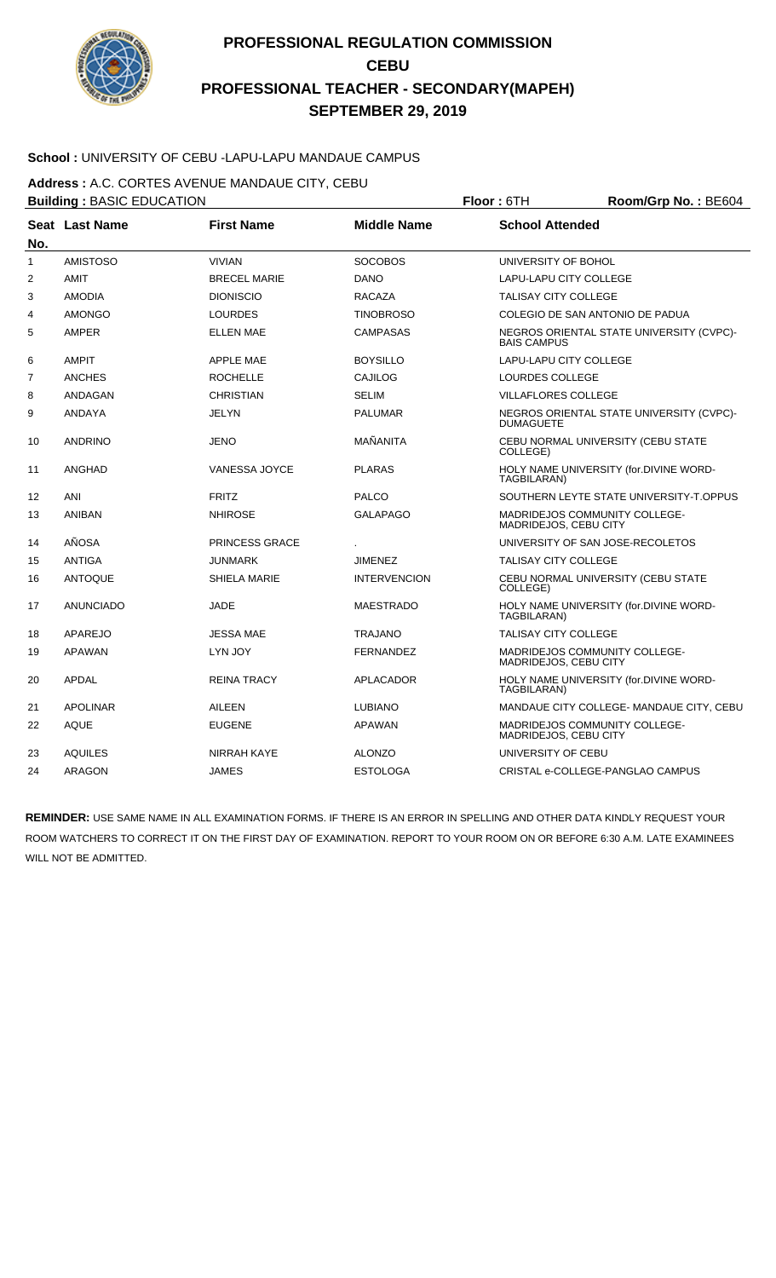

### **School :** UNIVERSITY OF CEBU -LAPU-LAPU MANDAUE CAMPUS

**Address :** A.C. CORTES AVENUE MANDAUE CITY, CEBU

|                | <b>Building: BASIC EDUCATION</b> |                       |                     | Floor: 6TH<br>Room/Grp No.: BE604 |                                          |  |
|----------------|----------------------------------|-----------------------|---------------------|-----------------------------------|------------------------------------------|--|
|                | Seat Last Name                   | <b>First Name</b>     | <b>Middle Name</b>  | <b>School Attended</b>            |                                          |  |
| No.            |                                  |                       |                     |                                   |                                          |  |
| $\mathbf{1}$   | <b>AMISTOSO</b>                  | <b>VIVIAN</b>         | <b>SOCOBOS</b>      | UNIVERSITY OF BOHOL               |                                          |  |
| 2              | <b>AMIT</b>                      | <b>BRECEL MARIE</b>   | <b>DANO</b>         | LAPU-LAPU CITY COLLEGE            |                                          |  |
| 3              | <b>AMODIA</b>                    | <b>DIONISCIO</b>      | <b>RACAZA</b>       | <b>TALISAY CITY COLLEGE</b>       |                                          |  |
| 4              | <b>AMONGO</b>                    | <b>LOURDES</b>        | <b>TINOBROSO</b>    |                                   | COLEGIO DE SAN ANTONIO DE PADUA          |  |
| 5              | AMPER                            | <b>ELLEN MAE</b>      | <b>CAMPASAS</b>     | <b>BAIS CAMPUS</b>                | NEGROS ORIENTAL STATE UNIVERSITY (CVPC)- |  |
| 6              | <b>AMPIT</b>                     | <b>APPLE MAE</b>      | <b>BOYSILLO</b>     | <b>LAPU-LAPU CITY COLLEGE</b>     |                                          |  |
| $\overline{7}$ | <b>ANCHES</b>                    | <b>ROCHELLE</b>       | CAJILOG             | LOURDES COLLEGE                   |                                          |  |
| 8              | ANDAGAN                          | <b>CHRISTIAN</b>      | <b>SELIM</b>        | <b>VILLAFLORES COLLEGE</b>        |                                          |  |
| 9              | ANDAYA                           | <b>JELYN</b>          | <b>PALUMAR</b>      | <b>DUMAGUETE</b>                  | NEGROS ORIENTAL STATE UNIVERSITY (CVPC)- |  |
| 10             | <b>ANDRINO</b>                   | <b>JENO</b>           | MAÑANITA            | COLLEGE)                          | CEBU NORMAL UNIVERSITY (CEBU STATE       |  |
| 11             | <b>ANGHAD</b>                    | <b>VANESSA JOYCE</b>  | <b>PLARAS</b>       | TAGBILARAN)                       | HOLY NAME UNIVERSITY (for.DIVINE WORD-   |  |
| 12             | <b>ANI</b>                       | <b>FRITZ</b>          | <b>PALCO</b>        |                                   | SOUTHERN LEYTE STATE UNIVERSITY-T.OPPUS  |  |
| 13             | <b>ANIBAN</b>                    | <b>NHIROSE</b>        | <b>GALAPAGO</b>     | MADRIDEJOS, CEBU CITY             | MADRIDEJOS COMMUNITY COLLEGE-            |  |
| 14             | AÑOSA                            | <b>PRINCESS GRACE</b> |                     |                                   | UNIVERSITY OF SAN JOSE-RECOLETOS         |  |
| 15             | <b>ANTIGA</b>                    | <b>JUNMARK</b>        | <b>JIMENEZ</b>      | <b>TALISAY CITY COLLEGE</b>       |                                          |  |
| 16             | <b>ANTOQUE</b>                   | <b>SHIELA MARIE</b>   | <b>INTERVENCION</b> | COLLEGE)                          | CEBU NORMAL UNIVERSITY (CEBU STATE       |  |
| 17             | <b>ANUNCIADO</b>                 | <b>JADE</b>           | <b>MAESTRADO</b>    | TAGBILARAN)                       | HOLY NAME UNIVERSITY (for.DIVINE WORD-   |  |
| 18             | APAREJO                          | <b>JESSA MAE</b>      | <b>TRAJANO</b>      | <b>TALISAY CITY COLLEGE</b>       |                                          |  |
| 19             | <b>APAWAN</b>                    | LYN JOY               | <b>FERNANDEZ</b>    | MADRIDEJOS, CEBU CITY             | MADRIDEJOS COMMUNITY COLLEGE-            |  |
| 20             | <b>APDAL</b>                     | <b>REINA TRACY</b>    | APLACADOR           | TAGBILARAN)                       | HOLY NAME UNIVERSITY (for.DIVINE WORD-   |  |
| 21             | <b>APOLINAR</b>                  | <b>AILEEN</b>         | <b>LUBIANO</b>      |                                   | MANDAUE CITY COLLEGE- MANDAUE CITY, CEBU |  |
| 22             | <b>AQUE</b>                      | <b>EUGENE</b>         | <b>APAWAN</b>       | MADRIDEJOS, CEBU CITY             | MADRIDEJOS COMMUNITY COLLEGE-            |  |
| 23             | <b>AQUILES</b>                   | NIRRAH KAYE           | <b>ALONZO</b>       | UNIVERSITY OF CEBU                |                                          |  |
| 24             | <b>ARAGON</b>                    | <b>JAMES</b>          | <b>ESTOLOGA</b>     |                                   | CRISTAL e-COLLEGE-PANGLAO CAMPUS         |  |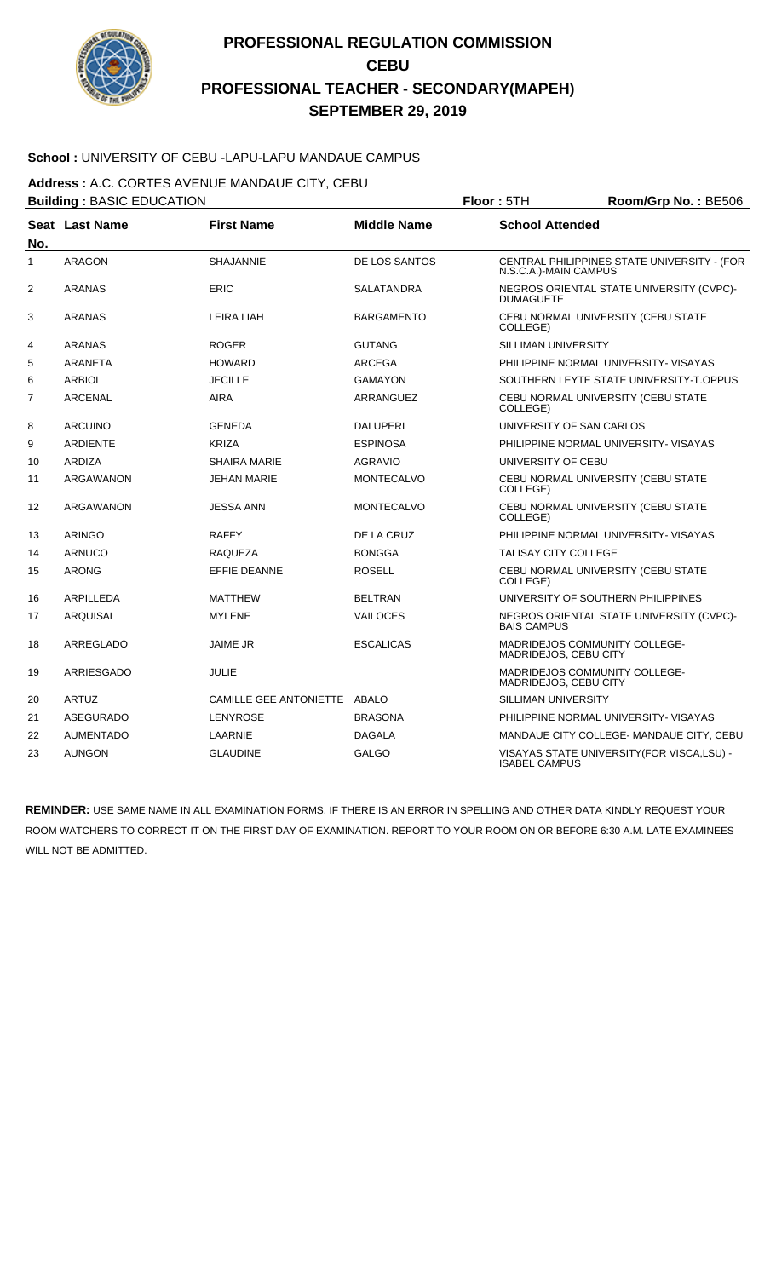

### **School :** UNIVERSITY OF CEBU -LAPU-LAPU MANDAUE CAMPUS

**Address :** A.C. CORTES AVENUE MANDAUE CITY, CEBU

|              | <b>Building: BASIC EDUCATION</b> |                               |                    | Floor: 5TH                                                    | Room/Grp No.: BE506                         |
|--------------|----------------------------------|-------------------------------|--------------------|---------------------------------------------------------------|---------------------------------------------|
| No.          | Seat Last Name                   | <b>First Name</b>             | <b>Middle Name</b> | <b>School Attended</b>                                        |                                             |
| $\mathbf{1}$ | <b>ARAGON</b>                    | <b>SHAJANNIE</b>              | DE LOS SANTOS      | N.S.C.A.)-MAIN CAMPUS                                         | CENTRAL PHILIPPINES STATE UNIVERSITY - (FOR |
| 2            | <b>ARANAS</b>                    | <b>ERIC</b>                   | <b>SALATANDRA</b>  | <b>DUMAGUETE</b>                                              | NEGROS ORIENTAL STATE UNIVERSITY (CVPC)-    |
| 3            | ARANAS                           | LEIRA LIAH                    | <b>BARGAMENTO</b>  | COLLEGE)                                                      | CEBU NORMAL UNIVERSITY (CEBU STATE          |
| 4            | <b>ARANAS</b>                    | <b>ROGER</b>                  | <b>GUTANG</b>      | SILLIMAN UNIVERSITY                                           |                                             |
| 5            | <b>ARANETA</b>                   | <b>HOWARD</b>                 | <b>ARCEGA</b>      |                                                               | PHILIPPINE NORMAL UNIVERSITY- VISAYAS       |
| 6            | <b>ARBIOL</b>                    | <b>JECILLE</b>                | <b>GAMAYON</b>     |                                                               | SOUTHERN LEYTE STATE UNIVERSITY-T.OPPUS     |
| 7            | <b>ARCENAL</b>                   | <b>AIRA</b>                   | ARRANGUEZ          | COLLEGE)                                                      | CEBU NORMAL UNIVERSITY (CEBU STATE          |
| 8            | <b>ARCUINO</b>                   | <b>GENEDA</b>                 | <b>DALUPERI</b>    | UNIVERSITY OF SAN CARLOS                                      |                                             |
| 9            | <b>ARDIENTE</b>                  | <b>KRIZA</b>                  | <b>ESPINOSA</b>    |                                                               | PHILIPPINE NORMAL UNIVERSITY- VISAYAS       |
| 10           | ARDIZA                           | <b>SHAIRA MARIE</b>           | AGRAVIO            | UNIVERSITY OF CEBU                                            |                                             |
| 11           | ARGAWANON                        | <b>JEHAN MARIE</b>            | <b>MONTECALVO</b>  | COLLEGE)                                                      | CEBU NORMAL UNIVERSITY (CEBU STATE          |
| 12           | ARGAWANON                        | <b>JESSA ANN</b>              | <b>MONTECALVO</b>  | COLLEGE)                                                      | CEBU NORMAL UNIVERSITY (CEBU STATE          |
| 13           | <b>ARINGO</b>                    | <b>RAFFY</b>                  | DE LA CRUZ         |                                                               | PHILIPPINE NORMAL UNIVERSITY- VISAYAS       |
| 14           | <b>ARNUCO</b>                    | <b>RAQUEZA</b>                | <b>BONGGA</b>      | <b>TALISAY CITY COLLEGE</b>                                   |                                             |
| 15           | <b>ARONG</b>                     | <b>EFFIE DEANNE</b>           | <b>ROSELL</b>      | COLLEGE)                                                      | CEBU NORMAL UNIVERSITY (CEBU STATE          |
| 16           | <b>ARPILLEDA</b>                 | <b>MATTHEW</b>                | <b>BELTRAN</b>     |                                                               | UNIVERSITY OF SOUTHERN PHILIPPINES          |
| 17           | ARQUISAL                         | <b>MYLENE</b>                 | <b>VAILOCES</b>    | <b>BAIS CAMPUS</b>                                            | NEGROS ORIENTAL STATE UNIVERSITY (CVPC)-    |
| 18           | ARREGLADO                        | <b>JAIME JR</b>               | <b>ESCALICAS</b>   | MADRIDEJOS COMMUNITY COLLEGE-<br>MADRIDEJOS, CEBU CITY        |                                             |
| 19           | ARRIESGADO                       | <b>JULIE</b>                  |                    | <b>MADRIDEJOS COMMUNITY COLLEGE-</b><br>MADRIDEJOS, CEBU CITY |                                             |
| 20           | ARTUZ                            | <b>CAMILLE GEE ANTONIETTE</b> | ABALO              | <b>SILLIMAN UNIVERSITY</b>                                    |                                             |
| 21           | ASEGURADO                        | LENYROSE                      | <b>BRASONA</b>     |                                                               | PHILIPPINE NORMAL UNIVERSITY- VISAYAS       |
| 22           | <b>AUMENTADO</b>                 | LAARNIE                       | <b>DAGALA</b>      |                                                               | MANDAUE CITY COLLEGE- MANDAUE CITY, CEBU    |
| 23           | <b>AUNGON</b>                    | <b>GLAUDINE</b>               | <b>GALGO</b>       | <b>ISABEL CAMPUS</b>                                          | VISAYAS STATE UNIVERSITY(FOR VISCA,LSU) -   |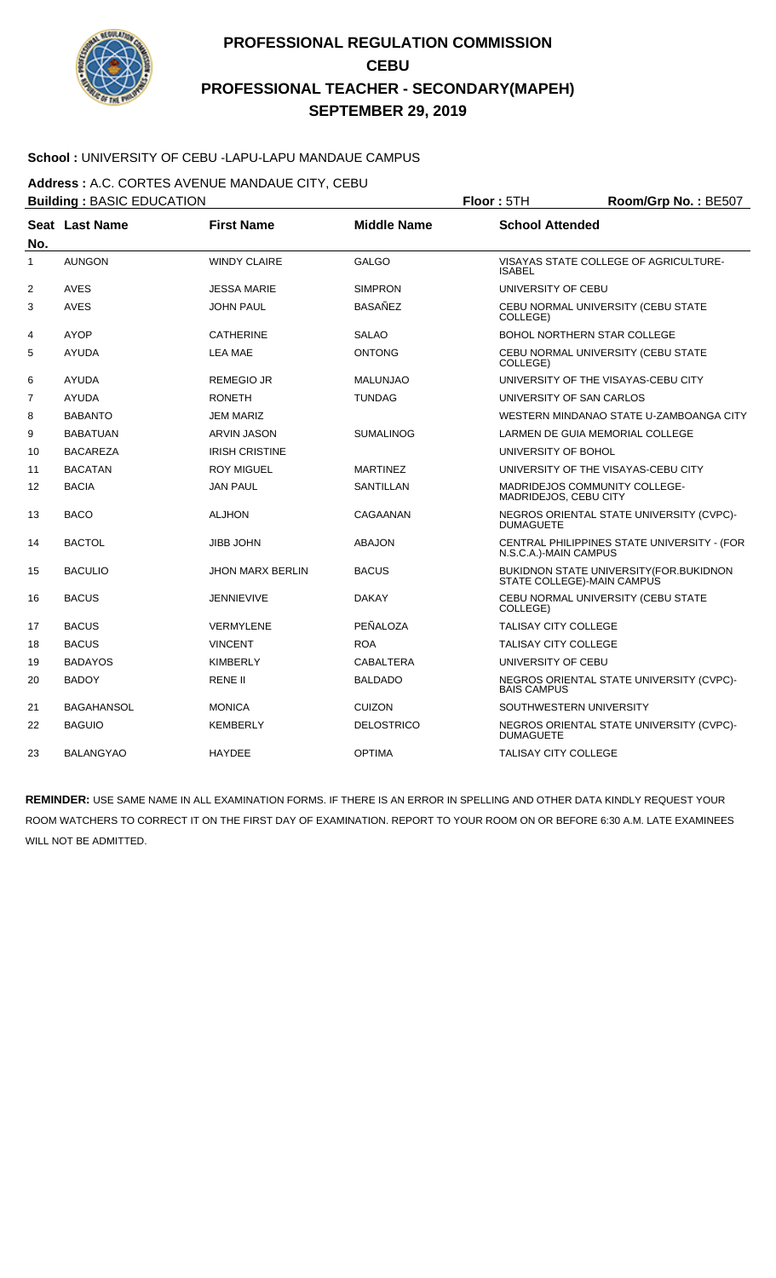

### **School :** UNIVERSITY OF CEBU -LAPU-LAPU MANDAUE CAMPUS

**Address :** A.C. CORTES AVENUE MANDAUE CITY, CEBU

| <b>Building: BASIC EDUCATION</b> |                   |                         | Floor: 5TH         | Room/Grp No.: BE507         |                                                |
|----------------------------------|-------------------|-------------------------|--------------------|-----------------------------|------------------------------------------------|
| No.                              | Seat Last Name    | <b>First Name</b>       | <b>Middle Name</b> | <b>School Attended</b>      |                                                |
| 1                                | <b>AUNGON</b>     | <b>WINDY CLAIRE</b>     | <b>GALGO</b>       | <b>ISABEL</b>               | VISAYAS STATE COLLEGE OF AGRICULTURE-          |
| 2                                | <b>AVES</b>       | <b>JESSA MARIE</b>      | <b>SIMPRON</b>     | UNIVERSITY OF CEBU          |                                                |
| 3                                | AVES              | <b>JOHN PAUL</b>        | <b>BASAÑEZ</b>     | COLLEGE)                    | CEBU NORMAL UNIVERSITY (CEBU STATE             |
| 4                                | <b>AYOP</b>       | <b>CATHERINE</b>        | <b>SALAO</b>       |                             | <b>BOHOL NORTHERN STAR COLLEGE</b>             |
| 5                                | <b>AYUDA</b>      | <b>LEA MAE</b>          | <b>ONTONG</b>      | COLLEGE)                    | CEBU NORMAL UNIVERSITY (CEBU STATE             |
| 6                                | <b>AYUDA</b>      | <b>REMEGIO JR</b>       | <b>MALUNJAO</b>    |                             | UNIVERSITY OF THE VISAYAS-CEBU CITY            |
| $\overline{7}$                   | <b>AYUDA</b>      | <b>RONETH</b>           | <b>TUNDAG</b>      | UNIVERSITY OF SAN CARLOS    |                                                |
| 8                                | <b>BABANTO</b>    | <b>JEM MARIZ</b>        |                    |                             | WESTERN MINDANAO STATE U-ZAMBOANGA CITY        |
| 9                                | <b>BABATUAN</b>   | <b>ARVIN JASON</b>      | <b>SUMALINOG</b>   |                             | LARMEN DE GUIA MEMORIAL COLLEGE                |
| 10                               | <b>BACAREZA</b>   | <b>IRISH CRISTINE</b>   |                    | UNIVERSITY OF BOHOL         |                                                |
| 11                               | <b>BACATAN</b>    | <b>ROY MIGUEL</b>       | <b>MARTINEZ</b>    |                             | UNIVERSITY OF THE VISAYAS-CEBU CITY            |
| 12                               | <b>BACIA</b>      | <b>JAN PAUL</b>         | <b>SANTILLAN</b>   | MADRIDEJOS, CEBU CITY       | MADRIDEJOS COMMUNITY COLLEGE-                  |
| 13                               | <b>BACO</b>       | <b>ALJHON</b>           | CAGAANAN           | <b>DUMAGUETE</b>            | NEGROS ORIENTAL STATE UNIVERSITY (CVPC)-       |
| 14                               | <b>BACTOL</b>     | <b>JIBB JOHN</b>        | <b>ABAJON</b>      | N.S.C.A.)-MAIN CAMPUS       | CENTRAL PHILIPPINES STATE UNIVERSITY - (FOR    |
| 15                               | <b>BACULIO</b>    | <b>JHON MARX BERLIN</b> | <b>BACUS</b>       | STATE COLLEGE)-MAIN CAMPUS  | <b>BUKIDNON STATE UNIVERSITY (FOR.BUKIDNON</b> |
| 16                               | <b>BACUS</b>      | <b>JENNIEVIVE</b>       | <b>DAKAY</b>       | COLLEGE)                    | CEBU NORMAL UNIVERSITY (CEBU STATE             |
| 17                               | <b>BACUS</b>      | <b>VERMYLENE</b>        | PEÑALOZA           | <b>TALISAY CITY COLLEGE</b> |                                                |
| 18                               | <b>BACUS</b>      | <b>VINCENT</b>          | <b>ROA</b>         | <b>TALISAY CITY COLLEGE</b> |                                                |
| 19                               | <b>BADAYOS</b>    | <b>KIMBERLY</b>         | <b>CABALTERA</b>   | UNIVERSITY OF CEBU          |                                                |
| 20                               | <b>BADOY</b>      | <b>RENE II</b>          | <b>BALDADO</b>     | <b>BAIS CAMPUS</b>          | NEGROS ORIENTAL STATE UNIVERSITY (CVPC)-       |
| 21                               | <b>BAGAHANSOL</b> | <b>MONICA</b>           | <b>CUIZON</b>      | SOUTHWESTERN UNIVERSITY     |                                                |
| 22                               | <b>BAGUIO</b>     | <b>KEMBERLY</b>         | <b>DELOSTRICO</b>  | <b>DUMAGUETE</b>            | NEGROS ORIENTAL STATE UNIVERSITY (CVPC)-       |
| 23                               | <b>BALANGYAO</b>  | <b>HAYDEE</b>           | <b>OPTIMA</b>      | <b>TALISAY CITY COLLEGE</b> |                                                |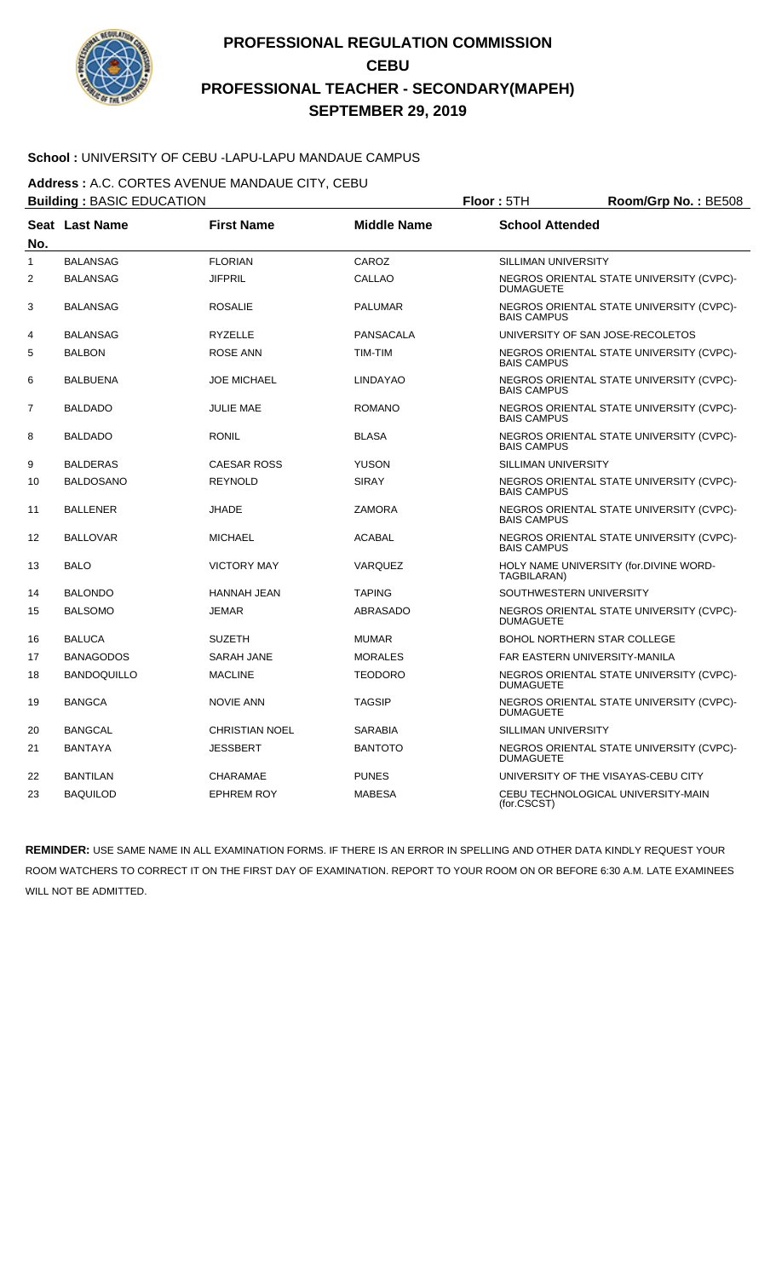

### **School :** UNIVERSITY OF CEBU -LAPU-LAPU MANDAUE CAMPUS

**Address :** A.C. CORTES AVENUE MANDAUE CITY, CEBU

|                | <b>Building: BASIC EDUCATION</b> |                       |                    | Floor: 5TH<br>Room/Grp No.: BE508  |                                          |
|----------------|----------------------------------|-----------------------|--------------------|------------------------------------|------------------------------------------|
| No.            | Seat Last Name                   | <b>First Name</b>     | <b>Middle Name</b> | <b>School Attended</b>             |                                          |
| 1              | <b>BALANSAG</b>                  | <b>FLORIAN</b>        | CAROZ              | SILLIMAN UNIVERSITY                |                                          |
| 2              | <b>BALANSAG</b>                  | <b>JIFPRIL</b>        | <b>CALLAO</b>      | <b>DUMAGUETE</b>                   | NEGROS ORIENTAL STATE UNIVERSITY (CVPC)- |
| 3              | BALANSAG                         | <b>ROSALIE</b>        | <b>PALUMAR</b>     | <b>BAIS CAMPUS</b>                 | NEGROS ORIENTAL STATE UNIVERSITY (CVPC)- |
| 4              | <b>BALANSAG</b>                  | <b>RYZELLE</b>        | <b>PANSACALA</b>   | UNIVERSITY OF SAN JOSE-RECOLETOS   |                                          |
| 5              | <b>BALBON</b>                    | <b>ROSE ANN</b>       | TIM-TIM            | <b>BAIS CAMPUS</b>                 | NEGROS ORIENTAL STATE UNIVERSITY (CVPC)- |
| 6              | BALBUENA                         | <b>JOE MICHAEL</b>    | <b>LINDAYAO</b>    | <b>BAIS CAMPUS</b>                 | NEGROS ORIENTAL STATE UNIVERSITY (CVPC)- |
| $\overline{7}$ | <b>BALDADO</b>                   | <b>JULIE MAE</b>      | <b>ROMANO</b>      | <b>BAIS CAMPUS</b>                 | NEGROS ORIENTAL STATE UNIVERSITY (CVPC)- |
| 8              | <b>BALDADO</b>                   | <b>RONIL</b>          | <b>BLASA</b>       | <b>BAIS CAMPUS</b>                 | NEGROS ORIENTAL STATE UNIVERSITY (CVPC)- |
| 9              | <b>BALDERAS</b>                  | <b>CAESAR ROSS</b>    | <b>YUSON</b>       | <b>SILLIMAN UNIVERSITY</b>         |                                          |
| 10             | <b>BALDOSANO</b>                 | <b>REYNOLD</b>        | <b>SIRAY</b>       | <b>BAIS CAMPUS</b>                 | NEGROS ORIENTAL STATE UNIVERSITY (CVPC)- |
| 11             | <b>BALLENER</b>                  | <b>JHADE</b>          | <b>ZAMORA</b>      | <b>BAIS CAMPUS</b>                 | NEGROS ORIENTAL STATE UNIVERSITY (CVPC)- |
| 12             | <b>BALLOVAR</b>                  | <b>MICHAEL</b>        | <b>ACABAL</b>      | <b>BAIS CAMPUS</b>                 | NEGROS ORIENTAL STATE UNIVERSITY (CVPC)- |
| 13             | <b>BALO</b>                      | <b>VICTORY MAY</b>    | <b>VARQUEZ</b>     | TAGBILARAN)                        | HOLY NAME UNIVERSITY (for.DIVINE WORD-   |
| 14             | <b>BALONDO</b>                   | <b>HANNAH JEAN</b>    | <b>TAPING</b>      | SOUTHWESTERN UNIVERSITY            |                                          |
| 15             | <b>BALSOMO</b>                   | <b>JEMAR</b>          | <b>ABRASADO</b>    | <b>DUMAGUETE</b>                   | NEGROS ORIENTAL STATE UNIVERSITY (CVPC)- |
| 16             | <b>BALUCA</b>                    | <b>SUZETH</b>         | <b>MUMAR</b>       | <b>BOHOL NORTHERN STAR COLLEGE</b> |                                          |
| 17             | <b>BANAGODOS</b>                 | <b>SARAH JANE</b>     | <b>MORALES</b>     | FAR EASTERN UNIVERSITY-MANILA      |                                          |
| 18             | <b>BANDOQUILLO</b>               | <b>MACLINE</b>        | <b>TEODORO</b>     | <b>DUMAGUETE</b>                   | NEGROS ORIENTAL STATE UNIVERSITY (CVPC)- |
| 19             | <b>BANGCA</b>                    | <b>NOVIE ANN</b>      | <b>TAGSIP</b>      | <b>DUMAGUETE</b>                   | NEGROS ORIENTAL STATE UNIVERSITY (CVPC)- |
| 20             | <b>BANGCAL</b>                   | <b>CHRISTIAN NOEL</b> | <b>SARABIA</b>     | SILLIMAN UNIVERSITY                |                                          |
| 21             | <b>BANTAYA</b>                   | <b>JESSBERT</b>       | <b>BANTOTO</b>     | <b>DUMAGUETE</b>                   | NEGROS ORIENTAL STATE UNIVERSITY (CVPC)- |
| 22             | <b>BANTILAN</b>                  | <b>CHARAMAE</b>       | <b>PUNES</b>       |                                    | UNIVERSITY OF THE VISAYAS-CEBU CITY      |
| 23             | <b>BAQUILOD</b>                  | <b>EPHREM ROY</b>     | <b>MABESA</b>      | (for.CSCST)                        | CEBU TECHNOLOGICAL UNIVERSITY-MAIN       |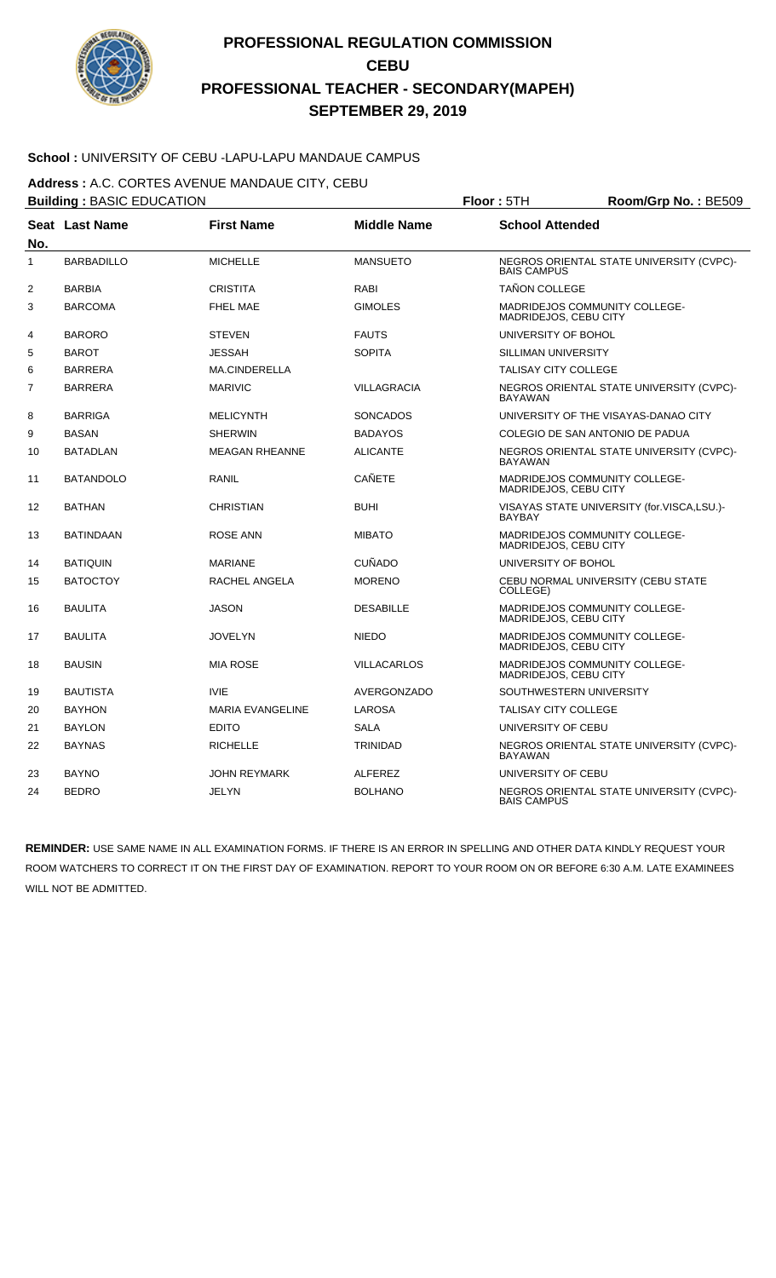

### **School :** UNIVERSITY OF CEBU -LAPU-LAPU MANDAUE CAMPUS

**Address :** A.C. CORTES AVENUE MANDAUE CITY, CEBU

|                | <b>Building: BASIC EDUCATION</b> |                         |                    | Floor: 5TH<br>Room/Grp No.: BE509                      |                                            |  |
|----------------|----------------------------------|-------------------------|--------------------|--------------------------------------------------------|--------------------------------------------|--|
| No.            | <b>Seat Last Name</b>            | <b>First Name</b>       | <b>Middle Name</b> | <b>School Attended</b>                                 |                                            |  |
| $\mathbf{1}$   | <b>BARBADILLO</b>                | <b>MICHELLE</b>         | <b>MANSUETO</b>    | <b>BAIS CAMPUS</b>                                     | NEGROS ORIENTAL STATE UNIVERSITY (CVPC)-   |  |
| 2              | <b>BARBIA</b>                    | <b>CRISTITA</b>         | RABI               | <b>TAÑON COLLEGE</b>                                   |                                            |  |
| 3              | <b>BARCOMA</b>                   | <b>FHEL MAE</b>         | <b>GIMOLES</b>     | MADRIDEJOS COMMUNITY COLLEGE-<br>MADRIDEJOS, CEBU CITY |                                            |  |
| 4              | <b>BARORO</b>                    | <b>STEVEN</b>           | <b>FAUTS</b>       | UNIVERSITY OF BOHOL                                    |                                            |  |
| 5              | <b>BAROT</b>                     | <b>JESSAH</b>           | <b>SOPITA</b>      | <b>SILLIMAN UNIVERSITY</b>                             |                                            |  |
| 6              | <b>BARRERA</b>                   | <b>MA.CINDERELLA</b>    |                    | <b>TALISAY CITY COLLEGE</b>                            |                                            |  |
| $\overline{7}$ | <b>BARRERA</b>                   | <b>MARIVIC</b>          | <b>VILLAGRACIA</b> | <b>BAYAWAN</b>                                         | NEGROS ORIENTAL STATE UNIVERSITY (CVPC)-   |  |
| 8              | <b>BARRIGA</b>                   | <b>MELICYNTH</b>        | SONCADOS           |                                                        | UNIVERSITY OF THE VISAYAS-DANAO CITY       |  |
| 9              | <b>BASAN</b>                     | <b>SHERWIN</b>          | <b>BADAYOS</b>     | COLEGIO DE SAN ANTONIO DE PADUA                        |                                            |  |
| 10             | <b>BATADLAN</b>                  | <b>MEAGAN RHEANNE</b>   | <b>ALICANTE</b>    | <b>BAYAWAN</b>                                         | NEGROS ORIENTAL STATE UNIVERSITY (CVPC)-   |  |
| 11             | <b>BATANDOLO</b>                 | <b>RANIL</b>            | <b>CAÑETE</b>      | MADRIDEJOS COMMUNITY COLLEGE-<br>MADRIDEJOS, CEBU CITY |                                            |  |
| 12             | <b>BATHAN</b>                    | <b>CHRISTIAN</b>        | <b>BUHI</b>        | <b>BAYBAY</b>                                          | VISAYAS STATE UNIVERSITY (for.VISCA,LSU.)- |  |
| 13             | <b>BATINDAAN</b>                 | <b>ROSE ANN</b>         | <b>MIBATO</b>      | MADRIDEJOS COMMUNITY COLLEGE-<br>MADRIDEJOS, CEBU CITY |                                            |  |
| 14             | <b>BATIQUIN</b>                  | <b>MARIANE</b>          | CUÑADO             | UNIVERSITY OF BOHOL                                    |                                            |  |
| 15             | <b>BATOCTOY</b>                  | <b>RACHEL ANGELA</b>    | <b>MORENO</b>      | COLLEGE)                                               | CEBU NORMAL UNIVERSITY (CEBU STATE         |  |
| 16             | <b>BAULITA</b>                   | <b>JASON</b>            | <b>DESABILLE</b>   | MADRIDEJOS COMMUNITY COLLEGE-<br>MADRIDEJOS, CEBU CITY |                                            |  |
| 17             | <b>BAULITA</b>                   | <b>JOVELYN</b>          | <b>NIEDO</b>       | MADRIDEJOS COMMUNITY COLLEGE-<br>MADRIDEJOS, CEBU CITY |                                            |  |
| 18             | <b>BAUSIN</b>                    | <b>MIA ROSE</b>         | <b>VILLACARLOS</b> | MADRIDEJOS COMMUNITY COLLEGE-<br>MADRIDEJOS, CEBU CITY |                                            |  |
| 19             | <b>BAUTISTA</b>                  | <b>IVIE</b>             | <b>AVERGONZADO</b> | SOUTHWESTERN UNIVERSITY                                |                                            |  |
| 20             | <b>BAYHON</b>                    | <b>MARIA EVANGELINE</b> | <b>LAROSA</b>      | <b>TALISAY CITY COLLEGE</b>                            |                                            |  |
| 21             | <b>BAYLON</b>                    | <b>EDITO</b>            | <b>SALA</b>        | UNIVERSITY OF CEBU                                     |                                            |  |
| 22             | <b>BAYNAS</b>                    | <b>RICHELLE</b>         | <b>TRINIDAD</b>    | <b>BAYAWAN</b>                                         | NEGROS ORIENTAL STATE UNIVERSITY (CVPC)-   |  |
| 23             | <b>BAYNO</b>                     | <b>JOHN REYMARK</b>     | <b>ALFEREZ</b>     | UNIVERSITY OF CEBU                                     |                                            |  |
| 24             | <b>BEDRO</b>                     | <b>JELYN</b>            | <b>BOLHANO</b>     | <b>BAIS CAMPUS</b>                                     | NEGROS ORIENTAL STATE UNIVERSITY (CVPC)-   |  |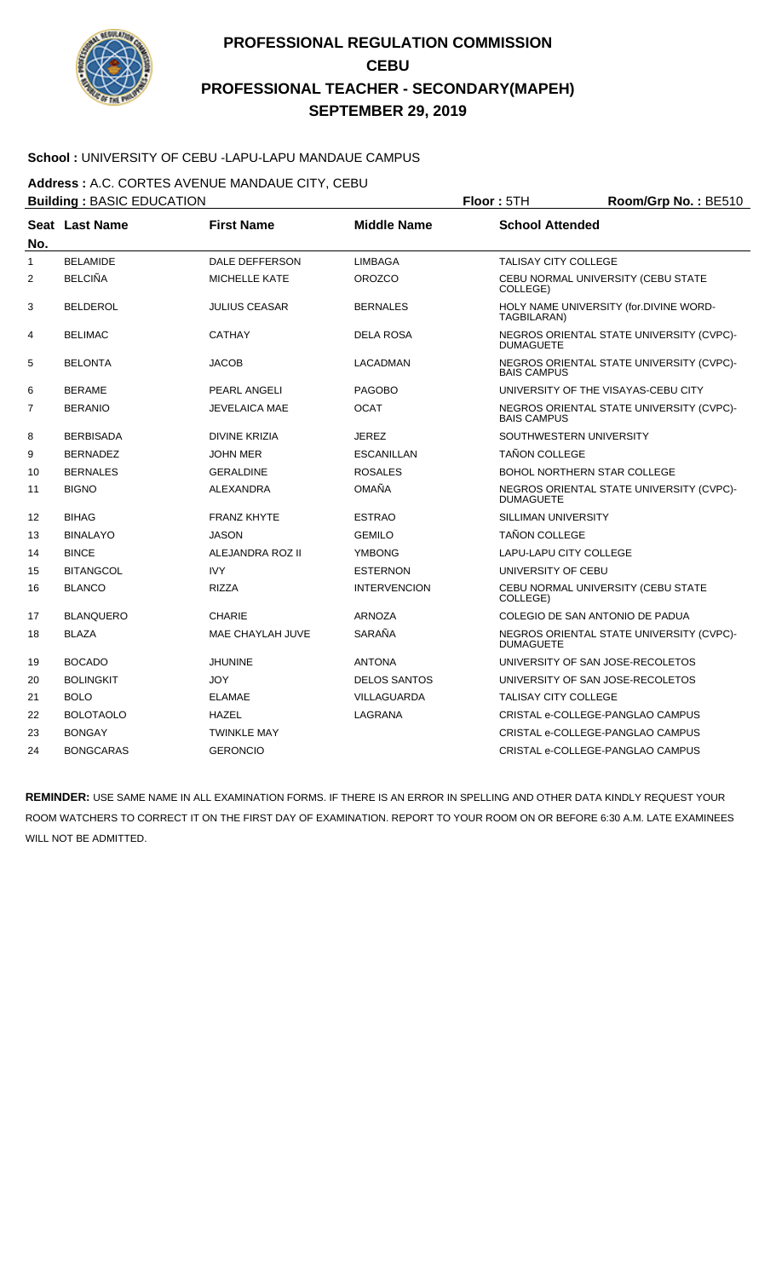

### **School :** UNIVERSITY OF CEBU -LAPU-LAPU MANDAUE CAMPUS

**Address :** A.C. CORTES AVENUE MANDAUE CITY, CEBU

|              | <b>Building: BASIC EDUCATION</b> |                       |                     | Floor: 5TH<br>Room/Grp No.: BE510  |                                          |  |
|--------------|----------------------------------|-----------------------|---------------------|------------------------------------|------------------------------------------|--|
| No.          | <b>Seat Last Name</b>            | <b>First Name</b>     | <b>Middle Name</b>  | <b>School Attended</b>             |                                          |  |
| $\mathbf{1}$ | <b>BELAMIDE</b>                  | <b>DALE DEFFERSON</b> | <b>LIMBAGA</b>      | <b>TALISAY CITY COLLEGE</b>        |                                          |  |
| 2            | <b>BELCIÑA</b>                   | <b>MICHELLE KATE</b>  | <b>OROZCO</b>       | COLLEGE)                           | CEBU NORMAL UNIVERSITY (CEBU STATE       |  |
| 3            | <b>BELDEROL</b>                  | <b>JULIUS CEASAR</b>  | <b>BERNALES</b>     | TAGBILARAN)                        | HOLY NAME UNIVERSITY (for.DIVINE WORD-   |  |
| 4            | <b>BELIMAC</b>                   | <b>CATHAY</b>         | <b>DELA ROSA</b>    | <b>DUMAGUETE</b>                   | NEGROS ORIENTAL STATE UNIVERSITY (CVPC)- |  |
| 5            | <b>BELONTA</b>                   | <b>JACOB</b>          | <b>LACADMAN</b>     | <b>BAIS CAMPUS</b>                 | NEGROS ORIENTAL STATE UNIVERSITY (CVPC)- |  |
| 6            | <b>BERAME</b>                    | PEARL ANGELI          | <b>PAGOBO</b>       |                                    | UNIVERSITY OF THE VISAYAS-CEBU CITY      |  |
| 7            | <b>BERANIO</b>                   | <b>JEVELAICA MAE</b>  | <b>OCAT</b>         | <b>BAIS CAMPUS</b>                 | NEGROS ORIENTAL STATE UNIVERSITY (CVPC)- |  |
| 8            | <b>BERBISADA</b>                 | <b>DIVINE KRIZIA</b>  | <b>JEREZ</b>        | SOUTHWESTERN UNIVERSITY            |                                          |  |
| 9            | <b>BERNADEZ</b>                  | <b>JOHN MER</b>       | <b>ESCANILLAN</b>   | <b>TAÑON COLLEGE</b>               |                                          |  |
| 10           | <b>BERNALES</b>                  | <b>GERALDINE</b>      | <b>ROSALES</b>      | <b>BOHOL NORTHERN STAR COLLEGE</b> |                                          |  |
| 11           | <b>BIGNO</b>                     | <b>ALEXANDRA</b>      | <b>OMAÑA</b>        | <b>DUMAGUETE</b>                   | NEGROS ORIENTAL STATE UNIVERSITY (CVPC)- |  |
| 12           | <b>BIHAG</b>                     | <b>FRANZ KHYTE</b>    | <b>ESTRAO</b>       | <b>SILLIMAN UNIVERSITY</b>         |                                          |  |
| 13           | <b>BINALAYO</b>                  | <b>JASON</b>          | <b>GEMILO</b>       | <b>TAÑON COLLEGE</b>               |                                          |  |
| 14           | <b>BINCE</b>                     | ALEJANDRA ROZ II      | <b>YMBONG</b>       | <b>LAPU-LAPU CITY COLLEGE</b>      |                                          |  |
| 15           | <b>BITANGCOL</b>                 | <b>IVY</b>            | <b>ESTERNON</b>     | UNIVERSITY OF CEBU                 |                                          |  |
| 16           | <b>BLANCO</b>                    | <b>RIZZA</b>          | <b>INTERVENCION</b> | COLLEGE)                           | CEBU NORMAL UNIVERSITY (CEBU STATE       |  |
| 17           | <b>BLANQUERO</b>                 | <b>CHARIE</b>         | <b>ARNOZA</b>       | COLEGIO DE SAN ANTONIO DE PADUA    |                                          |  |
| 18           | <b>BLAZA</b>                     | MAE CHAYLAH JUVE      | SARAÑA              | <b>DUMAGUETE</b>                   | NEGROS ORIENTAL STATE UNIVERSITY (CVPC)- |  |
| 19           | <b>BOCADO</b>                    | <b>JHUNINE</b>        | <b>ANTONA</b>       | UNIVERSITY OF SAN JOSE-RECOLETOS   |                                          |  |
| 20           | <b>BOLINGKIT</b>                 | <b>JOY</b>            | <b>DELOS SANTOS</b> | UNIVERSITY OF SAN JOSE-RECOLETOS   |                                          |  |
| 21           | <b>BOLO</b>                      | <b>ELAMAE</b>         | <b>VILLAGUARDA</b>  | <b>TALISAY CITY COLLEGE</b>        |                                          |  |
| 22           | <b>BOLOTAOLO</b>                 | <b>HAZEL</b>          | LAGRANA             |                                    | CRISTAL e-COLLEGE-PANGLAO CAMPUS         |  |
| 23           | <b>BONGAY</b>                    | <b>TWINKLE MAY</b>    |                     |                                    | CRISTAL e-COLLEGE-PANGLAO CAMPUS         |  |
| 24           | <b>BONGCARAS</b>                 | <b>GERONCIO</b>       |                     |                                    | CRISTAL e-COLLEGE-PANGLAO CAMPUS         |  |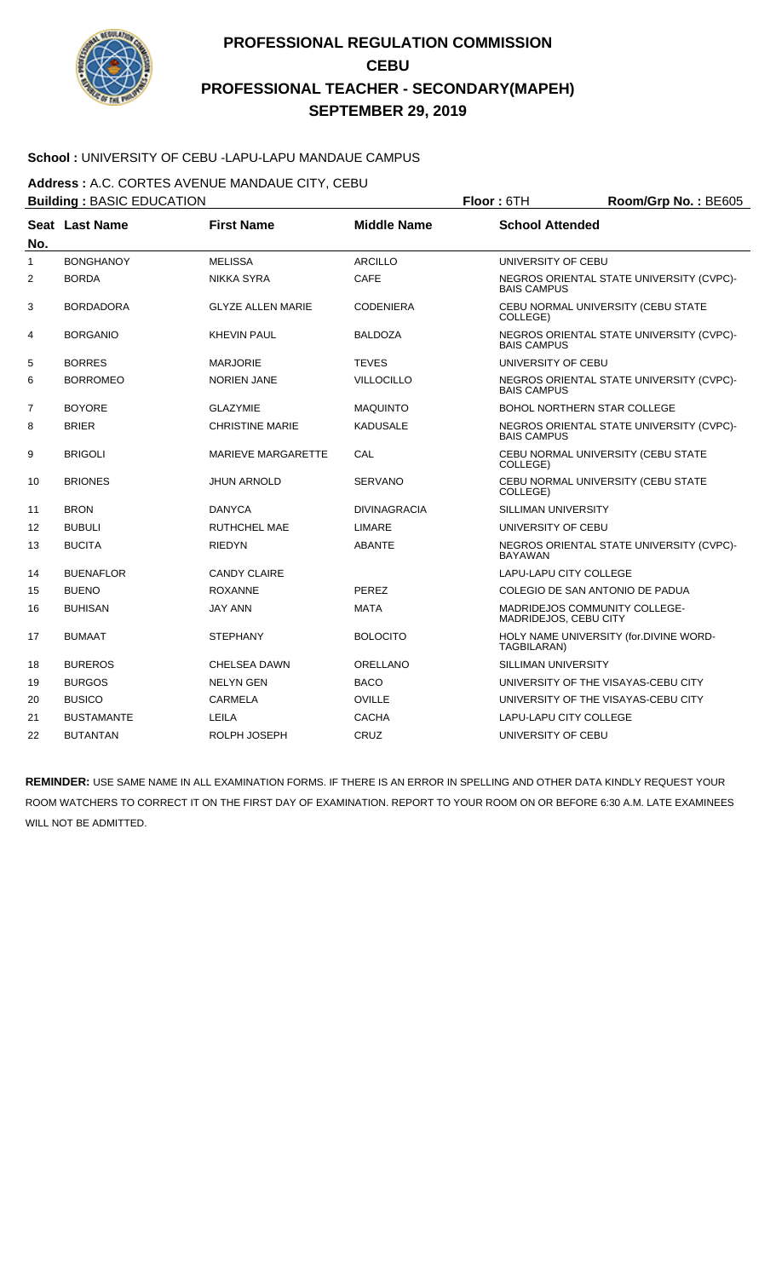

### **School :** UNIVERSITY OF CEBU -LAPU-LAPU MANDAUE CAMPUS

**Address :** A.C. CORTES AVENUE MANDAUE CITY, CEBU

**Building :** BASIC EDUCATION **Floor :** 6TH **Room/Grp No. :** BE605 **Seat** Last Name **No. Last Name First Name Middle Name School Attended** 1 BONGHANOY MELISSA ARCILLO UNIVERSITY OF CEBU 2 BORDA NIKKA SYRA CAFE NEGROS ORIENTAL STATE UNIVERSITY (CVPC)-BAIS CAMPUS 3 BORDADORA GLYZE ALLEN MARIE CODENIERA CEBU NORMAL UNIVERSITY (CEBU STATE COLLEGE) 4 BORGANIO KHEVIN PAUL BALDOZA NEGROS ORIENTAL STATE UNIVERSITY (CVPC)- BAIS CAMPUS 5 BORRES MARJORIE TEVES UNIVERSITY OF CEBU 6 BORROMEO NORIEN JANE VILLOCILLO NEGROS ORIENTAL STATE UNIVERSITY (CVPC)-BAIS CAMPUS The Solid Boyor Guide of GLAZYMIE CHARGING MAQUINTO A COMPONER BOHOL NORTHERN STAR COLLEGE 8 BRIER CHRISTINE MARIE KADUSALE NEGROS ORIENTAL STATE UNIVERSITY (CVPC)-BAIS CAMPUS 9 BRIGOLI MARIEVE MARGARETTE CAL CEBU NORMAL UNIVERSITY (CEBU STATE COLLEGE) 10 BRIONES JHUN ARNOLD SERVANO CEBU NORMAL UNIVERSITY (CEBU STATE COLLEGE) 11 BRON DANYCA DIVINAGRACIA SILLIMAN UNIVERSITY 12 BUBULI RUTHCHEL MAE LIMARE UNIVERSITY OF CEBU 13 BUCITA RIEDYN RIEDYN ABANTE NEGROS ORIENTAL STATE UNIVERSITY (CVPC)-BAYAWAN 14 BUENAFLOR CANDY CLAIRE LAPU-LAPU CITY COLLEGE 15 BUENO ROXANNE ROXANNE PEREZ COLEGIO DE SAN ANTONIO DE PADUA 16 BUHISAN JAY ANN MATA MATA MADRIDEJOS COMMUNITY COLLEGE-MADRIDEJOS, CEBU CITY 17 BUMAAT STEPHANY BOLOCITO HOLY NAME UNIVERSITY (for.DIVINE WORD-TAGBILARAN) 18 BUREROS CHELSEA DAWN ORELLANO SILLIMAN UNIVERSITY 19 BURGOS NELYN GEN BACO UNIVERSITY OF THE VISAYAS-CEBU CITY 20 BUSICO CARMELA OVILLE UNIVERSITY OF THE VISAYAS-CEBU CITY 21 BUSTAMANTE LEILA CACHA LAPU-LAPU CITY COLLEGE 22 BUTANTAN ROLPH JOSEPH CRUZ UNIVERSITY OF CEBU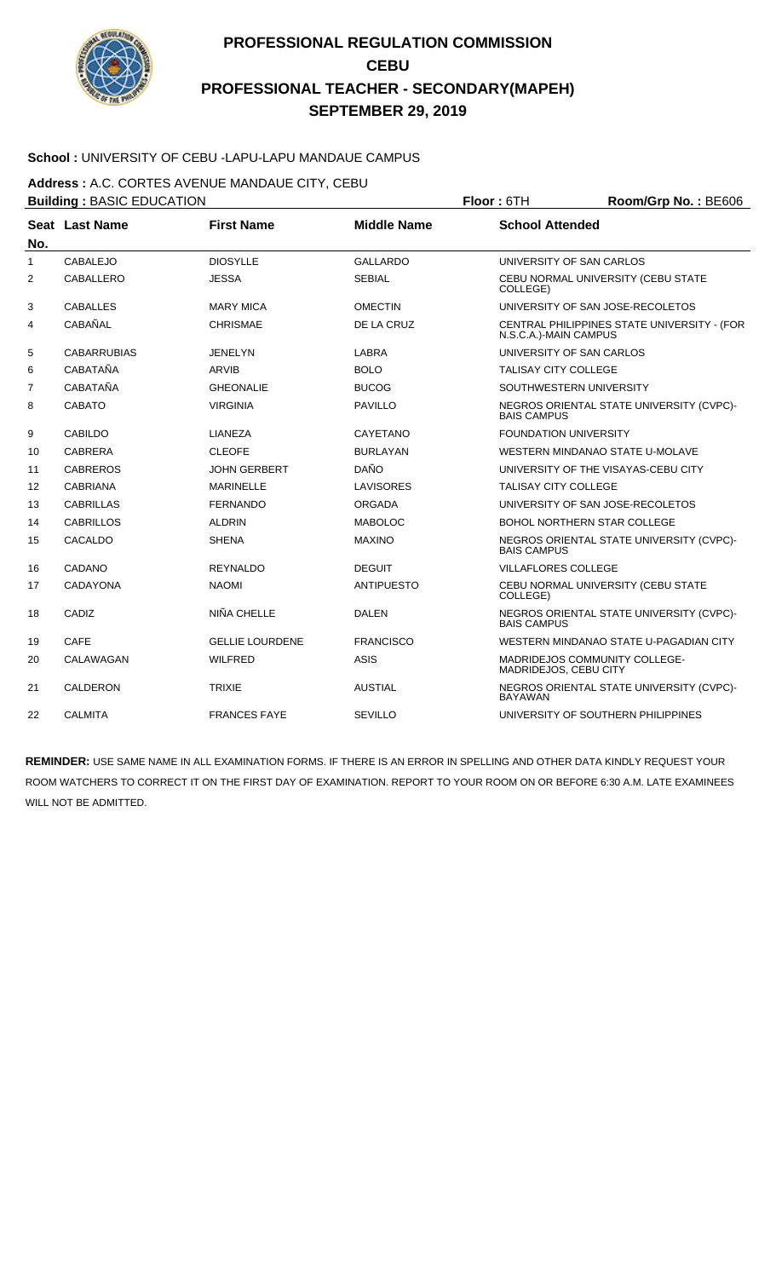

### **School :** UNIVERSITY OF CEBU -LAPU-LAPU MANDAUE CAMPUS

**Address :** A.C. CORTES AVENUE MANDAUE CITY, CEBU

|                | <b>Building: BASIC EDUCATION</b> |                        | Floor: 6TH<br>Room/Grp No.: BE606 |                              |                                             |
|----------------|----------------------------------|------------------------|-----------------------------------|------------------------------|---------------------------------------------|
| No.            | Seat Last Name                   | <b>First Name</b>      | <b>Middle Name</b>                | <b>School Attended</b>       |                                             |
| $\mathbf{1}$   | <b>CABALEJO</b>                  | <b>DIOSYLLE</b>        | <b>GALLARDO</b>                   |                              | UNIVERSITY OF SAN CARLOS                    |
| 2              | CABALLERO                        | <b>JESSA</b>           | <b>SEBIAL</b>                     | COLLEGE)                     | CEBU NORMAL UNIVERSITY (CEBU STATE          |
| 3              | <b>CABALLES</b>                  | <b>MARY MICA</b>       | <b>OMECTIN</b>                    |                              | UNIVERSITY OF SAN JOSE-RECOLETOS            |
| 4              | CABAÑAL                          | <b>CHRISMAE</b>        | DE LA CRUZ                        | N.S.C.A.)-MAIN CAMPUS        | CENTRAL PHILIPPINES STATE UNIVERSITY - (FOR |
| 5              | <b>CABARRUBIAS</b>               | <b>JENELYN</b>         | LABRA                             |                              | UNIVERSITY OF SAN CARLOS                    |
| 6              | CABATAÑA                         | <b>ARVIB</b>           | <b>BOLO</b>                       | <b>TALISAY CITY COLLEGE</b>  |                                             |
| $\overline{7}$ | CABATAÑA                         | <b>GHEONALIE</b>       | <b>BUCOG</b>                      |                              | SOUTHWESTERN UNIVERSITY                     |
| 8              | <b>CABATO</b>                    | <b>VIRGINIA</b>        | <b>PAVILLO</b>                    | <b>BAIS CAMPUS</b>           | NEGROS ORIENTAL STATE UNIVERSITY (CVPC)-    |
| 9              | <b>CABILDO</b>                   | LIANEZA                | CAYETANO                          | <b>FOUNDATION UNIVERSITY</b> |                                             |
| 10             | <b>CABRERA</b>                   | <b>CLEOFE</b>          | <b>BURLAYAN</b>                   |                              | WESTERN MINDANAO STATE U-MOLAVE             |
| 11             | <b>CABREROS</b>                  | <b>JOHN GERBERT</b>    | <b>DAÑO</b>                       |                              | UNIVERSITY OF THE VISAYAS-CEBU CITY         |
| 12             | <b>CABRIANA</b>                  | <b>MARINELLE</b>       | LAVISORES                         | <b>TALISAY CITY COLLEGE</b>  |                                             |
| 13             | <b>CABRILLAS</b>                 | <b>FERNANDO</b>        | ORGADA                            |                              | UNIVERSITY OF SAN JOSE-RECOLETOS            |
| 14             | <b>CABRILLOS</b>                 | <b>ALDRIN</b>          | <b>MABOLOC</b>                    |                              | <b>BOHOL NORTHERN STAR COLLEGE</b>          |
| 15             | CACALDO                          | <b>SHENA</b>           | <b>MAXINO</b>                     | <b>BAIS CAMPUS</b>           | NEGROS ORIENTAL STATE UNIVERSITY (CVPC)-    |
| 16             | CADANO                           | <b>REYNALDO</b>        | <b>DEGUIT</b>                     | <b>VILLAFLORES COLLEGE</b>   |                                             |
| 17             | CADAYONA                         | <b>NAOMI</b>           | <b>ANTIPUESTO</b>                 | COLLEGE)                     | CEBU NORMAL UNIVERSITY (CEBU STATE          |
| 18             | CADIZ                            | NIÑA CHELLE            | <b>DALEN</b>                      | <b>BAIS CAMPUS</b>           | NEGROS ORIENTAL STATE UNIVERSITY (CVPC)-    |
| 19             | <b>CAFE</b>                      | <b>GELLIE LOURDENE</b> | <b>FRANCISCO</b>                  |                              | WESTERN MINDANAO STATE U-PAGADIAN CITY      |
| 20             | CALAWAGAN                        | <b>WILFRED</b>         | <b>ASIS</b>                       | MADRIDEJOS, CEBU CITY        | <b>MADRIDEJOS COMMUNITY COLLEGE-</b>        |
| 21             | <b>CALDERON</b>                  | <b>TRIXIE</b>          | <b>AUSTIAL</b>                    | <b>BAYAWAN</b>               | NEGROS ORIENTAL STATE UNIVERSITY (CVPC)-    |
| 22             | <b>CALMITA</b>                   | <b>FRANCES FAYE</b>    | <b>SEVILLO</b>                    |                              | UNIVERSITY OF SOUTHERN PHILIPPINES          |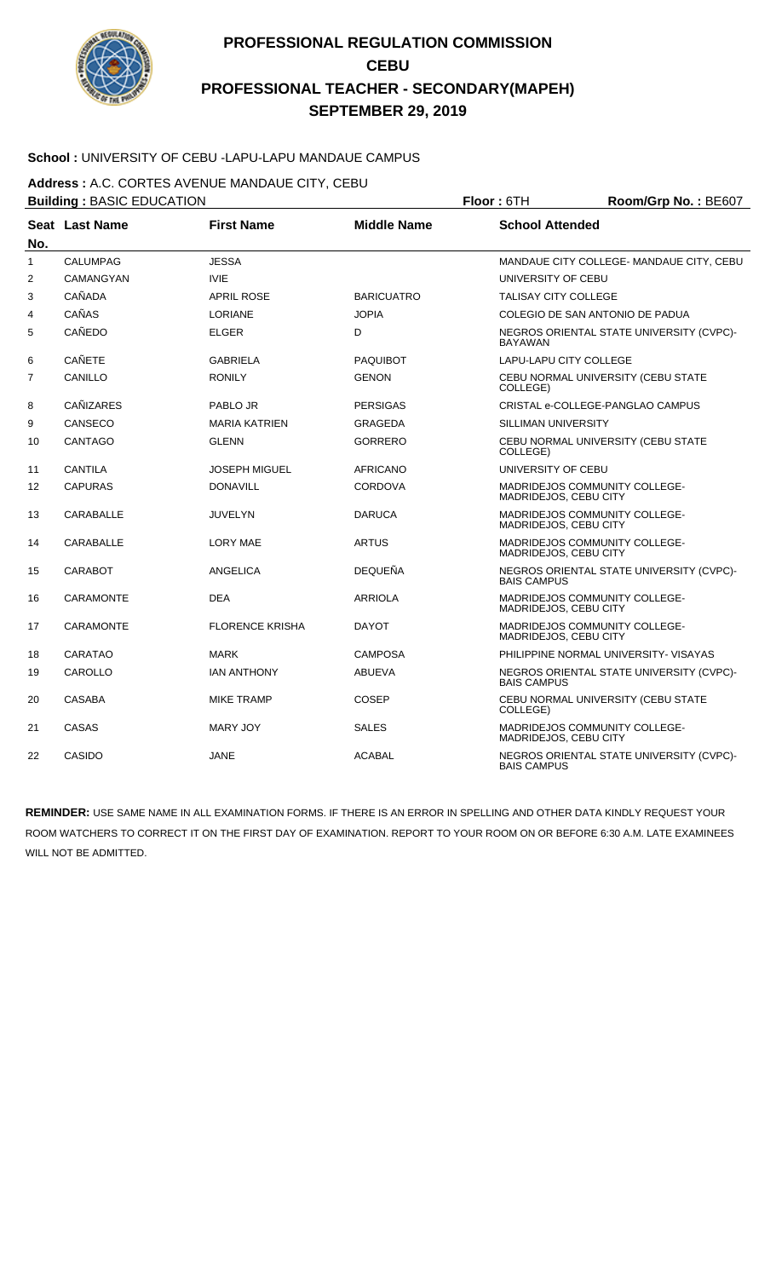

### **School :** UNIVERSITY OF CEBU -LAPU-LAPU MANDAUE CAMPUS

**Address :** A.C. CORTES AVENUE MANDAUE CITY, CEBU

|                | <b>Building: BASIC EDUCATION</b> |                        |                    | Floor: 6TH                  | Room/Grp No.: BE607                      |
|----------------|----------------------------------|------------------------|--------------------|-----------------------------|------------------------------------------|
| No.            | Seat Last Name                   | <b>First Name</b>      | <b>Middle Name</b> | <b>School Attended</b>      |                                          |
| $\mathbf{1}$   | <b>CALUMPAG</b>                  | <b>JESSA</b>           |                    |                             | MANDAUE CITY COLLEGE- MANDAUE CITY, CEBU |
| 2              | CAMANGYAN                        | <b>IVIE</b>            |                    | UNIVERSITY OF CEBU          |                                          |
| 3              | <b>CAÑADA</b>                    | <b>APRIL ROSE</b>      | <b>BARICUATRO</b>  | <b>TALISAY CITY COLLEGE</b> |                                          |
| 4              | CAÑAS                            | <b>LORIANE</b>         | <b>JOPIA</b>       |                             | COLEGIO DE SAN ANTONIO DE PADUA          |
| 5              | CAÑEDO                           | <b>ELGER</b>           | D                  | <b>BAYAWAN</b>              | NEGROS ORIENTAL STATE UNIVERSITY (CVPC)- |
| 6              | CAÑETE                           | <b>GABRIELA</b>        | <b>PAQUIBOT</b>    | LAPU-LAPU CITY COLLEGE      |                                          |
| $\overline{7}$ | CANILLO                          | <b>RONILY</b>          | <b>GENON</b>       | COLLEGE)                    | CEBU NORMAL UNIVERSITY (CEBU STATE       |
| 8              | <b>CAÑIZARES</b>                 | PABLO JR               | <b>PERSIGAS</b>    |                             | CRISTAL e-COLLEGE-PANGLAO CAMPUS         |
| 9              | CANSECO                          | <b>MARIA KATRIEN</b>   | GRAGEDA            | SILLIMAN UNIVERSITY         |                                          |
| 10             | <b>CANTAGO</b>                   | <b>GLENN</b>           | <b>GORRERO</b>     | COLLEGE)                    | CEBU NORMAL UNIVERSITY (CEBU STATE       |
| 11             | CANTILA                          | <b>JOSEPH MIGUEL</b>   | <b>AFRICANO</b>    | UNIVERSITY OF CEBU          |                                          |
| 12             | <b>CAPURAS</b>                   | <b>DONAVILL</b>        | <b>CORDOVA</b>     | MADRIDEJOS, CEBU CITY       | <b>MADRIDEJOS COMMUNITY COLLEGE-</b>     |
| 13             | <b>CARABALLE</b>                 | <b>JUVELYN</b>         | <b>DARUCA</b>      | MADRIDEJOS, CEBU CITY       | MADRIDEJOS COMMUNITY COLLEGE-            |
| 14             | CARABALLE                        | <b>LORY MAE</b>        | <b>ARTUS</b>       | MADRIDEJOS, CEBU CITY       | MADRIDEJOS COMMUNITY COLLEGE-            |
| 15             | <b>CARABOT</b>                   | <b>ANGELICA</b>        | <b>DEQUEÑA</b>     | <b>BAIS CAMPUS</b>          | NEGROS ORIENTAL STATE UNIVERSITY (CVPC)- |
| 16             | CARAMONTE                        | <b>DEA</b>             | <b>ARRIOLA</b>     | MADRIDEJOS, CEBU CITY       | MADRIDEJOS COMMUNITY COLLEGE-            |
| 17             | <b>CARAMONTE</b>                 | <b>FLORENCE KRISHA</b> | <b>DAYOT</b>       | MADRIDEJOS, CEBU CITY       | MADRIDEJOS COMMUNITY COLLEGE-            |
| 18             | CARATAO                          | <b>MARK</b>            | <b>CAMPOSA</b>     |                             | PHILIPPINE NORMAL UNIVERSITY- VISAYAS    |
| 19             | CAROLLO                          | <b>IAN ANTHONY</b>     | <b>ABUEVA</b>      | <b>BAIS CAMPUS</b>          | NEGROS ORIENTAL STATE UNIVERSITY (CVPC)- |
| 20             | <b>CASABA</b>                    | <b>MIKE TRAMP</b>      | COSEP              | COLLEGE)                    | CEBU NORMAL UNIVERSITY (CEBU STATE       |
| 21             | CASAS                            | <b>MARY JOY</b>        | <b>SALES</b>       | MADRIDEJOS, CEBU CITY       | MADRIDEJOS COMMUNITY COLLEGE-            |
| 22             | CASIDO                           | <b>JANE</b>            | <b>ACABAL</b>      | <b>BAIS CAMPUS</b>          | NEGROS ORIENTAL STATE UNIVERSITY (CVPC)- |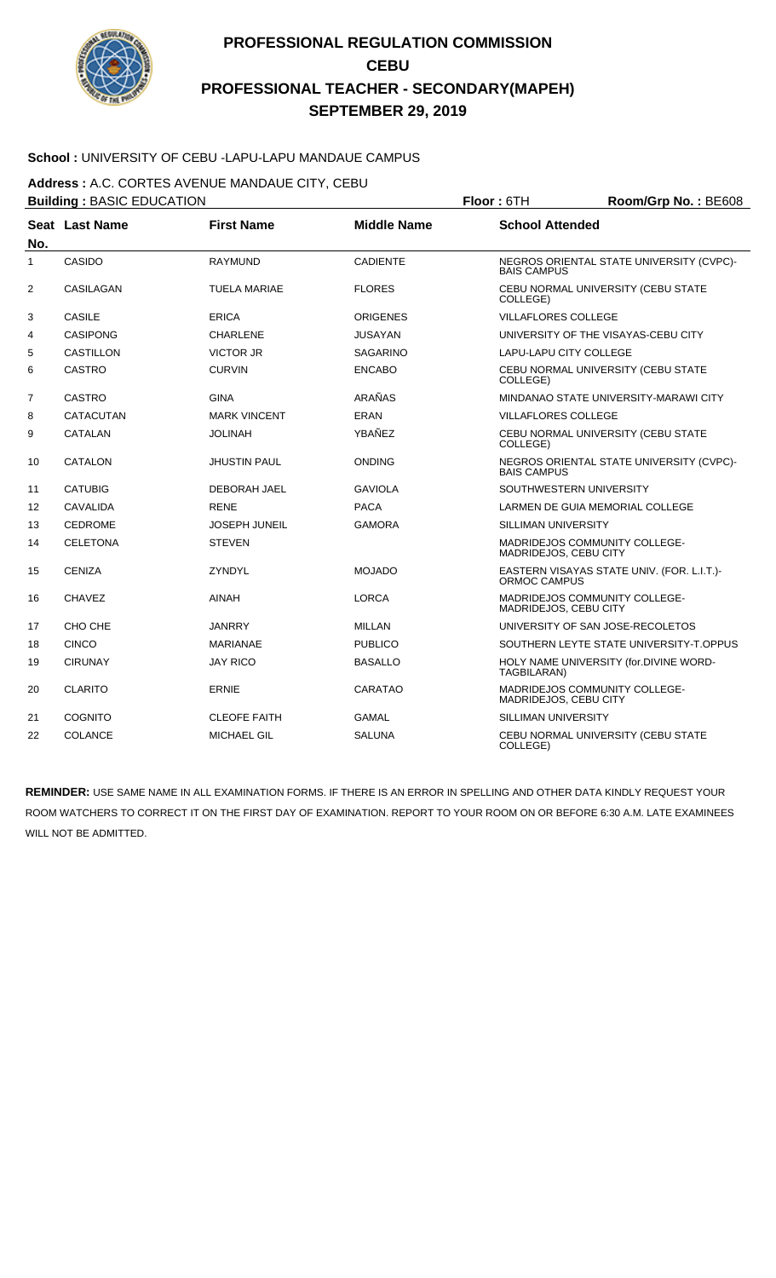

### **School :** UNIVERSITY OF CEBU -LAPU-LAPU MANDAUE CAMPUS

**Address :** A.C. CORTES AVENUE MANDAUE CITY, CEBU

|                | <b>Building: BASIC EDUCATION</b> | Floor: 6TH           |                    |                               | Room/Grp No.: BE608                        |
|----------------|----------------------------------|----------------------|--------------------|-------------------------------|--------------------------------------------|
| No.            | <b>Seat Last Name</b>            | <b>First Name</b>    | <b>Middle Name</b> | <b>School Attended</b>        |                                            |
| $\mathbf{1}$   | CASIDO                           | <b>RAYMUND</b>       | <b>CADIENTE</b>    | <b>BAIS CAMPUS</b>            | NEGROS ORIENTAL STATE UNIVERSITY (CVPC)-   |
| 2              | CASILAGAN                        | TUELA MARIAE         | <b>FLORES</b>      | COLLEGE)                      | CEBU NORMAL UNIVERSITY (CEBU STATE         |
| 3              | <b>CASILE</b>                    | <b>ERICA</b>         | <b>ORIGENES</b>    | <b>VILLAFLORES COLLEGE</b>    |                                            |
| 4              | <b>CASIPONG</b>                  | <b>CHARLENE</b>      | <b>JUSAYAN</b>     |                               | UNIVERSITY OF THE VISAYAS-CEBU CITY        |
| 5              | <b>CASTILLON</b>                 | <b>VICTOR JR</b>     | <b>SAGARINO</b>    | <b>LAPU-LAPU CITY COLLEGE</b> |                                            |
| 6              | <b>CASTRO</b>                    | <b>CURVIN</b>        | <b>ENCABO</b>      | COLLEGE)                      | CEBU NORMAL UNIVERSITY (CEBU STATE         |
| $\overline{7}$ | <b>CASTRO</b>                    | <b>GINA</b>          | ARAÑAS             |                               | MINDANAO STATE UNIVERSITY-MARAWI CITY      |
| 8              | <b>CATACUTAN</b>                 | <b>MARK VINCENT</b>  | <b>ERAN</b>        | <b>VILLAFLORES COLLEGE</b>    |                                            |
| 9              | <b>CATALAN</b>                   | <b>JOLINAH</b>       | YBAÑEZ             | COLLEGE)                      | CEBU NORMAL UNIVERSITY (CEBU STATE         |
| 10             | <b>CATALON</b>                   | <b>JHUSTIN PAUL</b>  | <b>ONDING</b>      | <b>BAIS CAMPUS</b>            | NEGROS ORIENTAL STATE UNIVERSITY (CVPC)-   |
| 11             | <b>CATUBIG</b>                   | DEBORAH JAEL         | <b>GAVIOLA</b>     |                               | SOUTHWESTERN UNIVERSITY                    |
| 12             | <b>CAVALIDA</b>                  | <b>RENE</b>          | <b>PACA</b>        |                               | LARMEN DE GUIA MEMORIAL COLLEGE            |
| 13             | <b>CEDROME</b>                   | <b>JOSEPH JUNEIL</b> | <b>GAMORA</b>      | SILLIMAN UNIVERSITY           |                                            |
| 14             | <b>CELETONA</b>                  | <b>STEVEN</b>        |                    | MADRIDEJOS, CEBU CITY         | MADRIDEJOS COMMUNITY COLLEGE-              |
| 15             | <b>CENIZA</b>                    | ZYNDYL               | <b>MOJADO</b>      | ORMOC CAMPUS                  | EASTERN VISAYAS STATE UNIV. (FOR. L.I.T.)- |
| 16             | <b>CHAVEZ</b>                    | <b>AINAH</b>         | <b>LORCA</b>       | MADRIDEJOS, CEBU CITY         | MADRIDEJOS COMMUNITY COLLEGE-              |
| 17             | CHO CHE                          | <b>JANRRY</b>        | <b>MILLAN</b>      |                               | UNIVERSITY OF SAN JOSE-RECOLETOS           |
| 18             | <b>CINCO</b>                     | <b>MARIANAE</b>      | <b>PUBLICO</b>     |                               | SOUTHERN LEYTE STATE UNIVERSITY-T.OPPUS    |
| 19             | <b>CIRUNAY</b>                   | <b>JAY RICO</b>      | <b>BASALLO</b>     | TAGBILARAN)                   | HOLY NAME UNIVERSITY (for.DIVINE WORD-     |
| 20             | <b>CLARITO</b>                   | <b>ERNIE</b>         | CARATAO            | MADRIDEJOS, CEBU CITY         | MADRIDEJOS COMMUNITY COLLEGE-              |
| 21             | <b>COGNITO</b>                   | <b>CLEOFE FAITH</b>  | GAMAL              | SILLIMAN UNIVERSITY           |                                            |
| 22             | <b>COLANCE</b>                   | <b>MICHAEL GIL</b>   | SALUNA             | COLLEGE)                      | CEBU NORMAL UNIVERSITY (CEBU STATE         |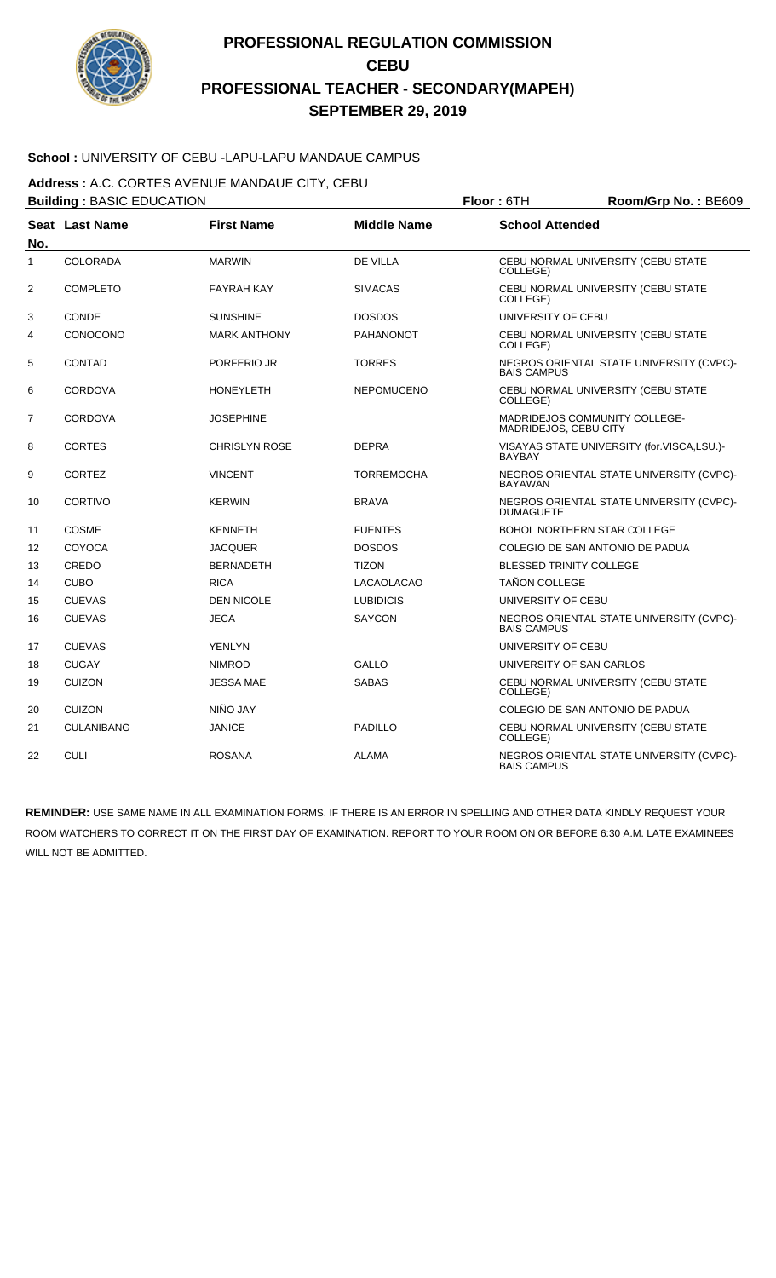

### **School :** UNIVERSITY OF CEBU -LAPU-LAPU MANDAUE CAMPUS

**Address :** A.C. CORTES AVENUE MANDAUE CITY, CEBU

|                | <b>Building: BASIC EDUCATION</b> |                      |                    | Floor: 6TH                     | Room/Grp No.: BE609                        |
|----------------|----------------------------------|----------------------|--------------------|--------------------------------|--------------------------------------------|
| No.            | Seat Last Name                   | <b>First Name</b>    | <b>Middle Name</b> | <b>School Attended</b>         |                                            |
| $\mathbf{1}$   | COLORADA                         | <b>MARWIN</b>        | <b>DE VILLA</b>    | COLLEGE)                       | CEBU NORMAL UNIVERSITY (CEBU STATE         |
| $\overline{2}$ | <b>COMPLETO</b>                  | <b>FAYRAH KAY</b>    | <b>SIMACAS</b>     | COLLEGE)                       | CEBU NORMAL UNIVERSITY (CEBU STATE         |
| 3              | <b>CONDE</b>                     | <b>SUNSHINE</b>      | <b>DOSDOS</b>      | UNIVERSITY OF CEBU             |                                            |
| 4              | CONOCONO                         | <b>MARK ANTHONY</b>  | PAHANONOT          | COLLEGE)                       | CEBU NORMAL UNIVERSITY (CEBU STATE         |
| 5              | <b>CONTAD</b>                    | PORFERIO JR          | <b>TORRES</b>      | <b>BAIS CAMPUS</b>             | NEGROS ORIENTAL STATE UNIVERSITY (CVPC)-   |
| 6              | <b>CORDOVA</b>                   | <b>HONEYLETH</b>     | <b>NEPOMUCENO</b>  | COLLEGE)                       | CEBU NORMAL UNIVERSITY (CEBU STATE         |
| $\overline{7}$ | <b>CORDOVA</b>                   | <b>JOSEPHINE</b>     |                    | MADRIDEJOS, CEBU CITY          | MADRIDEJOS COMMUNITY COLLEGE-              |
| 8              | <b>CORTES</b>                    | <b>CHRISLYN ROSE</b> | <b>DEPRA</b>       | <b>BAYBAY</b>                  | VISAYAS STATE UNIVERSITY (for.VISCA,LSU.)- |
| 9              | <b>CORTEZ</b>                    | <b>VINCENT</b>       | <b>TORREMOCHA</b>  | <b>BAYAWAN</b>                 | NEGROS ORIENTAL STATE UNIVERSITY (CVPC)-   |
| 10             | <b>CORTIVO</b>                   | <b>KERWIN</b>        | <b>BRAVA</b>       | <b>DUMAGUETE</b>               | NEGROS ORIENTAL STATE UNIVERSITY (CVPC)-   |
| 11             | <b>COSME</b>                     | <b>KENNETH</b>       | <b>FUENTES</b>     |                                | <b>BOHOL NORTHERN STAR COLLEGE</b>         |
| 12             | COYOCA                           | <b>JACQUER</b>       | <b>DOSDOS</b>      |                                | COLEGIO DE SAN ANTONIO DE PADUA            |
| 13             | CREDO                            | <b>BERNADETH</b>     | <b>TIZON</b>       | <b>BLESSED TRINITY COLLEGE</b> |                                            |
| 14             | <b>CUBO</b>                      | <b>RICA</b>          | <b>LACAOLACAO</b>  | <b>TAÑON COLLEGE</b>           |                                            |
| 15             | <b>CUEVAS</b>                    | <b>DEN NICOLE</b>    | <b>LUBIDICIS</b>   | UNIVERSITY OF CEBU             |                                            |
| 16             | <b>CUEVAS</b>                    | <b>JECA</b>          | <b>SAYCON</b>      | <b>BAIS CAMPUS</b>             | NEGROS ORIENTAL STATE UNIVERSITY (CVPC)-   |
| 17             | <b>CUEVAS</b>                    | <b>YENLYN</b>        |                    | UNIVERSITY OF CEBU             |                                            |
| 18             | <b>CUGAY</b>                     | <b>NIMROD</b>        | GALLO              | UNIVERSITY OF SAN CARLOS       |                                            |
| 19             | <b>CUIZON</b>                    | <b>JESSA MAE</b>     | <b>SABAS</b>       | COLLEGE)                       | CEBU NORMAL UNIVERSITY (CEBU STATE         |
| 20             | <b>CUIZON</b>                    | NIÑO JAY             |                    |                                | COLEGIO DE SAN ANTONIO DE PADUA            |
| 21             | <b>CULANIBANG</b>                | <b>JANICE</b>        | <b>PADILLO</b>     | COLLEGE)                       | CEBU NORMAL UNIVERSITY (CEBU STATE         |
| 22             | <b>CULI</b>                      | <b>ROSANA</b>        | <b>ALAMA</b>       | <b>BAIS CAMPUS</b>             | NEGROS ORIENTAL STATE UNIVERSITY (CVPC)-   |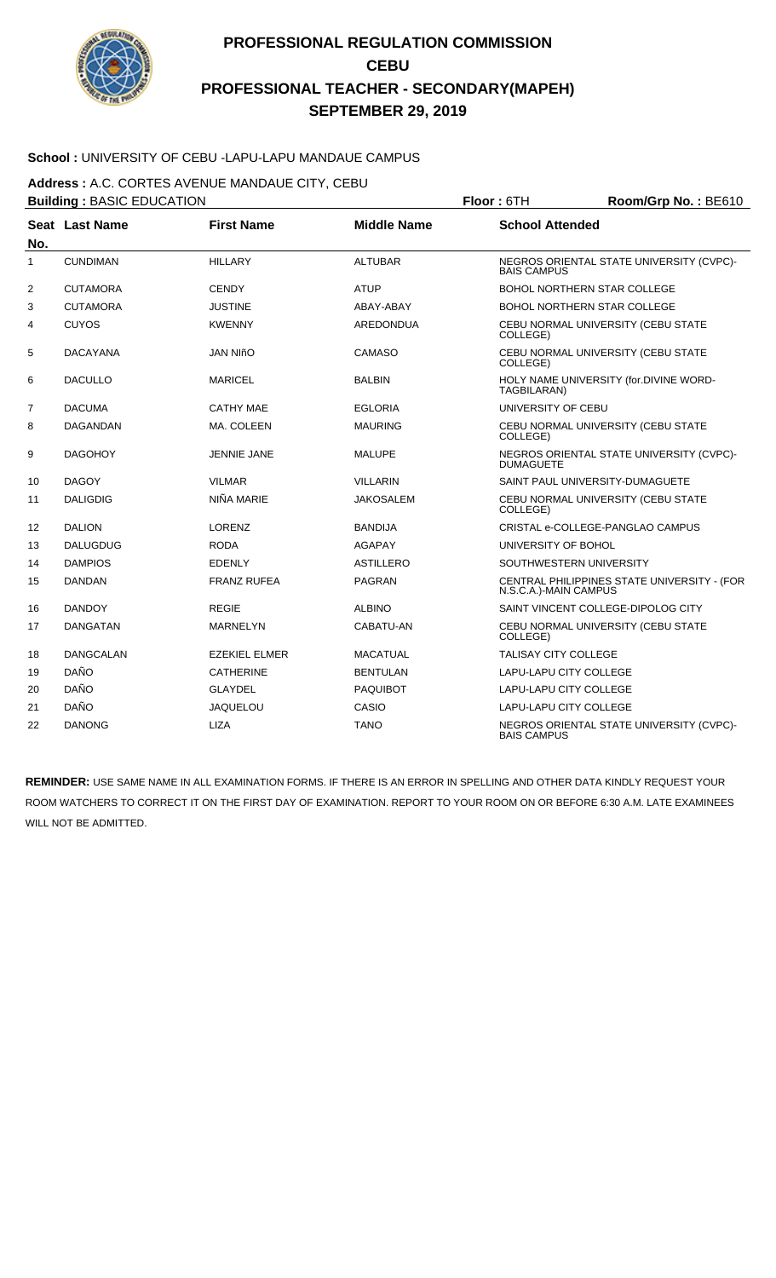

### **School :** UNIVERSITY OF CEBU -LAPU-LAPU MANDAUE CAMPUS

**Address :** A.C. CORTES AVENUE MANDAUE CITY, CEBU

|                | <b>Building: BASIC EDUCATION</b> |                      |                    | Floor: 6TH<br>Room/Grp No.: BE610 |                                             |  |
|----------------|----------------------------------|----------------------|--------------------|-----------------------------------|---------------------------------------------|--|
| No.            | Seat Last Name                   | <b>First Name</b>    | <b>Middle Name</b> | <b>School Attended</b>            |                                             |  |
| 1              | <b>CUNDIMAN</b>                  | <b>HILLARY</b>       | <b>ALTUBAR</b>     | <b>BAIS CAMPUS</b>                | NEGROS ORIENTAL STATE UNIVERSITY (CVPC)-    |  |
| $\overline{2}$ | <b>CUTAMORA</b>                  | <b>CENDY</b>         | <b>ATUP</b>        |                                   | BOHOL NORTHERN STAR COLLEGE                 |  |
| 3              | <b>CUTAMORA</b>                  | <b>JUSTINE</b>       | ABAY-ABAY          |                                   | <b>BOHOL NORTHERN STAR COLLEGE</b>          |  |
| 4              | <b>CUYOS</b>                     | <b>KWENNY</b>        | <b>AREDONDUA</b>   | COLLEGE)                          | CEBU NORMAL UNIVERSITY (CEBU STATE          |  |
| 5              | <b>DACAYANA</b>                  | <b>JAN NIñO</b>      | <b>CAMASO</b>      | COLLEGE)                          | CEBU NORMAL UNIVERSITY (CEBU STATE          |  |
| 6              | <b>DACULLO</b>                   | <b>MARICEL</b>       | <b>BALBIN</b>      | TAGBILARAN)                       | HOLY NAME UNIVERSITY (for.DIVINE WORD-      |  |
| $\overline{7}$ | <b>DACUMA</b>                    | <b>CATHY MAE</b>     | <b>EGLORIA</b>     | UNIVERSITY OF CEBU                |                                             |  |
| 8              | DAGANDAN                         | MA. COLEEN           | <b>MAURING</b>     | COLLEGE)                          | CEBU NORMAL UNIVERSITY (CEBU STATE          |  |
| 9              | <b>DAGOHOY</b>                   | <b>JENNIE JANE</b>   | <b>MALUPE</b>      | <b>DUMAGUETE</b>                  | NEGROS ORIENTAL STATE UNIVERSITY (CVPC)-    |  |
| 10             | <b>DAGOY</b>                     | <b>VILMAR</b>        | <b>VILLARIN</b>    |                                   | SAINT PAUL UNIVERSITY-DUMAGUETE             |  |
| 11             | <b>DALIGDIG</b>                  | NIÑA MARIE           | <b>JAKOSALEM</b>   | COLLEGE)                          | CEBU NORMAL UNIVERSITY (CEBU STATE          |  |
| 12             | <b>DALION</b>                    | LORENZ               | <b>BANDIJA</b>     |                                   | CRISTAL e-COLLEGE-PANGLAO CAMPUS            |  |
| 13             | <b>DALUGDUG</b>                  | <b>RODA</b>          | <b>AGAPAY</b>      | UNIVERSITY OF BOHOL               |                                             |  |
| 14             | <b>DAMPIOS</b>                   | <b>EDENLY</b>        | <b>ASTILLERO</b>   |                                   | SOUTHWESTERN UNIVERSITY                     |  |
| 15             | <b>DANDAN</b>                    | <b>FRANZ RUFEA</b>   | <b>PAGRAN</b>      | N.S.C.A.)-MAIN CAMPUS             | CENTRAL PHILIPPINES STATE UNIVERSITY - (FOR |  |
| 16             | <b>DANDOY</b>                    | <b>REGIE</b>         | <b>ALBINO</b>      |                                   | SAINT VINCENT COLLEGE-DIPOLOG CITY          |  |
| 17             | <b>DANGATAN</b>                  | <b>MARNELYN</b>      | CABATU-AN          | COLLEGE)                          | CEBU NORMAL UNIVERSITY (CEBU STATE          |  |
| 18             | <b>DANGCALAN</b>                 | <b>EZEKIEL ELMER</b> | <b>MACATUAL</b>    | <b>TALISAY CITY COLLEGE</b>       |                                             |  |
| 19             | <b>DAÑO</b>                      | <b>CATHERINE</b>     | <b>BENTULAN</b>    | LAPU-LAPU CITY COLLEGE            |                                             |  |
| 20             | DAÑO                             | <b>GLAYDEL</b>       | <b>PAQUIBOT</b>    | LAPU-LAPU CITY COLLEGE            |                                             |  |
| 21             | <b>DAÑO</b>                      | <b>JAQUELOU</b>      | CASIO              | <b>LAPU-LAPU CITY COLLEGE</b>     |                                             |  |
| 22             | <b>DANONG</b>                    | <b>LIZA</b>          | <b>TANO</b>        | <b>BAIS CAMPUS</b>                | NEGROS ORIENTAL STATE UNIVERSITY (CVPC)-    |  |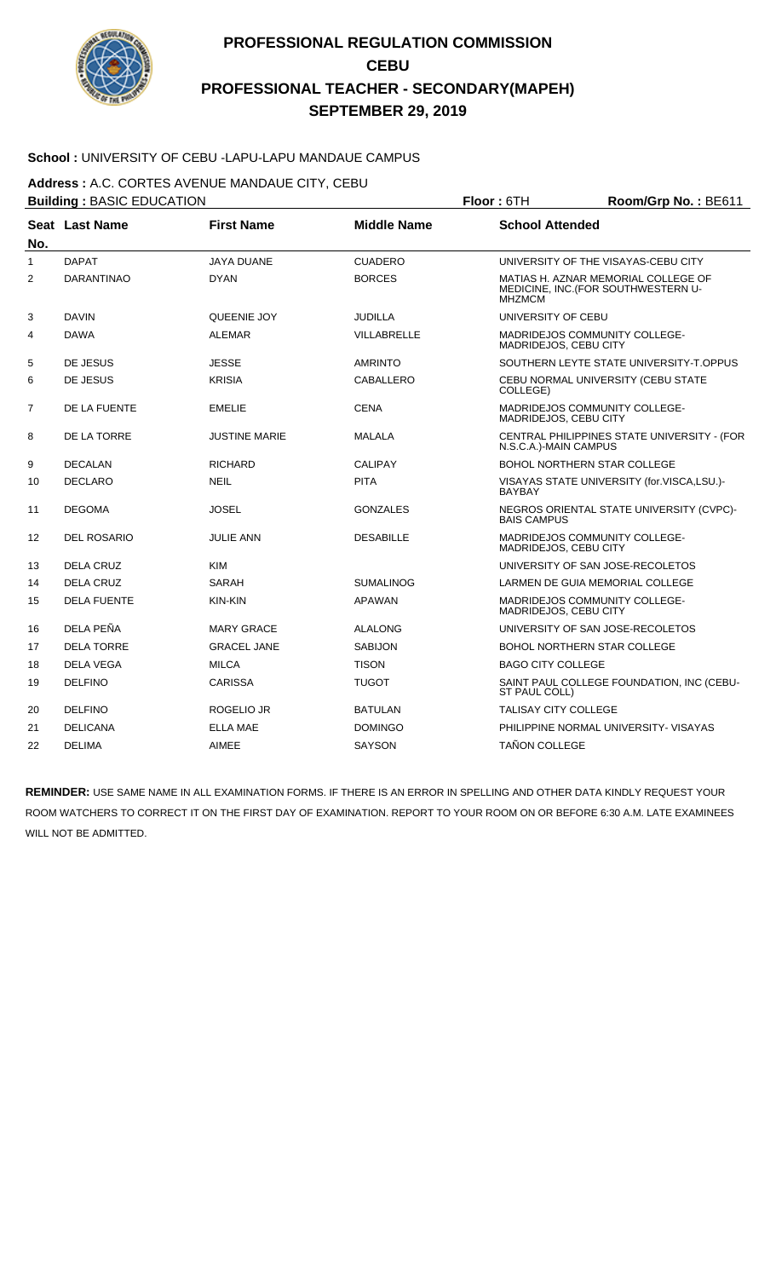

### **School :** UNIVERSITY OF CEBU -LAPU-LAPU MANDAUE CAMPUS

**Address :** A.C. CORTES AVENUE MANDAUE CITY, CEBU

|     | <b>Building: BASIC EDUCATION</b> |                      |                    | Floor: 6TH<br>Room/Grp No.: BE611                             |                                                                            |  |
|-----|----------------------------------|----------------------|--------------------|---------------------------------------------------------------|----------------------------------------------------------------------------|--|
| No. | Seat Last Name                   | <b>First Name</b>    | <b>Middle Name</b> | <b>School Attended</b>                                        |                                                                            |  |
| 1   | <b>DAPAT</b>                     | <b>JAYA DUANE</b>    | <b>CUADERO</b>     |                                                               | UNIVERSITY OF THE VISAYAS-CEBU CITY                                        |  |
| 2   | <b>DARANTINAO</b>                | <b>DYAN</b>          | <b>BORCES</b>      | <b>MHZMCM</b>                                                 | MATIAS H. AZNAR MEMORIAL COLLEGE OF<br>MEDICINE, INC. (FOR SOUTHWESTERN U- |  |
| 3   | <b>DAVIN</b>                     | <b>QUEENIE JOY</b>   | <b>JUDILLA</b>     | UNIVERSITY OF CEBU                                            |                                                                            |  |
| 4   | <b>DAWA</b>                      | <b>ALEMAR</b>        | VILLABRELLE        | <b>MADRIDEJOS COMMUNITY COLLEGE-</b><br>MADRIDEJOS, CEBU CITY |                                                                            |  |
| 5   | DE JESUS                         | <b>JESSE</b>         | <b>AMRINTO</b>     |                                                               | SOUTHERN LEYTE STATE UNIVERSITY-T.OPPUS                                    |  |
| 6   | DE JESUS                         | <b>KRISIA</b>        | <b>CABALLERO</b>   | COLLEGE)                                                      | CEBU NORMAL UNIVERSITY (CEBU STATE                                         |  |
| 7   | DE LA FUENTE                     | <b>EMELIE</b>        | <b>CENA</b>        | <b>MADRIDEJOS COMMUNITY COLLEGE-</b><br>MADRIDEJOS, CEBU CITY |                                                                            |  |
| 8   | DE LA TORRE                      | <b>JUSTINE MARIE</b> | <b>MALALA</b>      | N.S.C.A.)-MAIN CAMPUS                                         | CENTRAL PHILIPPINES STATE UNIVERSITY - (FOR                                |  |
| 9   | <b>DECALAN</b>                   | <b>RICHARD</b>       | <b>CALIPAY</b>     | BOHOL NORTHERN STAR COLLEGE                                   |                                                                            |  |
| 10  | <b>DECLARO</b>                   | <b>NEIL</b>          | <b>PITA</b>        | <b>BAYBAY</b>                                                 | VISAYAS STATE UNIVERSITY (for.VISCA,LSU.)-                                 |  |
| 11  | <b>DEGOMA</b>                    | <b>JOSEL</b>         | <b>GONZALES</b>    | <b>BAIS CAMPUS</b>                                            | NEGROS ORIENTAL STATE UNIVERSITY (CVPC)-                                   |  |
| 12  | <b>DEL ROSARIO</b>               | <b>JULIE ANN</b>     | <b>DESABILLE</b>   | MADRIDEJOS COMMUNITY COLLEGE-<br>MADRIDEJOS, CEBU CITY        |                                                                            |  |
| 13  | DELA CRUZ                        | <b>KIM</b>           |                    | UNIVERSITY OF SAN JOSE-RECOLETOS                              |                                                                            |  |
| 14  | <b>DELA CRUZ</b>                 | SARAH                | <b>SUMALINOG</b>   | LARMEN DE GUIA MEMORIAL COLLEGE                               |                                                                            |  |
| 15  | <b>DELA FUENTE</b>               | KIN-KIN              | <b>APAWAN</b>      | MADRIDEJOS COMMUNITY COLLEGE-<br>MADRIDEJOS, CEBU CITY        |                                                                            |  |
| 16  | DELA PEÑA                        | <b>MARY GRACE</b>    | <b>ALALONG</b>     | UNIVERSITY OF SAN JOSE-RECOLETOS                              |                                                                            |  |
| 17  | <b>DELA TORRE</b>                | <b>GRACEL JANE</b>   | <b>SABIJON</b>     | BOHOL NORTHERN STAR COLLEGE                                   |                                                                            |  |
| 18  | <b>DELA VEGA</b>                 | <b>MILCA</b>         | <b>TISON</b>       | <b>BAGO CITY COLLEGE</b>                                      |                                                                            |  |
| 19  | <b>DELFINO</b>                   | <b>CARISSA</b>       | <b>TUGOT</b>       | ST PAUL COLL)                                                 | SAINT PAUL COLLEGE FOUNDATION, INC (CEBU-                                  |  |
| 20  | <b>DELFINO</b>                   | <b>ROGELIO JR</b>    | <b>BATULAN</b>     | <b>TALISAY CITY COLLEGE</b>                                   |                                                                            |  |
| 21  | <b>DELICANA</b>                  | <b>ELLA MAE</b>      | <b>DOMINGO</b>     |                                                               | PHILIPPINE NORMAL UNIVERSITY- VISAYAS                                      |  |
| 22  | <b>DELIMA</b>                    | <b>AIMEE</b>         | <b>SAYSON</b>      | <b>TAÑON COLLEGE</b>                                          |                                                                            |  |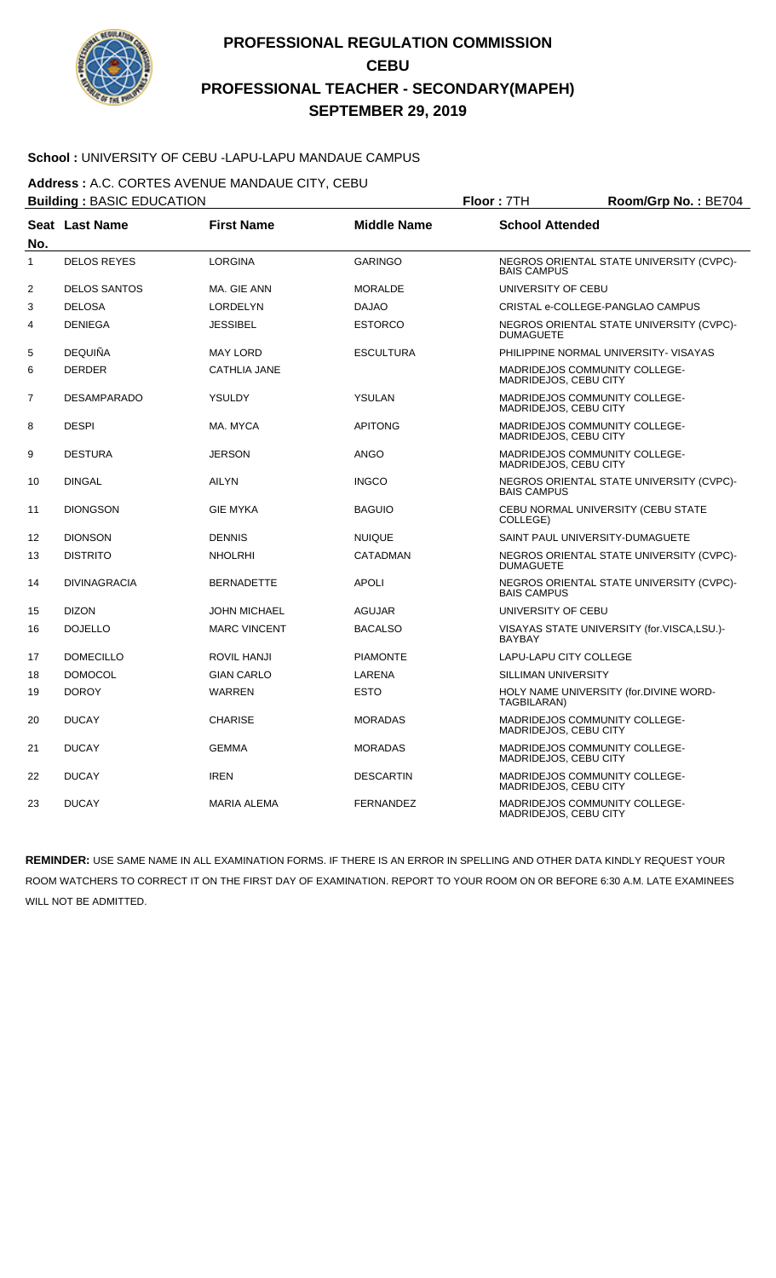

### **School :** UNIVERSITY OF CEBU -LAPU-LAPU MANDAUE CAMPUS

**Address :** A.C. CORTES AVENUE MANDAUE CITY, CEBU

|                | <b>Building: BASIC EDUCATION</b> |                     |                    | Floor: 7TH<br>Room/Grp No.: BE704 |                                            |  |
|----------------|----------------------------------|---------------------|--------------------|-----------------------------------|--------------------------------------------|--|
| No.            | <b>Seat Last Name</b>            | <b>First Name</b>   | <b>Middle Name</b> | <b>School Attended</b>            |                                            |  |
| $\mathbf{1}$   | <b>DELOS REYES</b>               | <b>LORGINA</b>      | <b>GARINGO</b>     | <b>BAIS CAMPUS</b>                | NEGROS ORIENTAL STATE UNIVERSITY (CVPC)-   |  |
| 2              | <b>DELOS SANTOS</b>              | MA. GIE ANN         | <b>MORALDE</b>     | UNIVERSITY OF CEBU                |                                            |  |
| 3              | <b>DELOSA</b>                    | <b>LORDELYN</b>     | <b>DAJAO</b>       |                                   | CRISTAL e-COLLEGE-PANGLAO CAMPUS           |  |
| 4              | <b>DENIEGA</b>                   | <b>JESSIBEL</b>     | <b>ESTORCO</b>     | <b>DUMAGUETE</b>                  | NEGROS ORIENTAL STATE UNIVERSITY (CVPC)-   |  |
| 5              | <b>DEQUIÑA</b>                   | <b>MAY LORD</b>     | <b>ESCULTURA</b>   |                                   | PHILIPPINE NORMAL UNIVERSITY- VISAYAS      |  |
| 6              | <b>DERDER</b>                    | <b>CATHLIA JANE</b> |                    | MADRIDEJOS, CEBU CITY             | <b>MADRIDEJOS COMMUNITY COLLEGE-</b>       |  |
| $\overline{7}$ | <b>DESAMPARADO</b>               | <b>YSULDY</b>       | <b>YSULAN</b>      | MADRIDEJOS, CEBU CITY             | <b>MADRIDEJOS COMMUNITY COLLEGE-</b>       |  |
| 8              | <b>DESPI</b>                     | MA. MYCA            | <b>APITONG</b>     | MADRIDEJOS, CEBU CITY             | MADRIDEJOS COMMUNITY COLLEGE-              |  |
| 9              | <b>DESTURA</b>                   | <b>JERSON</b>       | <b>ANGO</b>        | MADRIDEJOS, CEBU CITY             | MADRIDEJOS COMMUNITY COLLEGE-              |  |
| 10             | <b>DINGAL</b>                    | <b>AILYN</b>        | <b>INGCO</b>       | <b>BAIS CAMPUS</b>                | NEGROS ORIENTAL STATE UNIVERSITY (CVPC)-   |  |
| 11             | <b>DIONGSON</b>                  | <b>GIE MYKA</b>     | <b>BAGUIO</b>      | COLLEGE)                          | CEBU NORMAL UNIVERSITY (CEBU STATE         |  |
| 12             | <b>DIONSON</b>                   | <b>DENNIS</b>       | <b>NUIQUE</b>      |                                   | SAINT PAUL UNIVERSITY-DUMAGUETE            |  |
| 13             | <b>DISTRITO</b>                  | <b>NHOLRHI</b>      | <b>CATADMAN</b>    | <b>DUMAGUETE</b>                  | NEGROS ORIENTAL STATE UNIVERSITY (CVPC)-   |  |
| 14             | <b>DIVINAGRACIA</b>              | <b>BERNADETTE</b>   | <b>APOLI</b>       | <b>BAIS CAMPUS</b>                | NEGROS ORIENTAL STATE UNIVERSITY (CVPC)-   |  |
| 15             | <b>DIZON</b>                     | <b>JOHN MICHAEL</b> | <b>AGUJAR</b>      | UNIVERSITY OF CEBU                |                                            |  |
| 16             | <b>DOJELLO</b>                   | <b>MARC VINCENT</b> | <b>BACALSO</b>     | <b>BAYBAY</b>                     | VISAYAS STATE UNIVERSITY (for.VISCA,LSU.)- |  |
| 17             | <b>DOMECILLO</b>                 | <b>ROVIL HANJI</b>  | <b>PIAMONTE</b>    | LAPU-LAPU CITY COLLEGE            |                                            |  |
| 18             | <b>DOMOCOL</b>                   | <b>GIAN CARLO</b>   | LARENA             | SILLIMAN UNIVERSITY               |                                            |  |
| 19             | <b>DOROY</b>                     | <b>WARREN</b>       | <b>ESTO</b>        | TAGBILARAN)                       | HOLY NAME UNIVERSITY (for.DIVINE WORD-     |  |
| 20             | <b>DUCAY</b>                     | <b>CHARISE</b>      | <b>MORADAS</b>     | MADRIDEJOS, CEBU CITY             | MADRIDEJOS COMMUNITY COLLEGE-              |  |
| 21             | <b>DUCAY</b>                     | <b>GEMMA</b>        | <b>MORADAS</b>     | MADRIDEJOS, CEBU CITY             | <b>MADRIDEJOS COMMUNITY COLLEGE-</b>       |  |
| 22             | <b>DUCAY</b>                     | <b>IREN</b>         | <b>DESCARTIN</b>   | MADRIDEJOS, CEBU CITY             | MADRIDEJOS COMMUNITY COLLEGE-              |  |
| 23             | <b>DUCAY</b>                     | <b>MARIA ALEMA</b>  | <b>FERNANDEZ</b>   | MADRIDEJOS, CEBU CITY             | MADRIDEJOS COMMUNITY COLLEGE-              |  |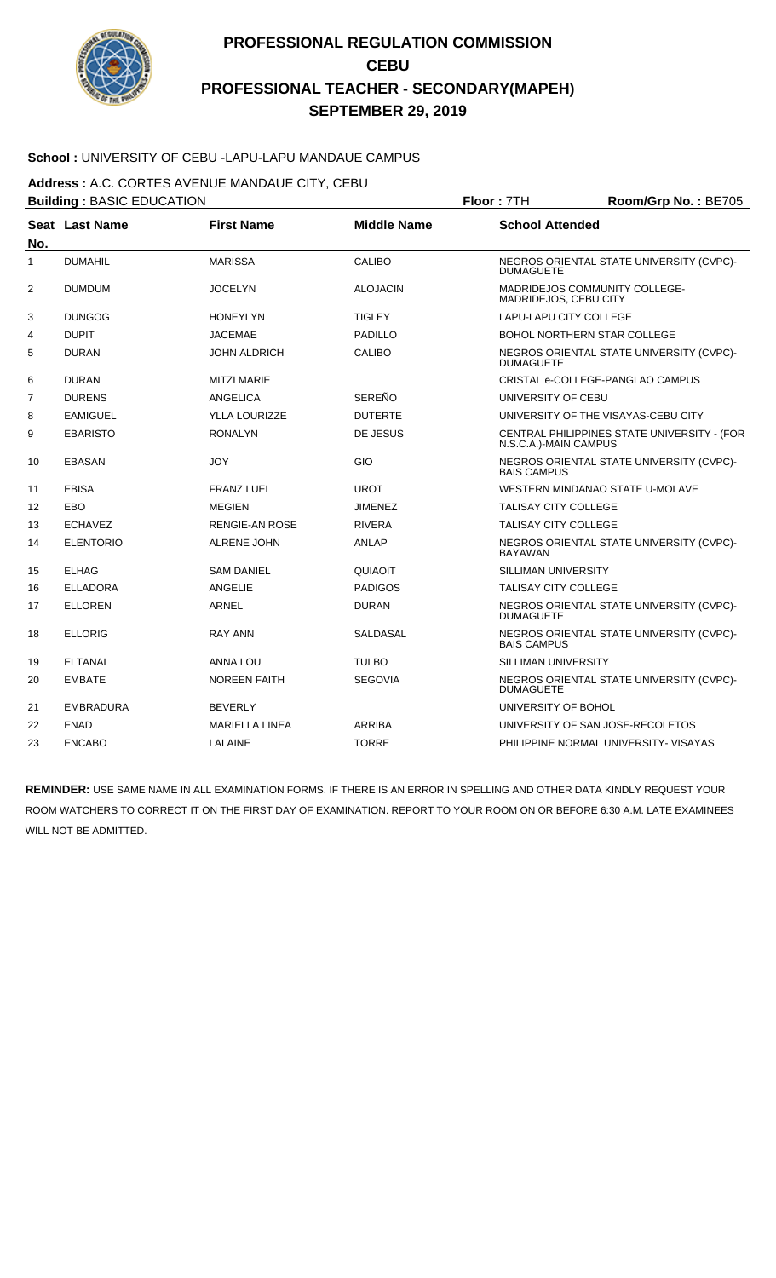

### **School :** UNIVERSITY OF CEBU -LAPU-LAPU MANDAUE CAMPUS

**Address :** A.C. CORTES AVENUE MANDAUE CITY, CEBU

|                | <b>Building: BASIC EDUCATION</b> |                       |                    | Floor: 7TH<br>Room/Grp No.: BE705 |                                             |  |
|----------------|----------------------------------|-----------------------|--------------------|-----------------------------------|---------------------------------------------|--|
| No.            | Seat Last Name                   | <b>First Name</b>     | <b>Middle Name</b> | <b>School Attended</b>            |                                             |  |
| 1              | <b>DUMAHIL</b>                   | <b>MARISSA</b>        | CALIBO             | <b>DUMAGUETE</b>                  | NEGROS ORIENTAL STATE UNIVERSITY (CVPC)-    |  |
| 2              | <b>DUMDUM</b>                    | <b>JOCELYN</b>        | <b>ALOJACIN</b>    | MADRIDEJOS, CEBU CITY             | <b>MADRIDEJOS COMMUNITY COLLEGE-</b>        |  |
| 3              | <b>DUNGOG</b>                    | <b>HONEYLYN</b>       | <b>TIGLEY</b>      | <b>LAPU-LAPU CITY COLLEGE</b>     |                                             |  |
| 4              | <b>DUPIT</b>                     | <b>JACEMAE</b>        | <b>PADILLO</b>     |                                   | <b>BOHOL NORTHERN STAR COLLEGE</b>          |  |
| 5              | <b>DURAN</b>                     | <b>JOHN ALDRICH</b>   | <b>CALIBO</b>      | <b>DUMAGUETE</b>                  | NEGROS ORIENTAL STATE UNIVERSITY (CVPC)-    |  |
| 6              | <b>DURAN</b>                     | <b>MITZI MARIE</b>    |                    |                                   | CRISTAL e-COLLEGE-PANGLAO CAMPUS            |  |
| $\overline{7}$ | <b>DURENS</b>                    | <b>ANGELICA</b>       | <b>SEREÑO</b>      | UNIVERSITY OF CEBU                |                                             |  |
| 8              | <b>EAMIGUEL</b>                  | <b>YLLA LOURIZZE</b>  | <b>DUTERTE</b>     |                                   | UNIVERSITY OF THE VISAYAS-CEBU CITY         |  |
| 9              | <b>EBARISTO</b>                  | <b>RONALYN</b>        | DE JESUS           | N.S.C.A.)-MAIN CAMPUS             | CENTRAL PHILIPPINES STATE UNIVERSITY - (FOR |  |
| 10             | <b>EBASAN</b>                    | <b>JOY</b>            | GIO                | <b>BAIS CAMPUS</b>                | NEGROS ORIENTAL STATE UNIVERSITY (CVPC)-    |  |
| 11             | <b>EBISA</b>                     | <b>FRANZ LUEL</b>     | <b>UROT</b>        |                                   | WESTERN MINDANAO STATE U-MOLAVE             |  |
| 12             | EBO                              | <b>MEGIEN</b>         | <b>JIMENEZ</b>     | TALISAY CITY COLLEGE              |                                             |  |
| 13             | <b>ECHAVEZ</b>                   | <b>RENGIE-AN ROSE</b> | <b>RIVERA</b>      | <b>TALISAY CITY COLLEGE</b>       |                                             |  |
| 14             | <b>ELENTORIO</b>                 | <b>ALRENE JOHN</b>    | <b>ANLAP</b>       | <b>BAYAWAN</b>                    | NEGROS ORIENTAL STATE UNIVERSITY (CVPC)-    |  |
| 15             | <b>ELHAG</b>                     | <b>SAM DANIEL</b>     | QUIAOIT            | SILLIMAN UNIVERSITY               |                                             |  |
| 16             | <b>ELLADORA</b>                  | <b>ANGELIE</b>        | <b>PADIGOS</b>     | <b>TALISAY CITY COLLEGE</b>       |                                             |  |
| 17             | <b>ELLOREN</b>                   | <b>ARNEL</b>          | <b>DURAN</b>       | <b>DUMAGUETE</b>                  | NEGROS ORIENTAL STATE UNIVERSITY (CVPC)-    |  |
| 18             | <b>ELLORIG</b>                   | <b>RAY ANN</b>        | <b>SALDASAL</b>    | <b>BAIS CAMPUS</b>                | NEGROS ORIENTAL STATE UNIVERSITY (CVPC)-    |  |
| 19             | <b>ELTANAL</b>                   | <b>ANNA LOU</b>       | <b>TULBO</b>       | <b>SILLIMAN UNIVERSITY</b>        |                                             |  |
| 20             | <b>EMBATE</b>                    | <b>NOREEN FAITH</b>   | <b>SEGOVIA</b>     | <b>DUMAGUETE</b>                  | NEGROS ORIENTAL STATE UNIVERSITY (CVPC)-    |  |
| 21             | <b>EMBRADURA</b>                 | <b>BEVERLY</b>        |                    | UNIVERSITY OF BOHOL               |                                             |  |
| 22             | <b>ENAD</b>                      | <b>MARIELLA LINEA</b> | <b>ARRIBA</b>      |                                   | UNIVERSITY OF SAN JOSE-RECOLETOS            |  |
| 23             | <b>ENCABO</b>                    | LALAINE               | <b>TORRE</b>       |                                   | PHILIPPINE NORMAL UNIVERSITY- VISAYAS       |  |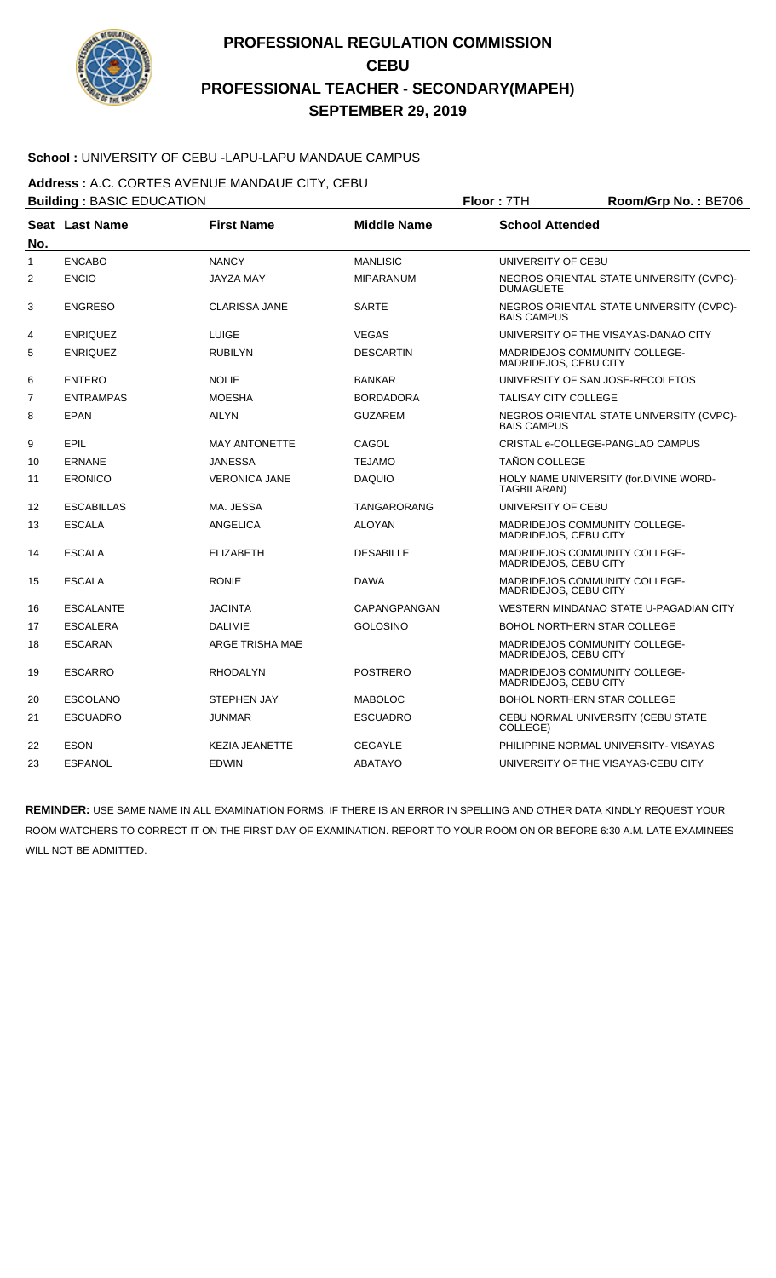

### **School :** UNIVERSITY OF CEBU -LAPU-LAPU MANDAUE CAMPUS

**Address :** A.C. CORTES AVENUE MANDAUE CITY, CEBU

| <b>Building: BASIC EDUCATION</b> |                   |                       | Floor: 7TH         | Room/Grp No.: BE706         |                                          |
|----------------------------------|-------------------|-----------------------|--------------------|-----------------------------|------------------------------------------|
| No.                              | Seat Last Name    | <b>First Name</b>     | <b>Middle Name</b> | <b>School Attended</b>      |                                          |
| $\mathbf{1}$                     | <b>ENCABO</b>     | <b>NANCY</b>          | <b>MANLISIC</b>    | UNIVERSITY OF CEBU          |                                          |
| 2                                | <b>ENCIO</b>      | <b>JAYZA MAY</b>      | MIPARANUM          | <b>DUMAGUETE</b>            | NEGROS ORIENTAL STATE UNIVERSITY (CVPC)- |
| 3                                | <b>ENGRESO</b>    | <b>CLARISSA JANE</b>  | <b>SARTE</b>       | <b>BAIS CAMPUS</b>          | NEGROS ORIENTAL STATE UNIVERSITY (CVPC)- |
| 4                                | <b>ENRIQUEZ</b>   | <b>LUIGE</b>          | <b>VEGAS</b>       |                             | UNIVERSITY OF THE VISAYAS-DANAO CITY     |
| 5                                | <b>ENRIQUEZ</b>   | <b>RUBILYN</b>        | <b>DESCARTIN</b>   | MADRIDEJOS, CEBU CITY       | MADRIDEJOS COMMUNITY COLLEGE-            |
| 6                                | <b>ENTERO</b>     | <b>NOLIE</b>          | <b>BANKAR</b>      |                             | UNIVERSITY OF SAN JOSE-RECOLETOS         |
| $\overline{7}$                   | <b>ENTRAMPAS</b>  | <b>MOESHA</b>         | <b>BORDADORA</b>   | <b>TALISAY CITY COLLEGE</b> |                                          |
| 8                                | <b>EPAN</b>       | <b>AILYN</b>          | <b>GUZAREM</b>     | <b>BAIS CAMPUS</b>          | NEGROS ORIENTAL STATE UNIVERSITY (CVPC)- |
| 9                                | <b>EPIL</b>       | <b>MAY ANTONETTE</b>  | CAGOL              |                             | CRISTAL e-COLLEGE-PANGLAO CAMPUS         |
| 10                               | <b>ERNANE</b>     | <b>JANESSA</b>        | <b>TEJAMO</b>      | <b>TAÑON COLLEGE</b>        |                                          |
| 11                               | <b>ERONICO</b>    | <b>VERONICA JANE</b>  | <b>DAQUIO</b>      | TAGBILARAN)                 | HOLY NAME UNIVERSITY (for.DIVINE WORD-   |
| $12 \overline{ }$                | <b>ESCABILLAS</b> | MA. JESSA             | <b>TANGARORANG</b> | UNIVERSITY OF CEBU          |                                          |
| 13                               | <b>ESCALA</b>     | ANGELICA              | <b>ALOYAN</b>      | MADRIDEJOS, CEBU CITY       | MADRIDEJOS COMMUNITY COLLEGE-            |
| 14                               | <b>ESCALA</b>     | <b>ELIZABETH</b>      | <b>DESABILLE</b>   | MADRIDEJOS, CEBU CITY       | MADRIDEJOS COMMUNITY COLLEGE-            |
| 15                               | <b>ESCALA</b>     | <b>RONIE</b>          | <b>DAWA</b>        | MADRIDEJOS, CEBU CITY       | MADRIDEJOS COMMUNITY COLLEGE-            |
| 16                               | <b>ESCALANTE</b>  | <b>JACINTA</b>        | CAPANGPANGAN       |                             | WESTERN MINDANAO STATE U-PAGADIAN CITY   |
| 17                               | <b>ESCALERA</b>   | <b>DALIMIE</b>        | <b>GOLOSINO</b>    |                             | <b>BOHOL NORTHERN STAR COLLEGE</b>       |
| 18                               | <b>ESCARAN</b>    | ARGE TRISHA MAE       |                    | MADRIDEJOS, CEBU CITY       | MADRIDEJOS COMMUNITY COLLEGE-            |
| 19                               | <b>ESCARRO</b>    | <b>RHODALYN</b>       | <b>POSTRERO</b>    | MADRIDEJOS, CEBU CITY       | MADRIDEJOS COMMUNITY COLLEGE-            |
| 20                               | <b>ESCOLANO</b>   | <b>STEPHEN JAY</b>    | <b>MABOLOC</b>     |                             | <b>BOHOL NORTHERN STAR COLLEGE</b>       |
| 21                               | <b>ESCUADRO</b>   | <b>JUNMAR</b>         | <b>ESCUADRO</b>    | COLLEGE)                    | CEBU NORMAL UNIVERSITY (CEBU STATE       |
| 22                               | <b>ESON</b>       | <b>KEZIA JEANETTE</b> | <b>CEGAYLE</b>     |                             | PHILIPPINE NORMAL UNIVERSITY- VISAYAS    |
| 23                               | <b>ESPANOL</b>    | <b>EDWIN</b>          | <b>ABATAYO</b>     |                             | UNIVERSITY OF THE VISAYAS-CEBU CITY      |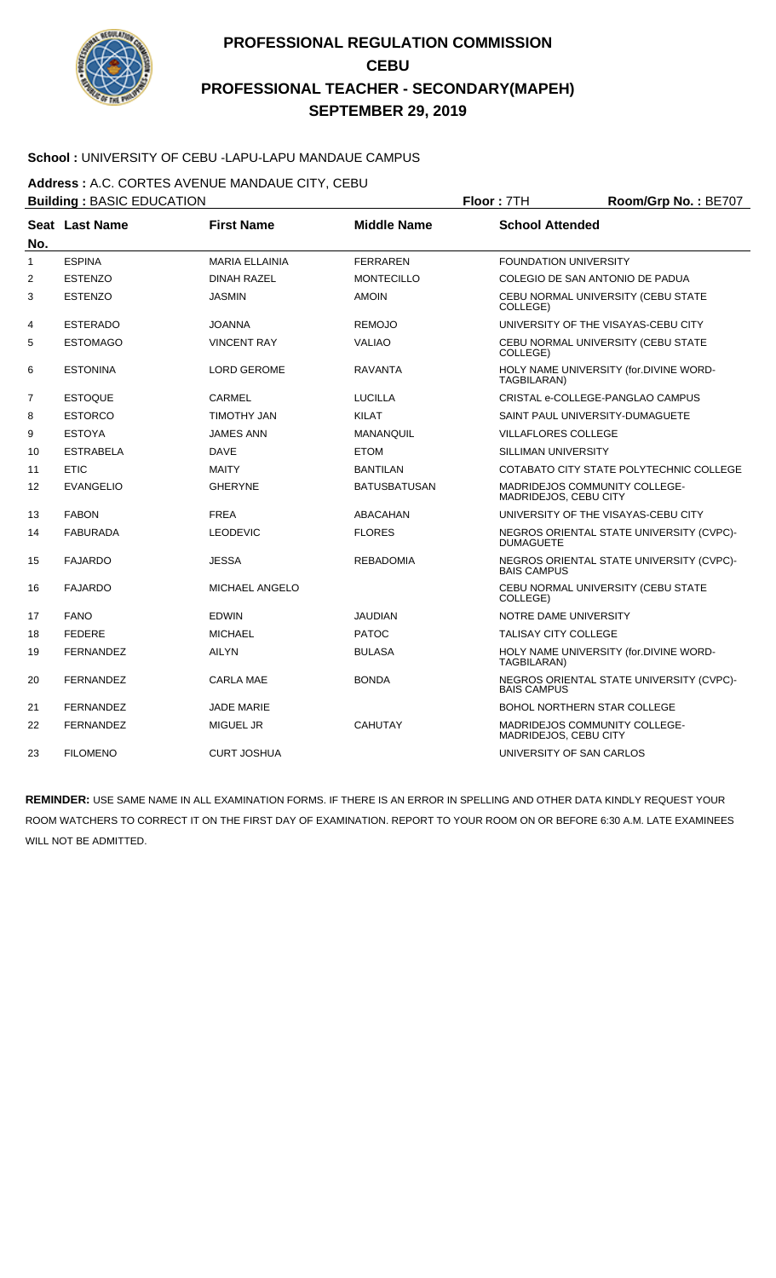

### **School :** UNIVERSITY OF CEBU -LAPU-LAPU MANDAUE CAMPUS

**Address :** A.C. CORTES AVENUE MANDAUE CITY, CEBU

|                | <b>Building: BASIC EDUCATION</b> |                       |                     | Floor: 7TH<br>Room/Grp No.: BE707                             |                                          |  |
|----------------|----------------------------------|-----------------------|---------------------|---------------------------------------------------------------|------------------------------------------|--|
|                | Seat Last Name                   | <b>First Name</b>     | <b>Middle Name</b>  | <b>School Attended</b>                                        |                                          |  |
| No.            |                                  |                       |                     |                                                               |                                          |  |
| $\mathbf{1}$   | <b>ESPINA</b>                    | <b>MARIA ELLAINIA</b> | <b>FERRAREN</b>     | <b>FOUNDATION UNIVERSITY</b>                                  |                                          |  |
| 2              | <b>ESTENZO</b>                   | <b>DINAH RAZEL</b>    | <b>MONTECILLO</b>   | COLEGIO DE SAN ANTONIO DE PADUA                               |                                          |  |
| 3              | <b>ESTENZO</b>                   | <b>JASMIN</b>         | <b>AMOIN</b>        | COLLEGE)                                                      | CEBU NORMAL UNIVERSITY (CEBU STATE       |  |
| 4              | <b>ESTERADO</b>                  | <b>JOANNA</b>         | <b>REMOJO</b>       |                                                               | UNIVERSITY OF THE VISAYAS-CEBU CITY      |  |
| 5              | <b>ESTOMAGO</b>                  | <b>VINCENT RAY</b>    | <b>VALIAO</b>       | COLLEGE)                                                      | CEBU NORMAL UNIVERSITY (CEBU STATE       |  |
| 6              | <b>ESTONINA</b>                  | <b>LORD GEROME</b>    | <b>RAVANTA</b>      | TAGBILARAN)                                                   | HOLY NAME UNIVERSITY (for.DIVINE WORD-   |  |
| $\overline{7}$ | <b>ESTOQUE</b>                   | <b>CARMEL</b>         | <b>LUCILLA</b>      |                                                               | CRISTAL e-COLLEGE-PANGLAO CAMPUS         |  |
| 8              | <b>ESTORCO</b>                   | <b>TIMOTHY JAN</b>    | <b>KILAT</b>        | SAINT PAUL UNIVERSITY-DUMAGUETE                               |                                          |  |
| 9              | <b>ESTOYA</b>                    | <b>JAMES ANN</b>      | <b>MANANQUIL</b>    | <b>VILLAFLORES COLLEGE</b>                                    |                                          |  |
| 10             | <b>ESTRABELA</b>                 | <b>DAVE</b>           | <b>ETOM</b>         | SILLIMAN UNIVERSITY                                           |                                          |  |
| 11             | <b>ETIC</b>                      | <b>MAITY</b>          | <b>BANTILAN</b>     |                                                               | COTABATO CITY STATE POLYTECHNIC COLLEGE  |  |
| 12             | <b>EVANGELIO</b>                 | <b>GHERYNE</b>        | <b>BATUSBATUSAN</b> | <b>MADRIDEJOS COMMUNITY COLLEGE-</b><br>MADRIDEJOS, CEBU CITY |                                          |  |
| 13             | <b>FABON</b>                     | <b>FREA</b>           | <b>ABACAHAN</b>     |                                                               | UNIVERSITY OF THE VISAYAS-CEBU CITY      |  |
| 14             | <b>FABURADA</b>                  | <b>LEODEVIC</b>       | <b>FLORES</b>       | <b>DUMAGUETE</b>                                              | NEGROS ORIENTAL STATE UNIVERSITY (CVPC)- |  |
| 15             | <b>FAJARDO</b>                   | <b>JESSA</b>          | <b>REBADOMIA</b>    | <b>BAIS CAMPUS</b>                                            | NEGROS ORIENTAL STATE UNIVERSITY (CVPC)- |  |
| 16             | <b>FAJARDO</b>                   | MICHAEL ANGELO        |                     | COLLEGE)                                                      | CEBU NORMAL UNIVERSITY (CEBU STATE       |  |
| 17             | <b>FANO</b>                      | <b>EDWIN</b>          | <b>JAUDIAN</b>      | NOTRE DAME UNIVERSITY                                         |                                          |  |
| 18             | <b>FEDERE</b>                    | <b>MICHAEL</b>        | <b>PATOC</b>        | <b>TALISAY CITY COLLEGE</b>                                   |                                          |  |
| 19             | <b>FERNANDEZ</b>                 | <b>AILYN</b>          | <b>BULASA</b>       | TAGBILARAN)                                                   | HOLY NAME UNIVERSITY (for.DIVINE WORD-   |  |
| 20             | <b>FERNANDEZ</b>                 | <b>CARLA MAE</b>      | <b>BONDA</b>        | <b>BAIS CAMPUS</b>                                            | NEGROS ORIENTAL STATE UNIVERSITY (CVPC)- |  |
| 21             | <b>FERNANDEZ</b>                 | <b>JADE MARIE</b>     |                     | <b>BOHOL NORTHERN STAR COLLEGE</b>                            |                                          |  |
| 22             | <b>FERNANDEZ</b>                 | <b>MIGUEL JR</b>      | <b>CAHUTAY</b>      | MADRIDEJOS COMMUNITY COLLEGE-<br>MADRIDEJOS, CEBU CITY        |                                          |  |
| 23             | <b>FILOMENO</b>                  | <b>CURT JOSHUA</b>    |                     | UNIVERSITY OF SAN CARLOS                                      |                                          |  |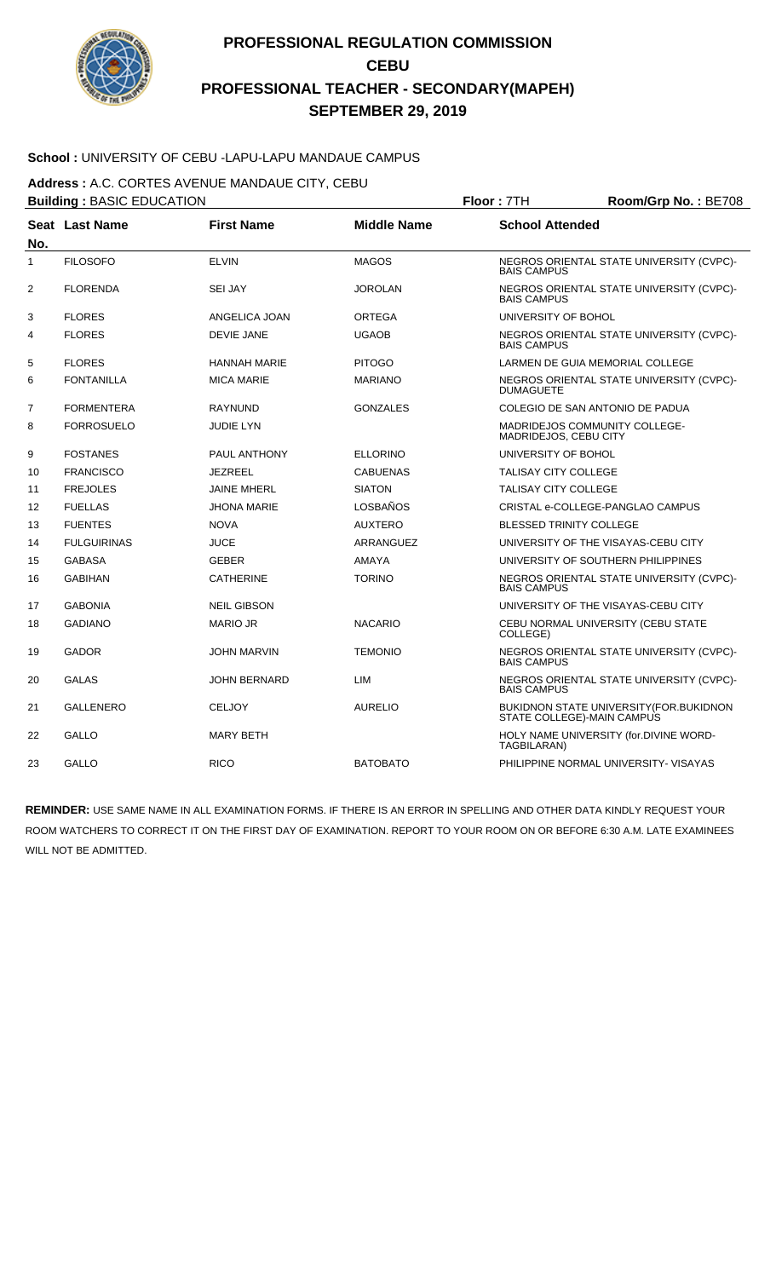

### **School :** UNIVERSITY OF CEBU -LAPU-LAPU MANDAUE CAMPUS

**Address :** A.C. CORTES AVENUE MANDAUE CITY, CEBU

|              | <b>Building: BASIC EDUCATION</b> |                     |                    | Floor: 7TH<br>Room/Grp No.: BE708 |                                          |  |
|--------------|----------------------------------|---------------------|--------------------|-----------------------------------|------------------------------------------|--|
| No.          | Seat Last Name                   | <b>First Name</b>   | <b>Middle Name</b> | <b>School Attended</b>            |                                          |  |
| $\mathbf{1}$ | <b>FILOSOFO</b>                  | <b>ELVIN</b>        | <b>MAGOS</b>       | <b>BAIS CAMPUS</b>                | NEGROS ORIENTAL STATE UNIVERSITY (CVPC)- |  |
| 2            | <b>FLORENDA</b>                  | <b>SEI JAY</b>      | <b>JOROLAN</b>     | <b>BAIS CAMPUS</b>                | NEGROS ORIENTAL STATE UNIVERSITY (CVPC)- |  |
| 3            | <b>FLORES</b>                    | ANGELICA JOAN       | <b>ORTEGA</b>      | UNIVERSITY OF BOHOL               |                                          |  |
| 4            | <b>FLORES</b>                    | <b>DEVIE JANE</b>   | <b>UGAOB</b>       | <b>BAIS CAMPUS</b>                | NEGROS ORIENTAL STATE UNIVERSITY (CVPC)- |  |
| 5            | <b>FLORES</b>                    | <b>HANNAH MARIE</b> | <b>PITOGO</b>      |                                   | LARMEN DE GUIA MEMORIAL COLLEGE          |  |
| 6            | <b>FONTANILLA</b>                | <b>MICA MARIE</b>   | <b>MARIANO</b>     | <b>DUMAGUETE</b>                  | NEGROS ORIENTAL STATE UNIVERSITY (CVPC)- |  |
| 7            | <b>FORMENTERA</b>                | <b>RAYNUND</b>      | <b>GONZALES</b>    |                                   | COLEGIO DE SAN ANTONIO DE PADUA          |  |
| 8            | <b>FORROSUELO</b>                | <b>JUDIE LYN</b>    |                    | MADRIDEJOS, CEBU CITY             | MADRIDEJOS COMMUNITY COLLEGE-            |  |
| 9            | <b>FOSTANES</b>                  | PAUL ANTHONY        | <b>ELLORINO</b>    | UNIVERSITY OF BOHOL               |                                          |  |
| 10           | <b>FRANCISCO</b>                 | JEZREEL             | <b>CABUENAS</b>    | <b>TALISAY CITY COLLEGE</b>       |                                          |  |
| 11           | <b>FREJOLES</b>                  | <b>JAINE MHERL</b>  | <b>SIATON</b>      | <b>TALISAY CITY COLLEGE</b>       |                                          |  |
| 12           | <b>FUELLAS</b>                   | <b>JHONA MARIE</b>  | <b>LOSBAÑOS</b>    |                                   | CRISTAL e-COLLEGE-PANGLAO CAMPUS         |  |
| 13           | <b>FUENTES</b>                   | <b>NOVA</b>         | <b>AUXTERO</b>     | <b>BLESSED TRINITY COLLEGE</b>    |                                          |  |
| 14           | <b>FULGUIRINAS</b>               | <b>JUCE</b>         | ARRANGUEZ          |                                   | UNIVERSITY OF THE VISAYAS-CEBU CITY      |  |
| 15           | <b>GABASA</b>                    | <b>GEBER</b>        | <b>AMAYA</b>       |                                   | UNIVERSITY OF SOUTHERN PHILIPPINES       |  |
| 16           | <b>GABIHAN</b>                   | <b>CATHERINE</b>    | <b>TORINO</b>      | <b>BAIS CAMPUS</b>                | NEGROS ORIENTAL STATE UNIVERSITY (CVPC)- |  |
| 17           | <b>GABONIA</b>                   | <b>NEIL GIBSON</b>  |                    |                                   | UNIVERSITY OF THE VISAYAS-CEBU CITY      |  |
| 18           | <b>GADIANO</b>                   | <b>MARIO JR</b>     | <b>NACARIO</b>     | COLLEGE)                          | CEBU NORMAL UNIVERSITY (CEBU STATE       |  |
| 19           | <b>GADOR</b>                     | JOHN MARVIN         | <b>TEMONIO</b>     | <b>BAIS CAMPUS</b>                | NEGROS ORIENTAL STATE UNIVERSITY (CVPC)- |  |
| 20           | <b>GALAS</b>                     | <b>JOHN BERNARD</b> | LIM                | <b>BAIS CAMPUS</b>                | NEGROS ORIENTAL STATE UNIVERSITY (CVPC)- |  |
| 21           | <b>GALLENERO</b>                 | <b>CELJOY</b>       | <b>AURELIO</b>     | STATE COLLEGE)-MAIN CAMPUS        | BUKIDNON STATE UNIVERSITY(FOR.BUKIDNON   |  |
| 22           | GALLO                            | <b>MARY BETH</b>    |                    | TAGBILARAN)                       | HOLY NAME UNIVERSITY (for.DIVINE WORD-   |  |
| 23           | <b>GALLO</b>                     | <b>RICO</b>         | <b>BATOBATO</b>    |                                   | PHILIPPINE NORMAL UNIVERSITY- VISAYAS    |  |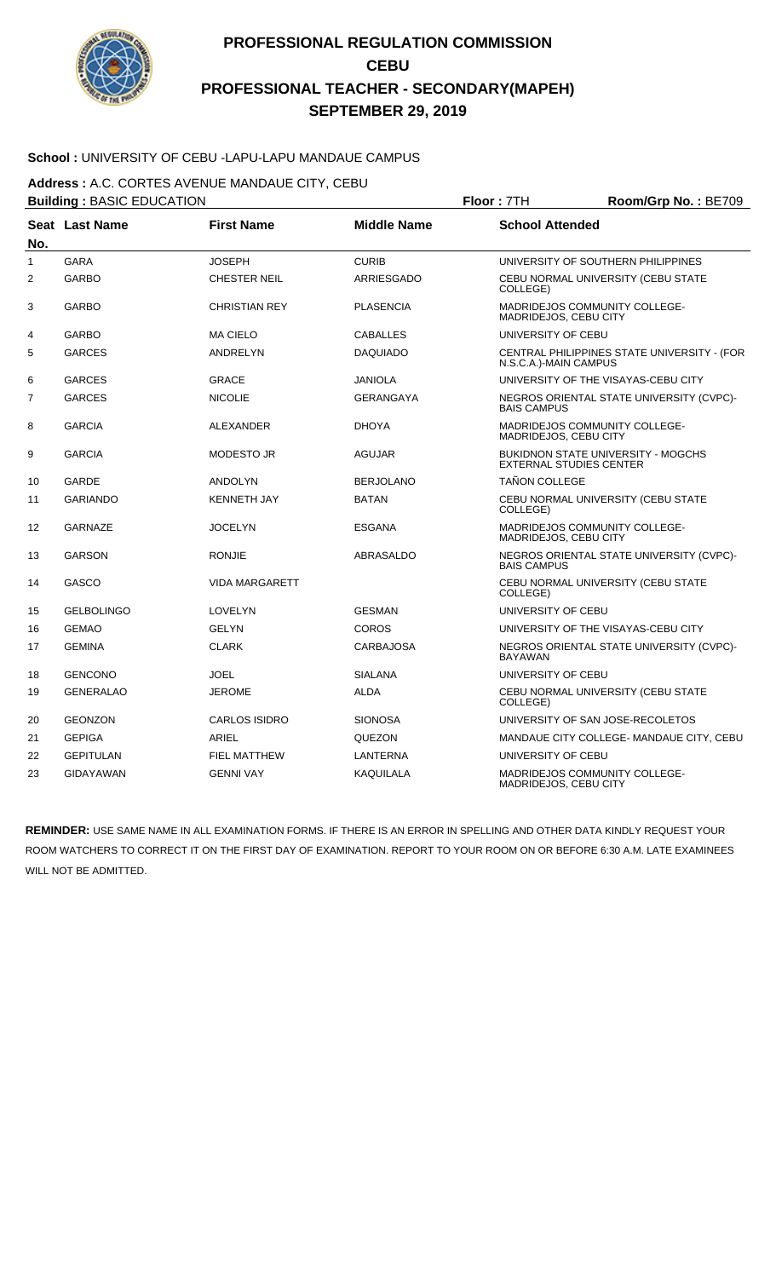

### **School :** UNIVERSITY OF CEBU -LAPU-LAPU MANDAUE CAMPUS

**Address :** A.C. CORTES AVENUE MANDAUE CITY, CEBU

|              | <b>Building: BASIC EDUCATION</b> |                       |                    | Floor: 7TH<br>Room/Grp No.: BE709                      |                                             |  |
|--------------|----------------------------------|-----------------------|--------------------|--------------------------------------------------------|---------------------------------------------|--|
|              | Seat Last Name                   | <b>First Name</b>     | <b>Middle Name</b> | <b>School Attended</b>                                 |                                             |  |
| No.          |                                  |                       |                    |                                                        |                                             |  |
| $\mathbf{1}$ | <b>GARA</b>                      | <b>JOSEPH</b>         | <b>CURIB</b>       |                                                        | UNIVERSITY OF SOUTHERN PHILIPPINES          |  |
| 2            | <b>GARBO</b>                     | <b>CHESTER NEIL</b>   | <b>ARRIESGADO</b>  | COLLEGE)                                               | CEBU NORMAL UNIVERSITY (CEBU STATE          |  |
| 3            | <b>GARBO</b>                     | <b>CHRISTIAN REY</b>  | <b>PLASENCIA</b>   | MADRIDEJOS COMMUNITY COLLEGE-<br>MADRIDEJOS, CEBU CITY |                                             |  |
| 4            | <b>GARBO</b>                     | <b>MA CIELO</b>       | <b>CABALLES</b>    | UNIVERSITY OF CEBU                                     |                                             |  |
| 5            | <b>GARCES</b>                    | <b>ANDRELYN</b>       | <b>DAQUIADO</b>    | N.S.C.A.)-MAIN CAMPUS                                  | CENTRAL PHILIPPINES STATE UNIVERSITY - (FOR |  |
| 6            | <b>GARCES</b>                    | <b>GRACE</b>          | <b>JANIOLA</b>     |                                                        | UNIVERSITY OF THE VISAYAS-CEBU CITY         |  |
| 7            | <b>GARCES</b>                    | <b>NICOLIE</b>        | GERANGAYA          | <b>BAIS CAMPUS</b>                                     | NEGROS ORIENTAL STATE UNIVERSITY (CVPC)-    |  |
| 8            | <b>GARCIA</b>                    | ALEXANDER             | <b>DHOYA</b>       | MADRIDEJOS COMMUNITY COLLEGE-<br>MADRIDEJOS, CEBU CITY |                                             |  |
| 9            | <b>GARCIA</b>                    | <b>MODESTO JR</b>     | <b>AGUJAR</b>      | <b>EXTERNAL STUDIES CENTER</b>                         | <b>BUKIDNON STATE UNIVERSITY - MOGCHS</b>   |  |
| 10           | GARDE                            | <b>ANDOLYN</b>        | <b>BERJOLANO</b>   | <b>TAÑON COLLEGE</b>                                   |                                             |  |
| 11           | <b>GARIANDO</b>                  | <b>KENNETH JAY</b>    | <b>BATAN</b>       | COLLEGE)                                               | CEBU NORMAL UNIVERSITY (CEBU STATE          |  |
| 12           | <b>GARNAZE</b>                   | <b>JOCELYN</b>        | ESGANA             | MADRIDEJOS COMMUNITY COLLEGE-<br>MADRIDEJOS, CEBU CITY |                                             |  |
| 13           | <b>GARSON</b>                    | <b>RONJIE</b>         | ABRASALDO          | <b>BAIS CAMPUS</b>                                     | NEGROS ORIENTAL STATE UNIVERSITY (CVPC)-    |  |
| 14           | GASCO                            | <b>VIDA MARGARETT</b> |                    | COLLEGE)                                               | CEBU NORMAL UNIVERSITY (CEBU STATE          |  |
| 15           | <b>GELBOLINGO</b>                | LOVELYN               | <b>GESMAN</b>      | UNIVERSITY OF CEBU                                     |                                             |  |
| 16           | <b>GEMAO</b>                     | <b>GELYN</b>          | <b>COROS</b>       |                                                        | UNIVERSITY OF THE VISAYAS-CEBU CITY         |  |
| 17           | <b>GEMINA</b>                    | <b>CLARK</b>          | <b>CARBAJOSA</b>   | <b>BAYAWAN</b>                                         | NEGROS ORIENTAL STATE UNIVERSITY (CVPC)-    |  |
| 18           | <b>GENCONO</b>                   | <b>JOEL</b>           | <b>SIALANA</b>     | UNIVERSITY OF CEBU                                     |                                             |  |
| 19           | <b>GENERALAO</b>                 | <b>JEROME</b>         | <b>ALDA</b>        | COLLEGE)                                               | CEBU NORMAL UNIVERSITY (CEBU STATE          |  |
| 20           | <b>GEONZON</b>                   | <b>CARLOS ISIDRO</b>  | <b>SIONOSA</b>     | UNIVERSITY OF SAN JOSE-RECOLETOS                       |                                             |  |
| 21           | <b>GEPIGA</b>                    | <b>ARIEL</b>          | QUEZON             |                                                        | MANDAUE CITY COLLEGE- MANDAUE CITY, CEBU    |  |
| 22           | <b>GEPITULAN</b>                 | <b>FIEL MATTHEW</b>   | LANTERNA           | UNIVERSITY OF CEBU                                     |                                             |  |
| 23           | <b>GIDAYAWAN</b>                 | <b>GENNI VAY</b>      | <b>KAQUILALA</b>   | MADRIDEJOS COMMUNITY COLLEGE-<br>MADRIDEJOS, CEBU CITY |                                             |  |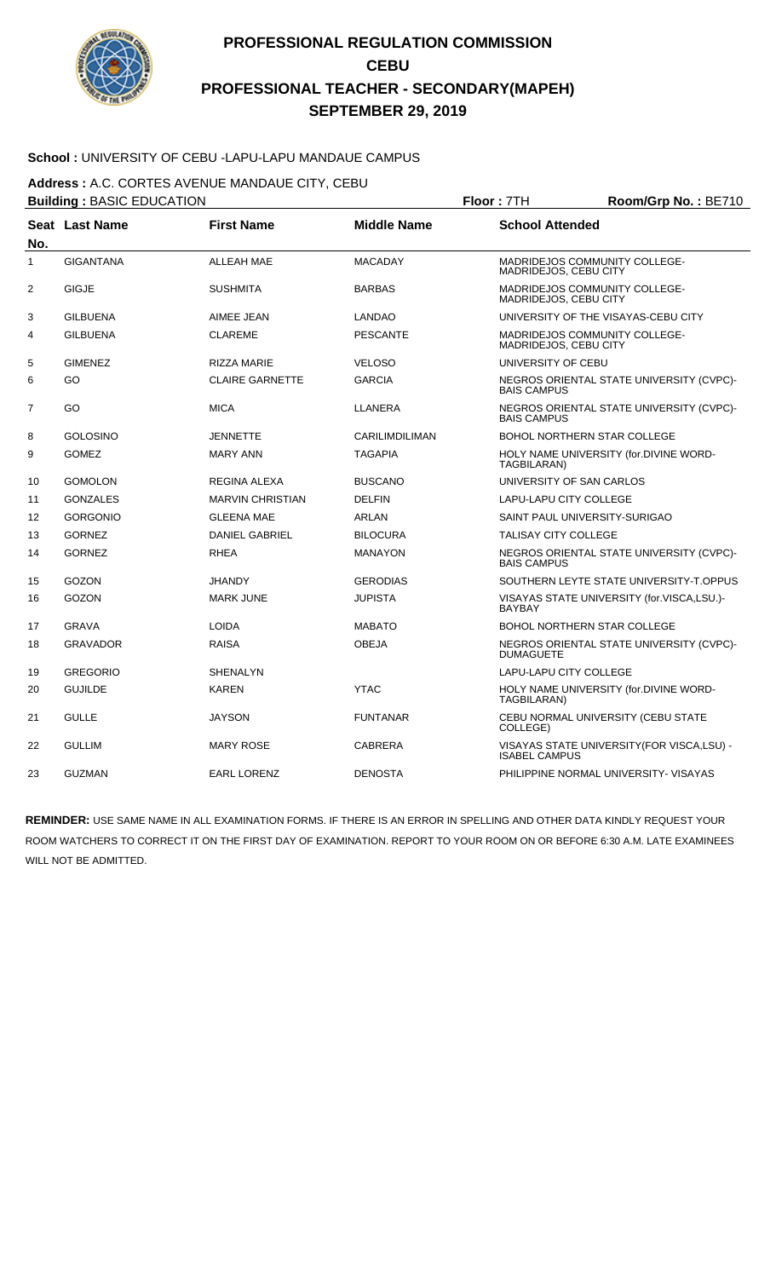

### **School :** UNIVERSITY OF CEBU -LAPU-LAPU MANDAUE CAMPUS

**Address :** A.C. CORTES AVENUE MANDAUE CITY, CEBU

|                | <b>Building: BASIC EDUCATION</b> |                         |                       | Floor: 7TH                    | Room/Grp No.: BE710                        |
|----------------|----------------------------------|-------------------------|-----------------------|-------------------------------|--------------------------------------------|
| No.            | Seat Last Name                   | <b>First Name</b>       | <b>Middle Name</b>    | <b>School Attended</b>        |                                            |
| $\mathbf{1}$   | <b>GIGANTANA</b>                 | <b>ALLEAH MAE</b>       | <b>MACADAY</b>        | MADRIDEJOS, CEBU CITY         | <b>MADRIDEJOS COMMUNITY COLLEGE-</b>       |
| 2              | <b>GIGJE</b>                     | <b>SUSHMITA</b>         | <b>BARBAS</b>         | MADRIDEJOS, CEBU CITY         | MADRIDEJOS COMMUNITY COLLEGE-              |
| 3              | <b>GILBUENA</b>                  | AIMEE JEAN              | <b>LANDAO</b>         |                               | UNIVERSITY OF THE VISAYAS-CEBU CITY        |
| 4              | <b>GILBUENA</b>                  | <b>CLAREME</b>          | <b>PESCANTE</b>       | MADRIDEJOS, CEBU CITY         | MADRIDEJOS COMMUNITY COLLEGE-              |
| 5              | <b>GIMENEZ</b>                   | <b>RIZZA MARIE</b>      | <b>VELOSO</b>         | UNIVERSITY OF CEBU            |                                            |
| 6              | GO                               | <b>CLAIRE GARNETTE</b>  | <b>GARCIA</b>         | <b>BAIS CAMPUS</b>            | NEGROS ORIENTAL STATE UNIVERSITY (CVPC)-   |
| $\overline{7}$ | GO                               | <b>MICA</b>             | LLANERA               | <b>BAIS CAMPUS</b>            | NEGROS ORIENTAL STATE UNIVERSITY (CVPC)-   |
| 8              | <b>GOLOSINO</b>                  | <b>JENNETTE</b>         | <b>CARILIMDILIMAN</b> |                               | <b>BOHOL NORTHERN STAR COLLEGE</b>         |
| 9              | <b>GOMEZ</b>                     | <b>MARY ANN</b>         | <b>TAGAPIA</b>        | TAGBILARAN)                   | HOLY NAME UNIVERSITY (for.DIVINE WORD-     |
| 10             | <b>GOMOLON</b>                   | REGINA ALEXA            | <b>BUSCANO</b>        | UNIVERSITY OF SAN CARLOS      |                                            |
| 11             | <b>GONZALES</b>                  | <b>MARVIN CHRISTIAN</b> | <b>DELFIN</b>         | LAPU-LAPU CITY COLLEGE        |                                            |
| 12             | <b>GORGONIO</b>                  | <b>GLEENA MAE</b>       | <b>ARLAN</b>          |                               | SAINT PAUL UNIVERSITY-SURIGAO              |
| 13             | <b>GORNEZ</b>                    | <b>DANIEL GABRIEL</b>   | <b>BILOCURA</b>       | TALISAY CITY COLLEGE          |                                            |
| 14             | <b>GORNEZ</b>                    | <b>RHEA</b>             | <b>MANAYON</b>        | <b>BAIS CAMPUS</b>            | NEGROS ORIENTAL STATE UNIVERSITY (CVPC)-   |
| 15             | GOZON                            | <b>JHANDY</b>           | <b>GERODIAS</b>       |                               | SOUTHERN LEYTE STATE UNIVERSITY-T.OPPUS    |
| 16             | GOZON                            | <b>MARK JUNE</b>        | <b>JUPISTA</b>        | <b>BAYBAY</b>                 | VISAYAS STATE UNIVERSITY (for.VISCA,LSU.)- |
| 17             | <b>GRAVA</b>                     | <b>LOIDA</b>            | <b>MABATO</b>         |                               | <b>BOHOL NORTHERN STAR COLLEGE</b>         |
| 18             | <b>GRAVADOR</b>                  | <b>RAISA</b>            | <b>OBEJA</b>          | <b>DUMAGUETE</b>              | NEGROS ORIENTAL STATE UNIVERSITY (CVPC)-   |
| 19             | <b>GREGORIO</b>                  | SHENALYN                |                       | <b>LAPU-LAPU CITY COLLEGE</b> |                                            |
| 20             | <b>GUJILDE</b>                   | <b>KAREN</b>            | <b>YTAC</b>           | TAGBILARAN)                   | HOLY NAME UNIVERSITY (for.DIVINE WORD-     |
| 21             | <b>GULLE</b>                     | <b>JAYSON</b>           | <b>FUNTANAR</b>       | COLLEGE)                      | CEBU NORMAL UNIVERSITY (CEBU STATE         |
| 22             | <b>GULLIM</b>                    | <b>MARY ROSE</b>        | <b>CABRERA</b>        | <b>ISABEL CAMPUS</b>          | VISAYAS STATE UNIVERSITY(FOR VISCA,LSU) -  |
| 23             | <b>GUZMAN</b>                    | <b>EARL LORENZ</b>      | <b>DENOSTA</b>        |                               | PHILIPPINE NORMAL UNIVERSITY- VISAYAS      |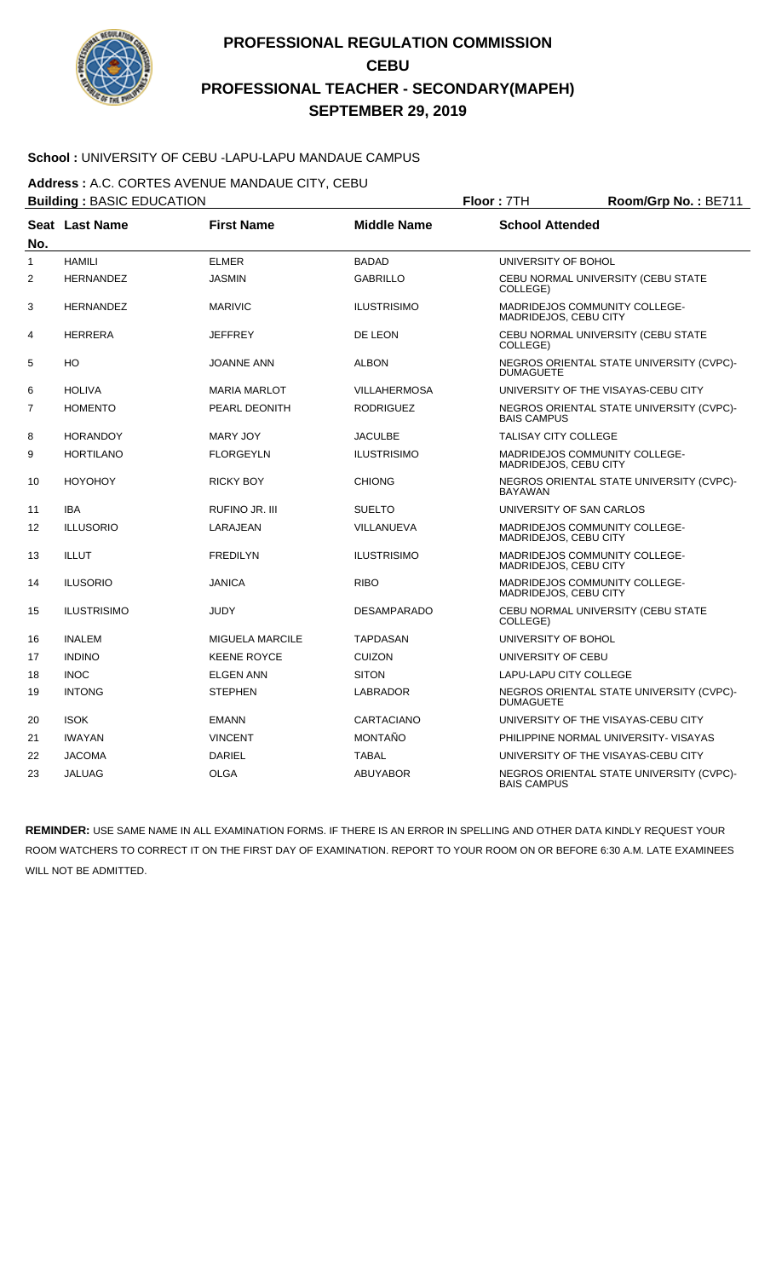

### **School :** UNIVERSITY OF CEBU -LAPU-LAPU MANDAUE CAMPUS

**Address :** A.C. CORTES AVENUE MANDAUE CITY, CEBU

|                | <b>Building: BASIC EDUCATION</b> |                        |                     | Floor: 7TH                                                    | Room/Grp No.: BE711                      |
|----------------|----------------------------------|------------------------|---------------------|---------------------------------------------------------------|------------------------------------------|
|                | Seat Last Name                   | <b>First Name</b>      | <b>Middle Name</b>  | <b>School Attended</b>                                        |                                          |
| No.            |                                  |                        |                     |                                                               |                                          |
| 1              | <b>HAMILI</b>                    | <b>ELMER</b>           | <b>BADAD</b>        | UNIVERSITY OF BOHOL                                           |                                          |
| 2              | <b>HERNANDEZ</b>                 | <b>JASMIN</b>          | <b>GABRILLO</b>     | COLLEGE)                                                      | CEBU NORMAL UNIVERSITY (CEBU STATE       |
| 3              | <b>HERNANDEZ</b>                 | <b>MARIVIC</b>         | <b>ILUSTRISIMO</b>  | <b>MADRIDEJOS COMMUNITY COLLEGE-</b><br>MADRIDEJOS, CEBU CITY |                                          |
| 4              | <b>HERRERA</b>                   | <b>JEFFREY</b>         | DE LEON             | COLLEGE)                                                      | CEBU NORMAL UNIVERSITY (CEBU STATE       |
| 5              | HO                               | <b>JOANNE ANN</b>      | <b>ALBON</b>        | <b>DUMAGUETE</b>                                              | NEGROS ORIENTAL STATE UNIVERSITY (CVPC)- |
| 6              | <b>HOLIVA</b>                    | <b>MARIA MARLOT</b>    | <b>VILLAHERMOSA</b> |                                                               | UNIVERSITY OF THE VISAYAS-CEBU CITY      |
| $\overline{7}$ | <b>HOMENTO</b>                   | PEARL DEONITH          | <b>RODRIGUEZ</b>    | <b>BAIS CAMPUS</b>                                            | NEGROS ORIENTAL STATE UNIVERSITY (CVPC)- |
| 8              | <b>HORANDOY</b>                  | <b>MARY JOY</b>        | <b>JACULBE</b>      | <b>TALISAY CITY COLLEGE</b>                                   |                                          |
| 9              | <b>HORTILANO</b>                 | <b>FLORGEYLN</b>       | <b>ILUSTRISIMO</b>  | MADRIDEJOS COMMUNITY COLLEGE-<br>MADRIDEJOS, CEBU CITY        |                                          |
| 10             | <b>HOYOHOY</b>                   | <b>RICKY BOY</b>       | <b>CHIONG</b>       | BAYAWAN                                                       | NEGROS ORIENTAL STATE UNIVERSITY (CVPC)- |
| 11             | <b>IBA</b>                       | RUFINO JR. III         | <b>SUELTO</b>       | UNIVERSITY OF SAN CARLOS                                      |                                          |
| 12             | <b>ILLUSORIO</b>                 | LARAJEAN               | VILLANUEVA          | MADRIDEJOS COMMUNITY COLLEGE-<br>MADRIDEJOS, CEBU CITY        |                                          |
| 13             | ILLUT                            | <b>FREDILYN</b>        | <b>ILUSTRISIMO</b>  | MADRIDEJOS COMMUNITY COLLEGE-<br>MADRIDEJOS, CEBU CITY        |                                          |
| 14             | <b>ILUSORIO</b>                  | <b>JANICA</b>          | <b>RIBO</b>         | MADRIDEJOS COMMUNITY COLLEGE-<br>MADRIDEJOS, CEBU CITY        |                                          |
| 15             | <b>ILUSTRISIMO</b>               | <b>JUDY</b>            | <b>DESAMPARADO</b>  | COLLEGE)                                                      | CEBU NORMAL UNIVERSITY (CEBU STATE       |
| 16             | <b>INALEM</b>                    | <b>MIGUELA MARCILE</b> | <b>TAPDASAN</b>     | UNIVERSITY OF BOHOL                                           |                                          |
| 17             | <b>INDINO</b>                    | <b>KEENE ROYCE</b>     | <b>CUIZON</b>       | UNIVERSITY OF CEBU                                            |                                          |
| 18             | <b>INOC</b>                      | <b>ELGEN ANN</b>       | <b>SITON</b>        | LAPU-LAPU CITY COLLEGE                                        |                                          |
| 19             | <b>INTONG</b>                    | <b>STEPHEN</b>         | LABRADOR            | <b>DUMAGUETE</b>                                              | NEGROS ORIENTAL STATE UNIVERSITY (CVPC)- |
| 20             | <b>ISOK</b>                      | <b>EMANN</b>           | CARTACIANO          |                                                               | UNIVERSITY OF THE VISAYAS-CEBU CITY      |
| 21             | <b>IWAYAN</b>                    | <b>VINCENT</b>         | <b>MONTAÑO</b>      |                                                               | PHILIPPINE NORMAL UNIVERSITY- VISAYAS    |
| 22             | <b>JACOMA</b>                    | <b>DARIEL</b>          | <b>TABAL</b>        |                                                               | UNIVERSITY OF THE VISAYAS-CEBU CITY      |
| 23             | <b>JALUAG</b>                    | <b>OLGA</b>            | <b>ABUYABOR</b>     | <b>BAIS CAMPUS</b>                                            | NEGROS ORIENTAL STATE UNIVERSITY (CVPC)- |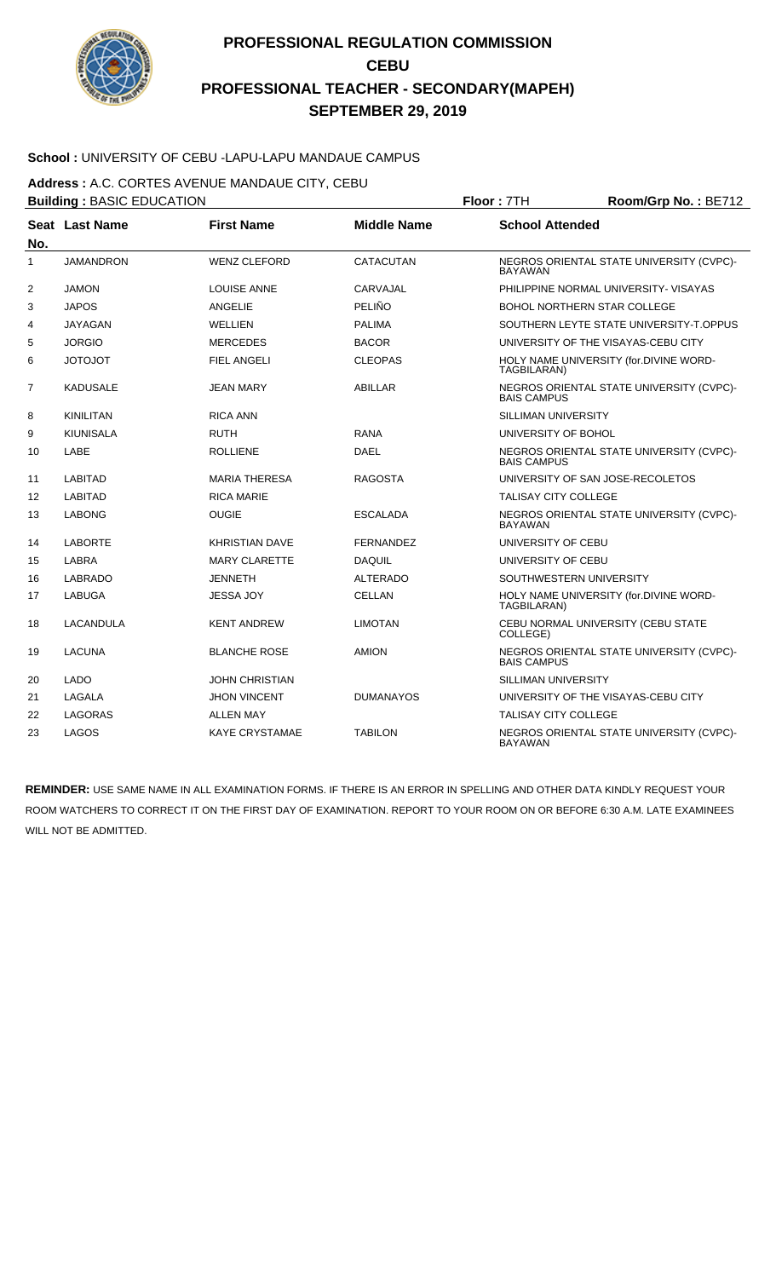

### **School :** UNIVERSITY OF CEBU -LAPU-LAPU MANDAUE CAMPUS

**Address :** A.C. CORTES AVENUE MANDAUE CITY, CEBU

|              | <b>Building: BASIC EDUCATION</b> |                       |                    | Room/Grp No.: BE712         |                                          |
|--------------|----------------------------------|-----------------------|--------------------|-----------------------------|------------------------------------------|
| No.          | Seat Last Name                   | <b>First Name</b>     | <b>Middle Name</b> | <b>School Attended</b>      |                                          |
| $\mathbf{1}$ | <b>JAMANDRON</b>                 | <b>WENZ CLEFORD</b>   | CATACUTAN          | <b>BAYAWAN</b>              | NEGROS ORIENTAL STATE UNIVERSITY (CVPC)- |
| 2            | <b>JAMON</b>                     | <b>LOUISE ANNE</b>    | CARVAJAL           |                             | PHILIPPINE NORMAL UNIVERSITY- VISAYAS    |
| 3            | <b>JAPOS</b>                     | <b>ANGELIE</b>        | PELIÑO             |                             | <b>BOHOL NORTHERN STAR COLLEGE</b>       |
| 4            | <b>JAYAGAN</b>                   | WELLIEN               | <b>PALIMA</b>      |                             | SOUTHERN LEYTE STATE UNIVERSITY-T.OPPUS  |
| 5            | <b>JORGIO</b>                    | <b>MERCEDES</b>       | <b>BACOR</b>       |                             | UNIVERSITY OF THE VISAYAS-CEBU CITY      |
| 6            | <b>JOTOJOT</b>                   | <b>FIEL ANGELI</b>    | <b>CLEOPAS</b>     | TAGBILARAN)                 | HOLY NAME UNIVERSITY (for.DIVINE WORD-   |
| 7            | <b>KADUSALE</b>                  | JEAN MARY             | ABILLAR            | <b>BAIS CAMPUS</b>          | NEGROS ORIENTAL STATE UNIVERSITY (CVPC)- |
| 8            | <b>KINILITAN</b>                 | <b>RICA ANN</b>       |                    | <b>SILLIMAN UNIVERSITY</b>  |                                          |
| 9            | <b>KIUNISALA</b>                 | <b>RUTH</b>           | <b>RANA</b>        | UNIVERSITY OF BOHOL         |                                          |
| 10           | LABE                             | <b>ROLLIENE</b>       | <b>DAEL</b>        | <b>BAIS CAMPUS</b>          | NEGROS ORIENTAL STATE UNIVERSITY (CVPC)- |
| 11           | <b>LABITAD</b>                   | <b>MARIA THERESA</b>  | <b>RAGOSTA</b>     |                             | UNIVERSITY OF SAN JOSE-RECOLETOS         |
| 12           | <b>LABITAD</b>                   | <b>RICA MARIE</b>     |                    | <b>TALISAY CITY COLLEGE</b> |                                          |
| 13           | <b>LABONG</b>                    | <b>OUGIE</b>          | <b>ESCALADA</b>    | <b>BAYAWAN</b>              | NEGROS ORIENTAL STATE UNIVERSITY (CVPC)- |
| 14           | <b>LABORTE</b>                   | <b>KHRISTIAN DAVE</b> | <b>FERNANDEZ</b>   | UNIVERSITY OF CEBU          |                                          |
| 15           | LABRA                            | <b>MARY CLARETTE</b>  | DAQUIL             | UNIVERSITY OF CEBU          |                                          |
| 16           | <b>LABRADO</b>                   | <b>JENNETH</b>        | <b>ALTERADO</b>    |                             | SOUTHWESTERN UNIVERSITY                  |
| 17           | LABUGA                           | <b>JESSA JOY</b>      | <b>CELLAN</b>      | TAGBILARAN)                 | HOLY NAME UNIVERSITY (for.DIVINE WORD-   |
| 18           | LACANDULA                        | <b>KENT ANDREW</b>    | <b>LIMOTAN</b>     | COLLEGE)                    | CEBU NORMAL UNIVERSITY (CEBU STATE       |
| 19           | <b>LACUNA</b>                    | <b>BLANCHE ROSE</b>   | <b>AMION</b>       | <b>BAIS CAMPUS</b>          | NEGROS ORIENTAL STATE UNIVERSITY (CVPC)- |
| 20           | <b>LADO</b>                      | JOHN CHRISTIAN        |                    | SILLIMAN UNIVERSITY         |                                          |
| 21           | LAGALA                           | <b>JHON VINCENT</b>   | <b>DUMANAYOS</b>   |                             | UNIVERSITY OF THE VISAYAS-CEBU CITY      |
| 22           | <b>LAGORAS</b>                   | <b>ALLEN MAY</b>      |                    | <b>TALISAY CITY COLLEGE</b> |                                          |
| 23           | LAGOS                            | <b>KAYE CRYSTAMAE</b> | <b>TABILON</b>     | <b>BAYAWAN</b>              | NEGROS ORIENTAL STATE UNIVERSITY (CVPC)- |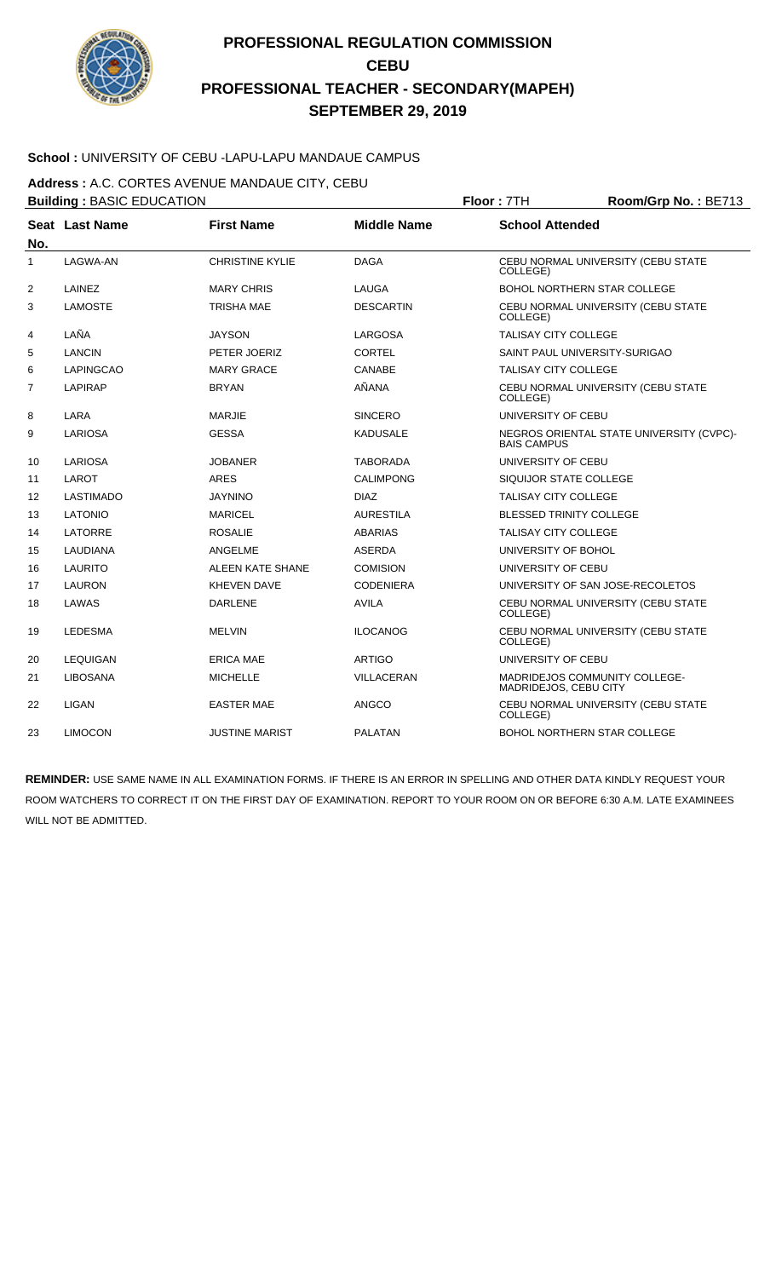

### **School :** UNIVERSITY OF CEBU -LAPU-LAPU MANDAUE CAMPUS

**Address :** A.C. CORTES AVENUE MANDAUE CITY, CEBU

|              | <b>Building: BASIC EDUCATION</b> |                        |                    | Floor: 7TH<br>Room/Grp No.: BE713 |                                          |  |
|--------------|----------------------------------|------------------------|--------------------|-----------------------------------|------------------------------------------|--|
| No.          | Seat Last Name                   | <b>First Name</b>      | <b>Middle Name</b> | <b>School Attended</b>            |                                          |  |
| $\mathbf{1}$ | LAGWA-AN                         | <b>CHRISTINE KYLIE</b> | <b>DAGA</b>        | COLLEGE)                          | CEBU NORMAL UNIVERSITY (CEBU STATE       |  |
| 2            | LAINEZ                           | <b>MARY CHRIS</b>      | LAUGA              |                                   | BOHOL NORTHERN STAR COLLEGE              |  |
| 3            | <b>LAMOSTE</b>                   | TRISHA MAE             | <b>DESCARTIN</b>   | COLLEGE)                          | CEBU NORMAL UNIVERSITY (CEBU STATE       |  |
| 4            | LAÑA                             | <b>JAYSON</b>          | LARGOSA            | <b>TALISAY CITY COLLEGE</b>       |                                          |  |
| 5            | <b>LANCIN</b>                    | PETER JOERIZ           | <b>CORTEL</b>      |                                   | SAINT PAUL UNIVERSITY-SURIGAO            |  |
| 6            | LAPINGCAO                        | <b>MARY GRACE</b>      | <b>CANABE</b>      | <b>TALISAY CITY COLLEGE</b>       |                                          |  |
| 7            | <b>LAPIRAP</b>                   | <b>BRYAN</b>           | AÑANA              | COLLEGE)                          | CEBU NORMAL UNIVERSITY (CEBU STATE       |  |
| 8            | LARA                             | <b>MARJIE</b>          | <b>SINCERO</b>     | UNIVERSITY OF CEBU                |                                          |  |
| 9            | LARIOSA                          | <b>GESSA</b>           | <b>KADUSALE</b>    | <b>BAIS CAMPUS</b>                | NEGROS ORIENTAL STATE UNIVERSITY (CVPC)- |  |
| 10           | LARIOSA                          | <b>JOBANER</b>         | <b>TABORADA</b>    | UNIVERSITY OF CEBU                |                                          |  |
| 11           | LAROT                            | <b>ARES</b>            | <b>CALIMPONG</b>   | SIQUIJOR STATE COLLEGE            |                                          |  |
| 12           | <b>LASTIMADO</b>                 | <b>JAYNINO</b>         | <b>DIAZ</b>        | <b>TALISAY CITY COLLEGE</b>       |                                          |  |
| 13           | <b>LATONIO</b>                   | <b>MARICEL</b>         | <b>AURESTILA</b>   | <b>BLESSED TRINITY COLLEGE</b>    |                                          |  |
| 14           | LATORRE                          | <b>ROSALIE</b>         | <b>ABARIAS</b>     | <b>TALISAY CITY COLLEGE</b>       |                                          |  |
| 15           | <b>LAUDIANA</b>                  | ANGELME                | <b>ASERDA</b>      | UNIVERSITY OF BOHOL               |                                          |  |
| 16           | LAURITO                          | ALEEN KATE SHANE       | <b>COMISION</b>    | UNIVERSITY OF CEBU                |                                          |  |
| 17           | <b>LAURON</b>                    | <b>KHEVEN DAVE</b>     | <b>CODENIERA</b>   |                                   | UNIVERSITY OF SAN JOSE-RECOLETOS         |  |
| 18           | LAWAS                            | <b>DARLENE</b>         | <b>AVILA</b>       | COLLEGE)                          | CEBU NORMAL UNIVERSITY (CEBU STATE       |  |
| 19           | <b>LEDESMA</b>                   | <b>MELVIN</b>          | <b>ILOCANOG</b>    | COLLEGE)                          | CEBU NORMAL UNIVERSITY (CEBU STATE       |  |
| 20           | <b>LEQUIGAN</b>                  | <b>ERICA MAE</b>       | <b>ARTIGO</b>      | UNIVERSITY OF CEBU                |                                          |  |
| 21           | <b>LIBOSANA</b>                  | <b>MICHELLE</b>        | <b>VILLACERAN</b>  | MADRIDEJOS, CEBU CITY             | MADRIDEJOS COMMUNITY COLLEGE-            |  |
| 22           | <b>LIGAN</b>                     | <b>EASTER MAE</b>      | <b>ANGCO</b>       | COLLEGE)                          | CEBU NORMAL UNIVERSITY (CEBU STATE       |  |
| 23           | <b>LIMOCON</b>                   | JUSTINE MARIST         | <b>PALATAN</b>     |                                   | <b>BOHOL NORTHERN STAR COLLEGE</b>       |  |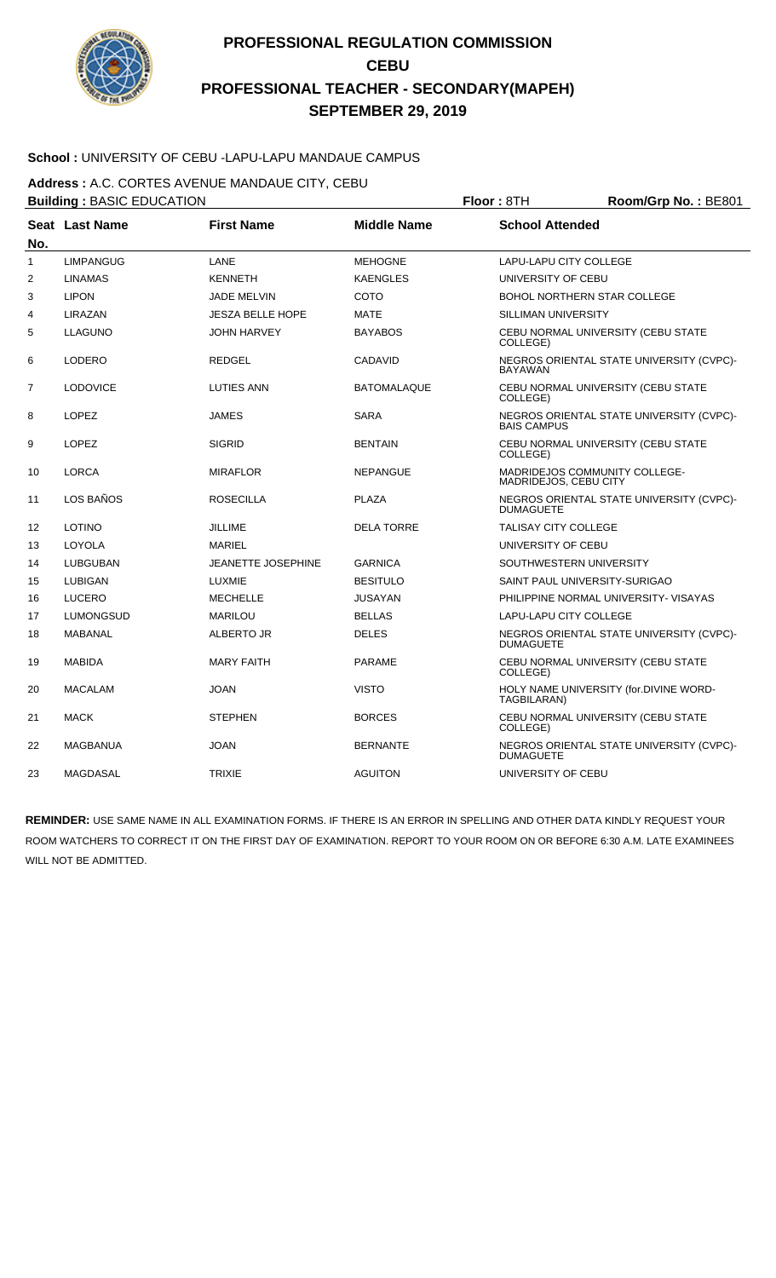

### **School :** UNIVERSITY OF CEBU -LAPU-LAPU MANDAUE CAMPUS

**Address :** A.C. CORTES AVENUE MANDAUE CITY, CEBU

|              | <b>Building: BASIC EDUCATION</b> |                           |                    | Floor: 8TH<br>Room/Grp No.: BE801 |                                          |  |
|--------------|----------------------------------|---------------------------|--------------------|-----------------------------------|------------------------------------------|--|
| No.          | Seat Last Name                   | <b>First Name</b>         | <b>Middle Name</b> | <b>School Attended</b>            |                                          |  |
| $\mathbf{1}$ | <b>LIMPANGUG</b>                 | LANE                      | <b>MEHOGNE</b>     | LAPU-LAPU CITY COLLEGE            |                                          |  |
| 2            | <b>LINAMAS</b>                   | <b>KENNETH</b>            | <b>KAENGLES</b>    | UNIVERSITY OF CEBU                |                                          |  |
| 3            | <b>LIPON</b>                     | <b>JADE MELVIN</b>        | COTO               |                                   | BOHOL NORTHERN STAR COLLEGE              |  |
| 4            | LIRAZAN                          | <b>JESZA BELLE HOPE</b>   | <b>MATE</b>        | SILLIMAN UNIVERSITY               |                                          |  |
| 5            | <b>LLAGUNO</b>                   | <b>JOHN HARVEY</b>        | <b>BAYABOS</b>     | COLLEGE)                          | CEBU NORMAL UNIVERSITY (CEBU STATE       |  |
| 6            | LODERO                           | <b>REDGEL</b>             | <b>CADAVID</b>     | <b>BAYAWAN</b>                    | NEGROS ORIENTAL STATE UNIVERSITY (CVPC)- |  |
| 7            | <b>LODOVICE</b>                  | <b>LUTIES ANN</b>         | <b>BATOMALAQUE</b> | COLLEGE)                          | CEBU NORMAL UNIVERSITY (CEBU STATE       |  |
| 8            | <b>LOPEZ</b>                     | <b>JAMES</b>              | <b>SARA</b>        | <b>BAIS CAMPUS</b>                | NEGROS ORIENTAL STATE UNIVERSITY (CVPC)- |  |
| 9            | <b>LOPEZ</b>                     | <b>SIGRID</b>             | <b>BENTAIN</b>     | COLLEGE)                          | CEBU NORMAL UNIVERSITY (CEBU STATE       |  |
| 10           | <b>LORCA</b>                     | <b>MIRAFLOR</b>           | <b>NEPANGUE</b>    | MADRIDEJOS, CEBU CITY             | MADRIDEJOS COMMUNITY COLLEGE-            |  |
| 11           | LOS BAÑOS                        | <b>ROSECILLA</b>          | <b>PLAZA</b>       | <b>DUMAGUETE</b>                  | NEGROS ORIENTAL STATE UNIVERSITY (CVPC)- |  |
| 12           | <b>LOTINO</b>                    | <b>JILLIME</b>            | <b>DELA TORRE</b>  | <b>TALISAY CITY COLLEGE</b>       |                                          |  |
| 13           | LOYOLA                           | <b>MARIEL</b>             |                    | UNIVERSITY OF CEBU                |                                          |  |
| 14           | LUBGUBAN                         | <b>JEANETTE JOSEPHINE</b> | <b>GARNICA</b>     | SOUTHWESTERN UNIVERSITY           |                                          |  |
| 15           | <b>LUBIGAN</b>                   | <b>LUXMIE</b>             | <b>BESITULO</b>    | SAINT PAUL UNIVERSITY-SURIGAO     |                                          |  |
| 16           | <b>LUCERO</b>                    | <b>MECHELLE</b>           | <b>JUSAYAN</b>     |                                   | PHILIPPINE NORMAL UNIVERSITY- VISAYAS    |  |
| 17           | <b>LUMONGSUD</b>                 | <b>MARILOU</b>            | <b>BELLAS</b>      | LAPU-LAPU CITY COLLEGE            |                                          |  |
| 18           | MABANAL                          | ALBERTO JR                | <b>DELES</b>       | <b>DUMAGUETE</b>                  | NEGROS ORIENTAL STATE UNIVERSITY (CVPC)- |  |
| 19           | <b>MABIDA</b>                    | <b>MARY FAITH</b>         | <b>PARAME</b>      | COLLEGE)                          | CEBU NORMAL UNIVERSITY (CEBU STATE       |  |
| 20           | <b>MACALAM</b>                   | <b>JOAN</b>               | <b>VISTO</b>       | TAGBILARAN)                       | HOLY NAME UNIVERSITY (for.DIVINE WORD-   |  |
| 21           | <b>MACK</b>                      | <b>STEPHEN</b>            | <b>BORCES</b>      | COLLEGE)                          | CEBU NORMAL UNIVERSITY (CEBU STATE       |  |
| 22           | MAGBANUA                         | <b>JOAN</b>               | <b>BERNANTE</b>    | <b>DUMAGUETE</b>                  | NEGROS ORIENTAL STATE UNIVERSITY (CVPC)- |  |
| 23           | MAGDASAL                         | <b>TRIXIE</b>             | <b>AGUITON</b>     | UNIVERSITY OF CEBU                |                                          |  |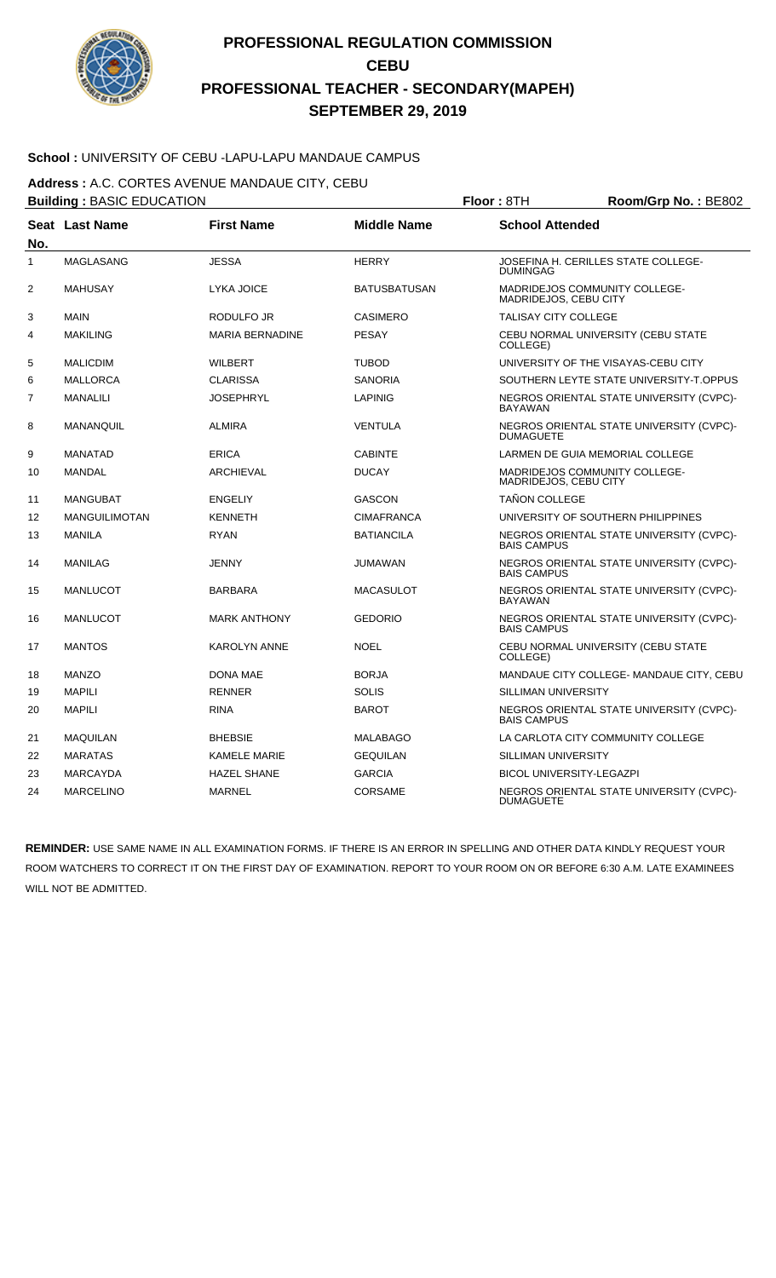

### **School :** UNIVERSITY OF CEBU -LAPU-LAPU MANDAUE CAMPUS

**Address :** A.C. CORTES AVENUE MANDAUE CITY, CEBU

|                | <b>Building: BASIC EDUCATION</b> |                        |                     | Floor: 8TH<br>Room/Grp No.: BE802                            |                                          |  |
|----------------|----------------------------------|------------------------|---------------------|--------------------------------------------------------------|------------------------------------------|--|
| No.            | Seat Last Name                   | <b>First Name</b>      | <b>Middle Name</b>  | <b>School Attended</b>                                       |                                          |  |
| $\mathbf{1}$   | <b>MAGLASANG</b>                 | <b>JESSA</b>           | <b>HERRY</b>        | <b>DUMINGAG</b>                                              | JOSEFINA H. CERILLES STATE COLLEGE-      |  |
| $\overline{2}$ | <b>MAHUSAY</b>                   | LYKA JOICE             | <b>BATUSBATUSAN</b> | MADRIDEJOS COMMUNITY COLLEGE-<br>MADRIDEJOS, CEBU CITY       |                                          |  |
| 3              | <b>MAIN</b>                      | RODULFO JR             | <b>CASIMERO</b>     | <b>TALISAY CITY COLLEGE</b>                                  |                                          |  |
| 4              | <b>MAKILING</b>                  | <b>MARIA BERNADINE</b> | PESAY               | COLLEGE)                                                     | CEBU NORMAL UNIVERSITY (CEBU STATE       |  |
| 5              | <b>MALICDIM</b>                  | <b>WILBERT</b>         | <b>TUBOD</b>        |                                                              | UNIVERSITY OF THE VISAYAS-CEBU CITY      |  |
| 6              | <b>MALLORCA</b>                  | <b>CLARISSA</b>        | <b>SANORIA</b>      |                                                              | SOUTHERN LEYTE STATE UNIVERSITY-T.OPPUS  |  |
| 7              | <b>MANALILI</b>                  | <b>JOSEPHRYL</b>       | <b>LAPINIG</b>      | <b>BAYAWAN</b>                                               | NEGROS ORIENTAL STATE UNIVERSITY (CVPC)- |  |
| 8              | <b>MANANQUIL</b>                 | <b>ALMIRA</b>          | <b>VENTULA</b>      | NEGROS ORIENTAL STATE UNIVERSITY (CVPC)-<br><b>DUMAGUETE</b> |                                          |  |
| 9              | <b>MANATAD</b>                   | <b>ERICA</b>           | <b>CABINTE</b>      |                                                              | LARMEN DE GUIA MEMORIAL COLLEGE          |  |
| 10             | <b>MANDAL</b>                    | <b>ARCHIEVAL</b>       | <b>DUCAY</b>        | MADRIDEJOS COMMUNITY COLLEGE-<br>MADRIDEJOS, CEBU CITY       |                                          |  |
| 11             | <b>MANGUBAT</b>                  | <b>ENGELIY</b>         | <b>GASCON</b>       | TAÑON COLLEGE                                                |                                          |  |
| 12             | <b>MANGUILIMOTAN</b>             | <b>KENNETH</b>         | <b>CIMAFRANCA</b>   |                                                              | UNIVERSITY OF SOUTHERN PHILIPPINES       |  |
| 13             | <b>MANILA</b>                    | <b>RYAN</b>            | <b>BATIANCILA</b>   | <b>BAIS CAMPUS</b>                                           | NEGROS ORIENTAL STATE UNIVERSITY (CVPC)- |  |
| 14             | <b>MANILAG</b>                   | <b>JENNY</b>           | <b>JUMAWAN</b>      | <b>BAIS CAMPUS</b>                                           | NEGROS ORIENTAL STATE UNIVERSITY (CVPC)- |  |
| 15             | <b>MANLUCOT</b>                  | <b>BARBARA</b>         | <b>MACASULOT</b>    | <b>BAYAWAN</b>                                               | NEGROS ORIENTAL STATE UNIVERSITY (CVPC)- |  |
| 16             | <b>MANLUCOT</b>                  | <b>MARK ANTHONY</b>    | <b>GEDORIO</b>      | <b>BAIS CAMPUS</b>                                           | NEGROS ORIENTAL STATE UNIVERSITY (CVPC)- |  |
| 17             | <b>MANTOS</b>                    | <b>KAROLYN ANNE</b>    | <b>NOEL</b>         | COLLEGE)                                                     | CEBU NORMAL UNIVERSITY (CEBU STATE       |  |
| 18             | <b>MANZO</b>                     | DONA MAE               | <b>BORJA</b>        |                                                              | MANDAUE CITY COLLEGE- MANDAUE CITY, CEBU |  |
| 19             | <b>MAPILI</b>                    | <b>RENNER</b>          | <b>SOLIS</b>        | SILLIMAN UNIVERSITY                                          |                                          |  |
| 20             | <b>MAPILI</b>                    | <b>RINA</b>            | <b>BAROT</b>        | <b>BAIS CAMPUS</b>                                           | NEGROS ORIENTAL STATE UNIVERSITY (CVPC)- |  |
| 21             | <b>MAQUILAN</b>                  | <b>BHEBSIE</b>         | <b>MALABAGO</b>     |                                                              | LA CARLOTA CITY COMMUNITY COLLEGE        |  |
| 22             | <b>MARATAS</b>                   | <b>KAMELE MARIE</b>    | <b>GEQUILAN</b>     | SILLIMAN UNIVERSITY                                          |                                          |  |
| 23             | <b>MARCAYDA</b>                  | <b>HAZEL SHANE</b>     | <b>GARCIA</b>       | <b>BICOL UNIVERSITY-LEGAZPI</b>                              |                                          |  |
| 24             | <b>MARCELINO</b>                 | <b>MARNEL</b>          | CORSAME             | <b>DUMAGUETE</b>                                             | NEGROS ORIENTAL STATE UNIVERSITY (CVPC)- |  |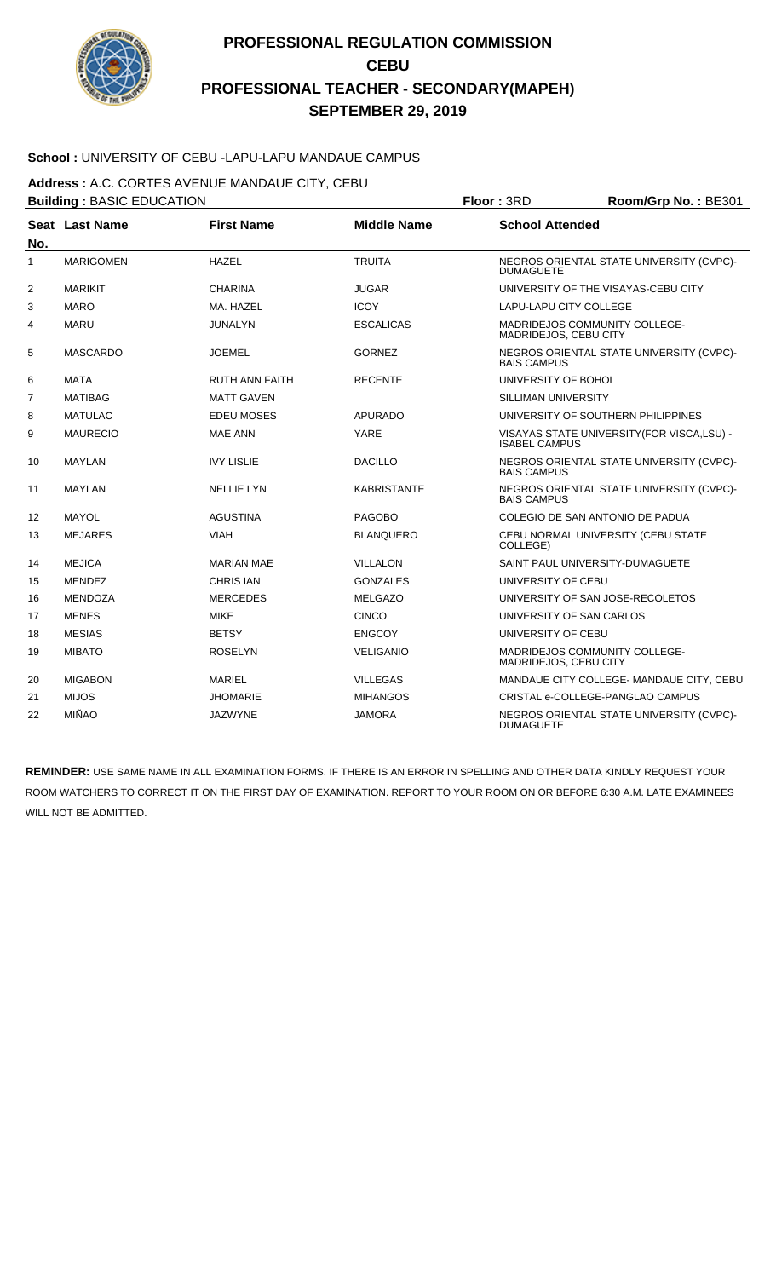

### **School :** UNIVERSITY OF CEBU -LAPU-LAPU MANDAUE CAMPUS

**Address :** A.C. CORTES AVENUE MANDAUE CITY, CEBU

|                | <b>Building: BASIC EDUCATION</b> |                       |                    | Floor: 3RD<br>Room/Grp No.: BE301 |                                             |  |  |
|----------------|----------------------------------|-----------------------|--------------------|-----------------------------------|---------------------------------------------|--|--|
| No.            | <b>Seat Last Name</b>            | <b>First Name</b>     | <b>Middle Name</b> | <b>School Attended</b>            |                                             |  |  |
| $\mathbf{1}$   | <b>MARIGOMEN</b>                 | <b>HAZEL</b>          | <b>TRUITA</b>      | <b>DUMAGUETE</b>                  | NEGROS ORIENTAL STATE UNIVERSITY (CVPC)-    |  |  |
| 2              | <b>MARIKIT</b>                   | <b>CHARINA</b>        | <b>JUGAR</b>       |                                   | UNIVERSITY OF THE VISAYAS-CEBU CITY         |  |  |
| 3              | <b>MARO</b>                      | MA. HAZEL             | <b>ICOY</b>        | LAPU-LAPU CITY COLLEGE            |                                             |  |  |
| 4              | <b>MARU</b>                      | JUNALYN               | <b>ESCALICAS</b>   | MADRIDEJOS, CEBU CITY             | MADRIDEJOS COMMUNITY COLLEGE-               |  |  |
| 5              | <b>MASCARDO</b>                  | <b>JOEMEL</b>         | <b>GORNEZ</b>      | <b>BAIS CAMPUS</b>                | NEGROS ORIENTAL STATE UNIVERSITY (CVPC)-    |  |  |
| 6              | <b>MATA</b>                      | <b>RUTH ANN FAITH</b> | <b>RECENTE</b>     | UNIVERSITY OF BOHOL               |                                             |  |  |
| $\overline{7}$ | <b>MATIBAG</b>                   | <b>MATT GAVEN</b>     |                    | <b>SILLIMAN UNIVERSITY</b>        |                                             |  |  |
| 8              | <b>MATULAC</b>                   | <b>EDEU MOSES</b>     | APURADO            |                                   | UNIVERSITY OF SOUTHERN PHILIPPINES          |  |  |
| 9              | <b>MAURECIO</b>                  | <b>MAE ANN</b>        | <b>YARE</b>        | <b>ISABEL CAMPUS</b>              | VISAYAS STATE UNIVERSITY (FOR VISCA, LSU) - |  |  |
| 10             | <b>MAYLAN</b>                    | <b>IVY LISLIE</b>     | <b>DACILLO</b>     | <b>BAIS CAMPUS</b>                | NEGROS ORIENTAL STATE UNIVERSITY (CVPC)-    |  |  |
| 11             | <b>MAYLAN</b>                    | <b>NELLIE LYN</b>     | <b>KABRISTANTE</b> | <b>BAIS CAMPUS</b>                | NEGROS ORIENTAL STATE UNIVERSITY (CVPC)-    |  |  |
| 12             | <b>MAYOL</b>                     | <b>AGUSTINA</b>       | <b>PAGOBO</b>      |                                   | COLEGIO DE SAN ANTONIO DE PADUA             |  |  |
| 13             | <b>MEJARES</b>                   | <b>VIAH</b>           | <b>BLANQUERO</b>   | COLLEGE)                          | CEBU NORMAL UNIVERSITY (CEBU STATE          |  |  |
| 14             | <b>MEJICA</b>                    | <b>MARIAN MAE</b>     | <b>VILLALON</b>    |                                   | SAINT PAUL UNIVERSITY-DUMAGUETE             |  |  |
| 15             | <b>MENDEZ</b>                    | <b>CHRIS IAN</b>      | <b>GONZALES</b>    | UNIVERSITY OF CEBU                |                                             |  |  |
| 16             | <b>MENDOZA</b>                   | <b>MERCEDES</b>       | <b>MELGAZO</b>     |                                   | UNIVERSITY OF SAN JOSE-RECOLETOS            |  |  |
| 17             | <b>MENES</b>                     | <b>MIKE</b>           | <b>CINCO</b>       | UNIVERSITY OF SAN CARLOS          |                                             |  |  |
| 18             | <b>MESIAS</b>                    | <b>BETSY</b>          | <b>ENGCOY</b>      | UNIVERSITY OF CEBU                |                                             |  |  |
| 19             | <b>MIBATO</b>                    | <b>ROSELYN</b>        | <b>VELIGANIO</b>   | MADRIDEJOS, CEBU CITY             | <b>MADRIDEJOS COMMUNITY COLLEGE-</b>        |  |  |
| 20             | <b>MIGABON</b>                   | <b>MARIEL</b>         | <b>VILLEGAS</b>    |                                   | MANDAUE CITY COLLEGE- MANDAUE CITY, CEBU    |  |  |
| 21             | <b>MIJOS</b>                     | <b>JHOMARIE</b>       | <b>MIHANGOS</b>    |                                   | CRISTAL e-COLLEGE-PANGLAO CAMPUS            |  |  |
| 22             | <b>MIÑAO</b>                     | <b>JAZWYNE</b>        | <b>JAMORA</b>      | <b>DUMAGUETE</b>                  | NEGROS ORIENTAL STATE UNIVERSITY (CVPC)-    |  |  |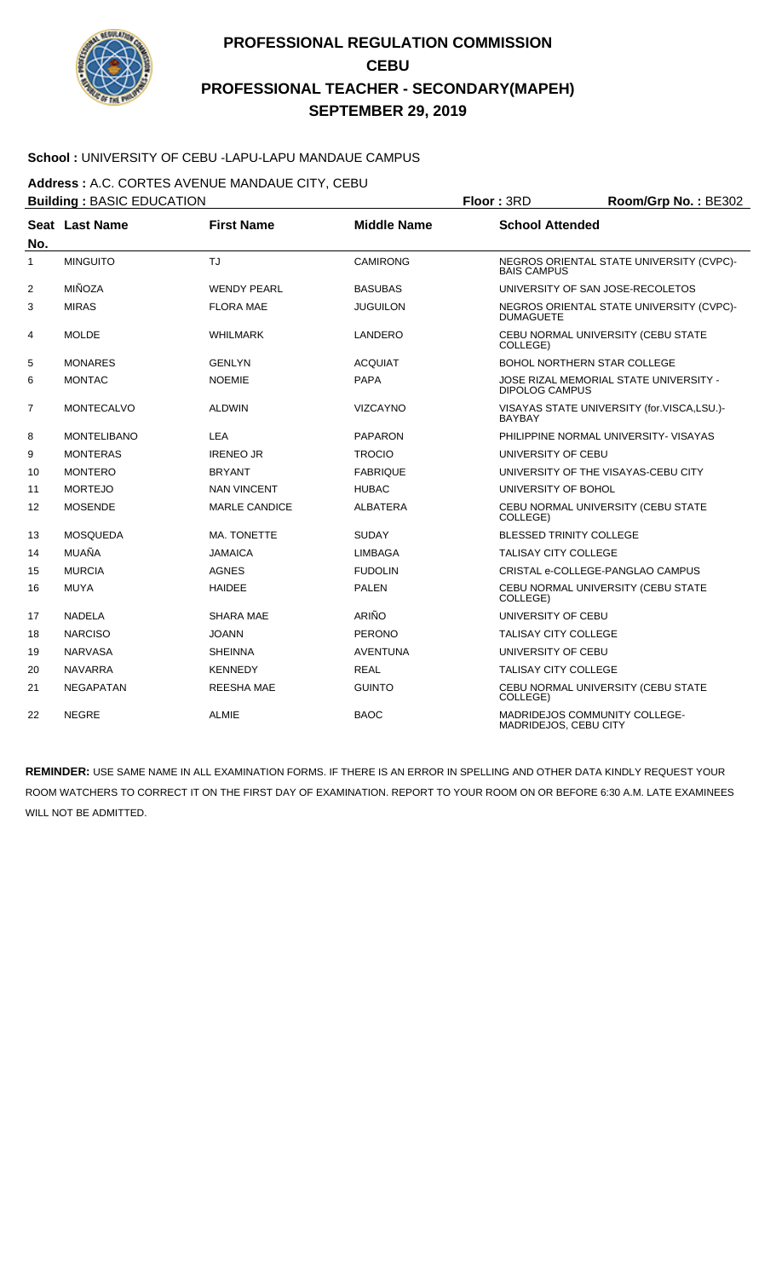

### **School :** UNIVERSITY OF CEBU -LAPU-LAPU MANDAUE CAMPUS

**Address :** A.C. CORTES AVENUE MANDAUE CITY, CEBU

|                | <b>Building: BASIC EDUCATION</b> |                      |                    | Floor: 3RD<br>Room/Grp No.: BE302 |                                            |  |
|----------------|----------------------------------|----------------------|--------------------|-----------------------------------|--------------------------------------------|--|
| No.            | <b>Seat Last Name</b>            | <b>First Name</b>    | <b>Middle Name</b> | <b>School Attended</b>            |                                            |  |
| $\mathbf{1}$   | <b>MINGUITO</b>                  | TJ                   | <b>CAMIRONG</b>    | <b>BAIS CAMPUS</b>                | NEGROS ORIENTAL STATE UNIVERSITY (CVPC)-   |  |
| 2              | MIÑOZA                           | <b>WENDY PEARL</b>   | <b>BASUBAS</b>     |                                   | UNIVERSITY OF SAN JOSE-RECOLETOS           |  |
| 3              | <b>MIRAS</b>                     | <b>FLORA MAE</b>     | <b>JUGUILON</b>    | <b>DUMAGUETE</b>                  | NEGROS ORIENTAL STATE UNIVERSITY (CVPC)-   |  |
| 4              | <b>MOLDE</b>                     | <b>WHILMARK</b>      | LANDERO            | COLLEGE)                          | CEBU NORMAL UNIVERSITY (CEBU STATE         |  |
| 5              | <b>MONARES</b>                   | <b>GENLYN</b>        | <b>ACQUIAT</b>     |                                   | <b>BOHOL NORTHERN STAR COLLEGE</b>         |  |
| 6              | <b>MONTAC</b>                    | <b>NOEMIE</b>        | <b>PAPA</b>        | <b>DIPOLOG CAMPUS</b>             | JOSE RIZAL MEMORIAL STATE UNIVERSITY -     |  |
| $\overline{7}$ | <b>MONTECALVO</b>                | <b>ALDWIN</b>        | <b>VIZCAYNO</b>    | <b>BAYBAY</b>                     | VISAYAS STATE UNIVERSITY (for.VISCA,LSU.)- |  |
| 8              | <b>MONTELIBANO</b>               | <b>LEA</b>           | <b>PAPARON</b>     |                                   | PHILIPPINE NORMAL UNIVERSITY- VISAYAS      |  |
| 9              | <b>MONTERAS</b>                  | <b>IRENEO JR</b>     | <b>TROCIO</b>      | UNIVERSITY OF CEBU                |                                            |  |
| 10             | <b>MONTERO</b>                   | <b>BRYANT</b>        | <b>FABRIQUE</b>    |                                   | UNIVERSITY OF THE VISAYAS-CEBU CITY        |  |
| 11             | <b>MORTEJO</b>                   | <b>NAN VINCENT</b>   | <b>HUBAC</b>       | UNIVERSITY OF BOHOL               |                                            |  |
| 12             | <b>MOSENDE</b>                   | <b>MARLE CANDICE</b> | <b>ALBATERA</b>    | COLLEGE)                          | CEBU NORMAL UNIVERSITY (CEBU STATE         |  |
| 13             | <b>MOSQUEDA</b>                  | MA. TONETTE          | <b>SUDAY</b>       | <b>BLESSED TRINITY COLLEGE</b>    |                                            |  |
| 14             | MUAÑA                            | <b>JAMAICA</b>       | <b>LIMBAGA</b>     | <b>TALISAY CITY COLLEGE</b>       |                                            |  |
| 15             | <b>MURCIA</b>                    | <b>AGNES</b>         | <b>FUDOLIN</b>     |                                   | CRISTAL e-COLLEGE-PANGLAO CAMPUS           |  |
| 16             | <b>MUYA</b>                      | <b>HAIDEE</b>        | <b>PALEN</b>       | COLLEGE)                          | CEBU NORMAL UNIVERSITY (CEBU STATE         |  |
| 17             | <b>NADELA</b>                    | <b>SHARA MAE</b>     | <b>ARIÑO</b>       | UNIVERSITY OF CEBU                |                                            |  |
| 18             | <b>NARCISO</b>                   | <b>JOANN</b>         | <b>PERONO</b>      | <b>TALISAY CITY COLLEGE</b>       |                                            |  |
| 19             | <b>NARVASA</b>                   | <b>SHEINNA</b>       | <b>AVENTUNA</b>    | UNIVERSITY OF CEBU                |                                            |  |
| 20             | <b>NAVARRA</b>                   | <b>KENNEDY</b>       | <b>REAL</b>        | <b>TALISAY CITY COLLEGE</b>       |                                            |  |
| 21             | <b>NEGAPATAN</b>                 | <b>REESHA MAE</b>    | <b>GUINTO</b>      | COLLEGE)                          | CEBU NORMAL UNIVERSITY (CEBU STATE         |  |
| 22             | <b>NEGRE</b>                     | <b>ALMIE</b>         | <b>BAOC</b>        | MADRIDEJOS, CEBU CITY             | MADRIDEJOS COMMUNITY COLLEGE-              |  |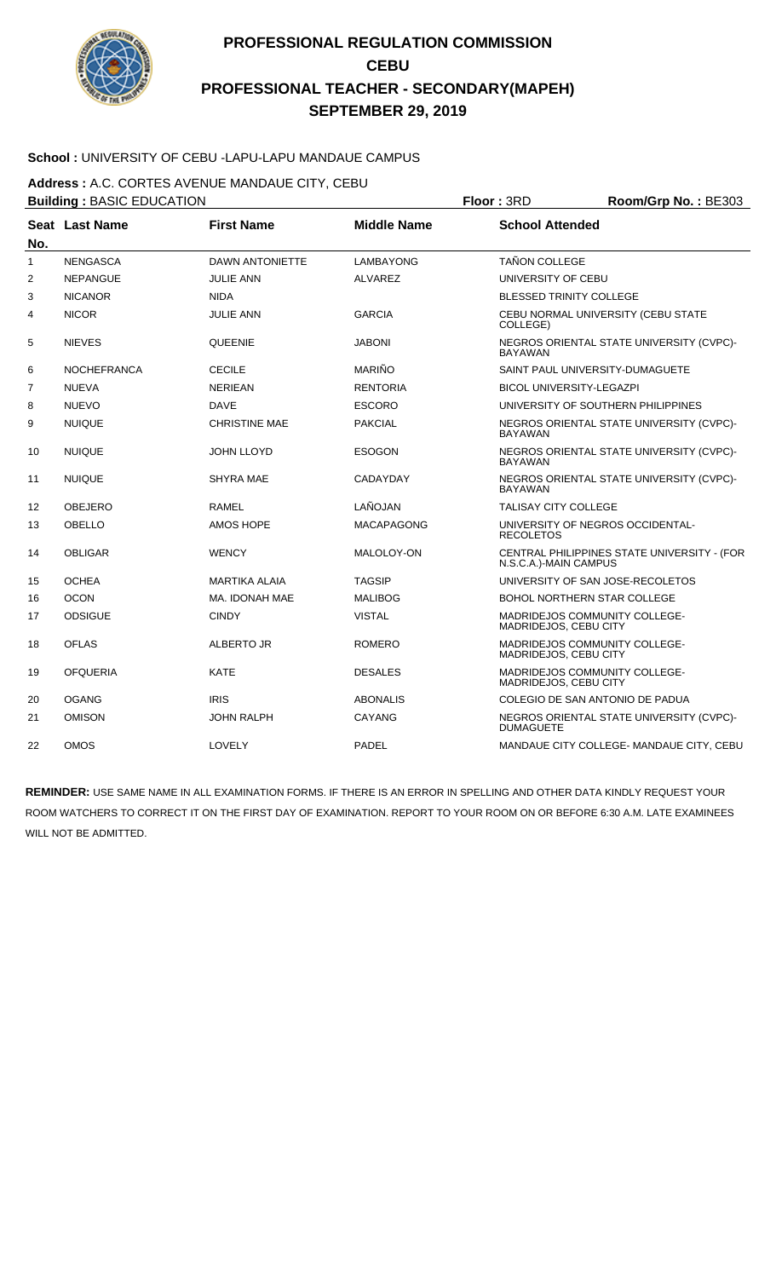

### **School :** UNIVERSITY OF CEBU -LAPU-LAPU MANDAUE CAMPUS

**Address :** A.C. CORTES AVENUE MANDAUE CITY, CEBU

| <b>Building: BASIC EDUCATION</b> |                    |                        |                    | Floor: 3RD                      | Room/Grp No.: BE303                         |
|----------------------------------|--------------------|------------------------|--------------------|---------------------------------|---------------------------------------------|
| No.                              | Seat Last Name     | <b>First Name</b>      | <b>Middle Name</b> | <b>School Attended</b>          |                                             |
| $\mathbf{1}$                     | <b>NENGASCA</b>    | <b>DAWN ANTONIETTE</b> | LAMBAYONG          | <b>TAÑON COLLEGE</b>            |                                             |
| 2                                | <b>NEPANGUE</b>    | <b>JULIE ANN</b>       | <b>ALVAREZ</b>     | UNIVERSITY OF CEBU              |                                             |
| 3                                | <b>NICANOR</b>     | <b>NIDA</b>            |                    | <b>BLESSED TRINITY COLLEGE</b>  |                                             |
| 4                                | <b>NICOR</b>       | <b>JULIE ANN</b>       | <b>GARCIA</b>      | COLLEGE)                        | CEBU NORMAL UNIVERSITY (CEBU STATE          |
| 5                                | <b>NIEVES</b>      | <b>QUEENIE</b>         | JABONI             | <b>BAYAWAN</b>                  | NEGROS ORIENTAL STATE UNIVERSITY (CVPC)-    |
| 6                                | <b>NOCHEFRANCA</b> | <b>CECILE</b>          | <b>MARIÑO</b>      |                                 | SAINT PAUL UNIVERSITY-DUMAGUETE             |
| 7                                | <b>NUEVA</b>       | <b>NERIEAN</b>         | <b>RENTORIA</b>    | <b>BICOL UNIVERSITY-LEGAZPI</b> |                                             |
| 8                                | <b>NUEVO</b>       | <b>DAVE</b>            | <b>ESCORO</b>      |                                 | UNIVERSITY OF SOUTHERN PHILIPPINES          |
| 9                                | <b>NUIQUE</b>      | <b>CHRISTINE MAE</b>   | <b>PAKCIAL</b>     | <b>BAYAWAN</b>                  | NEGROS ORIENTAL STATE UNIVERSITY (CVPC)-    |
| 10                               | <b>NUIQUE</b>      | <b>JOHN LLOYD</b>      | <b>ESOGON</b>      | <b>BAYAWAN</b>                  | NEGROS ORIENTAL STATE UNIVERSITY (CVPC)-    |
| 11                               | <b>NUIQUE</b>      | <b>SHYRA MAE</b>       | CADAYDAY           | <b>BAYAWAN</b>                  | NEGROS ORIENTAL STATE UNIVERSITY (CVPC)-    |
| 12                               | <b>OBEJERO</b>     | <b>RAMEL</b>           | LAÑOJAN            | <b>TALISAY CITY COLLEGE</b>     |                                             |
| 13                               | <b>OBELLO</b>      | <b>AMOS HOPE</b>       | <b>MACAPAGONG</b>  | <b>RECOLETOS</b>                | UNIVERSITY OF NEGROS OCCIDENTAL-            |
| 14                               | <b>OBLIGAR</b>     | <b>WENCY</b>           | MALOLOY-ON         | N.S.C.A.)-MAIN CAMPUS           | CENTRAL PHILIPPINES STATE UNIVERSITY - (FOR |
| 15                               | <b>OCHEA</b>       | MARTIKA ALAIA          | <b>TAGSIP</b>      |                                 | UNIVERSITY OF SAN JOSE-RECOLETOS            |
| 16                               | <b>OCON</b>        | MA. IDONAH MAE         | <b>MALIBOG</b>     |                                 | <b>BOHOL NORTHERN STAR COLLEGE</b>          |
| 17                               | <b>ODSIGUE</b>     | <b>CINDY</b>           | <b>VISTAL</b>      | MADRIDEJOS, CEBU CITY           | MADRIDEJOS COMMUNITY COLLEGE-               |
| 18                               | <b>OFLAS</b>       | ALBERTO JR             | <b>ROMERO</b>      | MADRIDEJOS, CEBU CITY           | MADRIDEJOS COMMUNITY COLLEGE-               |
| 19                               | <b>OFQUERIA</b>    | <b>KATE</b>            | <b>DESALES</b>     | MADRIDEJOS, CEBU CITY           | MADRIDEJOS COMMUNITY COLLEGE-               |
| 20                               | <b>OGANG</b>       | <b>IRIS</b>            | <b>ABONALIS</b>    |                                 | COLEGIO DE SAN ANTONIO DE PADUA             |
| 21                               | <b>OMISON</b>      | <b>JOHN RALPH</b>      | CAYANG             | <b>DUMAGUETE</b>                | NEGROS ORIENTAL STATE UNIVERSITY (CVPC)-    |
| 22                               | <b>OMOS</b>        | LOVELY                 | PADEL              |                                 | MANDAUE CITY COLLEGE- MANDAUE CITY, CEBU    |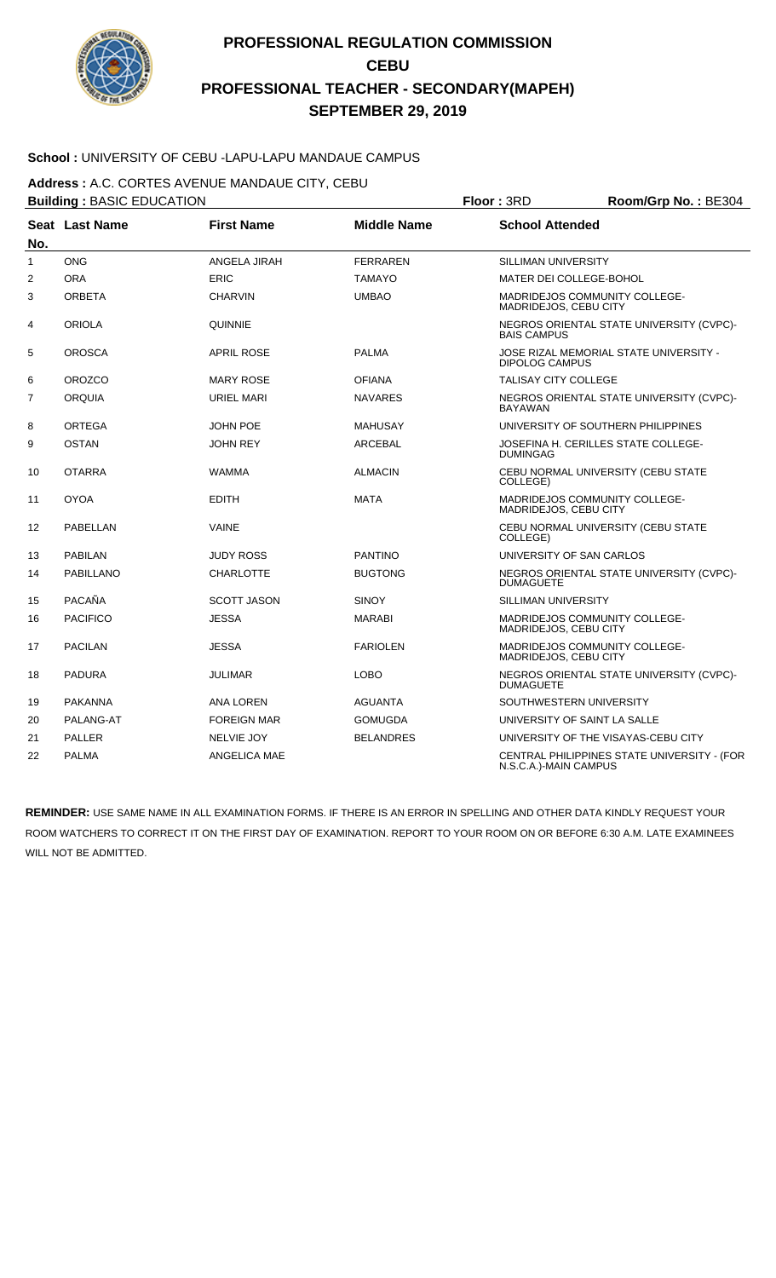

### **School :** UNIVERSITY OF CEBU -LAPU-LAPU MANDAUE CAMPUS

**Address :** A.C. CORTES AVENUE MANDAUE CITY, CEBU

|                | <b>Building: BASIC EDUCATION</b> |                    |                    | Floor: 3RD                  | Room/Grp No.: BE304                         |
|----------------|----------------------------------|--------------------|--------------------|-----------------------------|---------------------------------------------|
| No.            | Seat Last Name                   | <b>First Name</b>  | <b>Middle Name</b> | <b>School Attended</b>      |                                             |
| $\mathbf{1}$   | <b>ONG</b>                       | ANGELA JIRAH       | <b>FERRAREN</b>    | SILLIMAN UNIVERSITY         |                                             |
| $\overline{c}$ | <b>ORA</b>                       | <b>ERIC</b>        | <b>TAMAYO</b>      | MATER DEI COLLEGE-BOHOL     |                                             |
| 3              | <b>ORBETA</b>                    | <b>CHARVIN</b>     | <b>UMBAO</b>       | MADRIDEJOS, CEBU CITY       | MADRIDEJOS COMMUNITY COLLEGE-               |
| 4              | <b>ORIOLA</b>                    | <b>QUINNIE</b>     |                    | <b>BAIS CAMPUS</b>          | NEGROS ORIENTAL STATE UNIVERSITY (CVPC)-    |
| 5              | <b>OROSCA</b>                    | <b>APRIL ROSE</b>  | <b>PALMA</b>       | <b>DIPOLOG CAMPUS</b>       | JOSE RIZAL MEMORIAL STATE UNIVERSITY -      |
| 6              | <b>OROZCO</b>                    | <b>MARY ROSE</b>   | <b>OFIANA</b>      | <b>TALISAY CITY COLLEGE</b> |                                             |
| $\overline{7}$ | <b>ORQUIA</b>                    | URIEL MARI         | <b>NAVARES</b>     | <b>BAYAWAN</b>              | NEGROS ORIENTAL STATE UNIVERSITY (CVPC)-    |
| 8              | <b>ORTEGA</b>                    | <b>JOHN POE</b>    | <b>MAHUSAY</b>     |                             | UNIVERSITY OF SOUTHERN PHILIPPINES          |
| 9              | <b>OSTAN</b>                     | <b>JOHN REY</b>    | <b>ARCEBAL</b>     | <b>DUMINGAG</b>             | JOSEFINA H. CERILLES STATE COLLEGE-         |
| 10             | <b>OTARRA</b>                    | <b>WAMMA</b>       | <b>ALMACIN</b>     | COLLEGE)                    | CEBU NORMAL UNIVERSITY (CEBU STATE          |
| 11             | <b>OYOA</b>                      | <b>EDITH</b>       | <b>MATA</b>        | MADRIDEJOS, CEBU CITY       | <b>MADRIDEJOS COMMUNITY COLLEGE-</b>        |
| 12             | PABELLAN                         | <b>VAINE</b>       |                    | COLLEGE)                    | CEBU NORMAL UNIVERSITY (CEBU STATE          |
| 13             | <b>PABILAN</b>                   | <b>JUDY ROSS</b>   | <b>PANTINO</b>     |                             | UNIVERSITY OF SAN CARLOS                    |
| 14             | <b>PABILLANO</b>                 | <b>CHARLOTTE</b>   | <b>BUGTONG</b>     | <b>DUMAGUETE</b>            | NEGROS ORIENTAL STATE UNIVERSITY (CVPC)-    |
| 15             | PACAÑA                           | <b>SCOTT JASON</b> | <b>SINOY</b>       | SILLIMAN UNIVERSITY         |                                             |
| 16             | <b>PACIFICO</b>                  | <b>JESSA</b>       | <b>MARABI</b>      | MADRIDEJOS, CEBU CITY       | <b>MADRIDEJOS COMMUNITY COLLEGE-</b>        |
| 17             | <b>PACILAN</b>                   | <b>JESSA</b>       | <b>FARIOLEN</b>    | MADRIDEJOS, CEBU CITY       | MADRIDEJOS COMMUNITY COLLEGE-               |
| 18             | <b>PADURA</b>                    | <b>JULIMAR</b>     | <b>LOBO</b>        | <b>DUMAGUETE</b>            | NEGROS ORIENTAL STATE UNIVERSITY (CVPC)-    |
| 19             | <b>PAKANNA</b>                   | <b>ANA LOREN</b>   | AGUANTA            |                             | SOUTHWESTERN UNIVERSITY                     |
| 20             | PALANG-AT                        | <b>FOREIGN MAR</b> | <b>GOMUGDA</b>     |                             | UNIVERSITY OF SAINT LA SALLE                |
| 21             | <b>PALLER</b>                    | <b>NELVIE JOY</b>  | <b>BELANDRES</b>   |                             | UNIVERSITY OF THE VISAYAS-CEBU CITY         |
| 22             | <b>PALMA</b>                     | ANGELICA MAE       |                    | N.S.C.A.)-MAIN CAMPUS       | CENTRAL PHILIPPINES STATE UNIVERSITY - (FOR |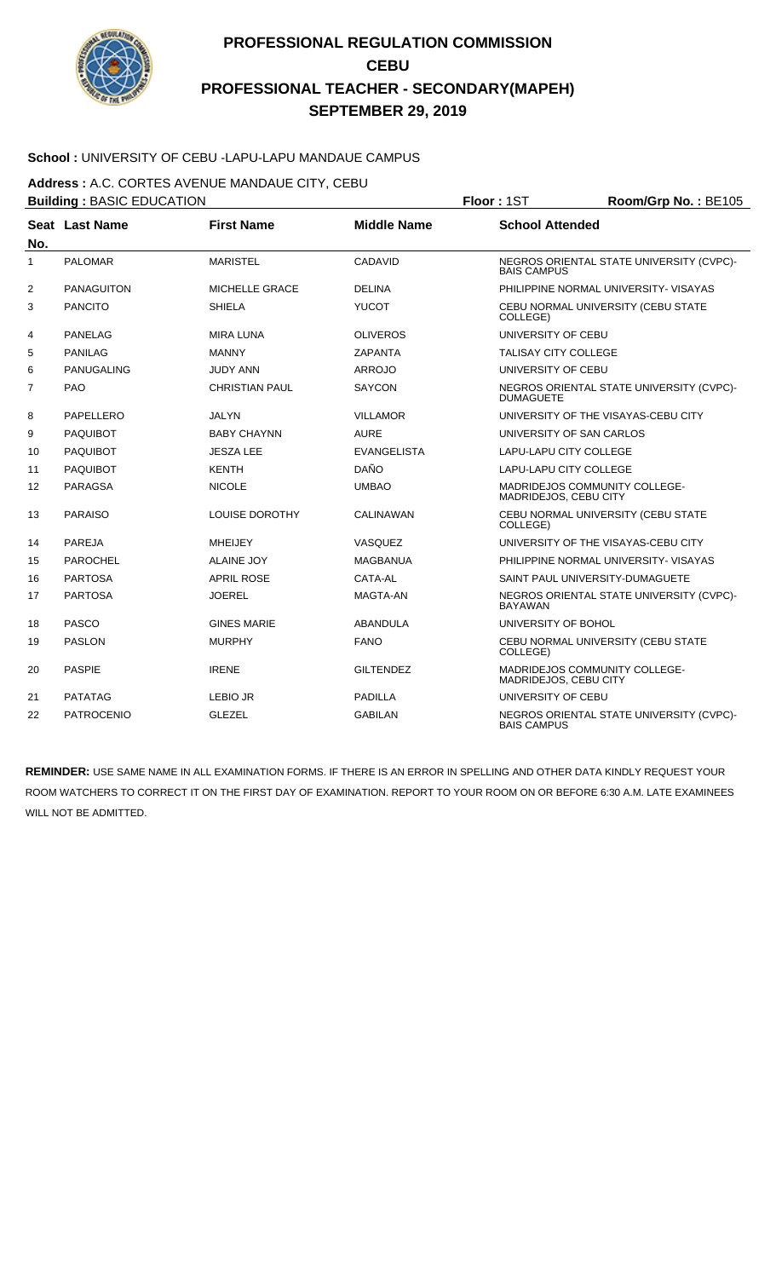

### **School :** UNIVERSITY OF CEBU -LAPU-LAPU MANDAUE CAMPUS

**Address :** A.C. CORTES AVENUE MANDAUE CITY, CEBU

|                | <b>Building: BASIC EDUCATION</b> |                       |                    | Floor: 1ST<br>Room/Grp No.: BE105 |                                          |  |
|----------------|----------------------------------|-----------------------|--------------------|-----------------------------------|------------------------------------------|--|
| No.            | Seat Last Name                   | <b>First Name</b>     | <b>Middle Name</b> | <b>School Attended</b>            |                                          |  |
| 1              | <b>PALOMAR</b>                   | <b>MARISTEL</b>       | CADAVID            | <b>BAIS CAMPUS</b>                | NEGROS ORIENTAL STATE UNIVERSITY (CVPC)- |  |
| 2              | <b>PANAGUITON</b>                | MICHELLE GRACE        | <b>DELINA</b>      |                                   | PHILIPPINE NORMAL UNIVERSITY- VISAYAS    |  |
| 3              | <b>PANCITO</b>                   | <b>SHIELA</b>         | <b>YUCOT</b>       | COLLEGE)                          | CEBU NORMAL UNIVERSITY (CEBU STATE       |  |
| 4              | <b>PANELAG</b>                   | <b>MIRA LUNA</b>      | <b>OLIVEROS</b>    | UNIVERSITY OF CEBU                |                                          |  |
| 5              | <b>PANILAG</b>                   | <b>MANNY</b>          | <b>ZAPANTA</b>     | <b>TALISAY CITY COLLEGE</b>       |                                          |  |
| 6              | PANUGALING                       | <b>JUDY ANN</b>       | <b>ARROJO</b>      | UNIVERSITY OF CEBU                |                                          |  |
| $\overline{7}$ | PAO                              | <b>CHRISTIAN PAUL</b> | <b>SAYCON</b>      | <b>DUMAGUETE</b>                  | NEGROS ORIENTAL STATE UNIVERSITY (CVPC)- |  |
| 8              | PAPELLERO                        | <b>JALYN</b>          | <b>VILLAMOR</b>    |                                   | UNIVERSITY OF THE VISAYAS-CEBU CITY      |  |
| 9              | <b>PAQUIBOT</b>                  | <b>BABY CHAYNN</b>    | <b>AURE</b>        | UNIVERSITY OF SAN CARLOS          |                                          |  |
| 10             | <b>PAQUIBOT</b>                  | <b>JESZA LEE</b>      | <b>EVANGELISTA</b> | LAPU-LAPU CITY COLLEGE            |                                          |  |
| 11             | <b>PAQUIBOT</b>                  | <b>KENTH</b>          | <b>DAÑO</b>        | LAPU-LAPU CITY COLLEGE            |                                          |  |
| 12             | PARAGSA                          | <b>NICOLE</b>         | <b>UMBAO</b>       | MADRIDEJOS, CEBU CITY             | MADRIDEJOS COMMUNITY COLLEGE-            |  |
| 13             | <b>PARAISO</b>                   | <b>LOUISE DOROTHY</b> | <b>CALINAWAN</b>   | COLLEGE)                          | CEBU NORMAL UNIVERSITY (CEBU STATE       |  |
| 14             | <b>PAREJA</b>                    | <b>MHEIJEY</b>        | VASQUEZ            |                                   | UNIVERSITY OF THE VISAYAS-CEBU CITY      |  |
| 15             | <b>PAROCHEL</b>                  | <b>ALAINE JOY</b>     | <b>MAGBANUA</b>    |                                   | PHILIPPINE NORMAL UNIVERSITY- VISAYAS    |  |
| 16             | <b>PARTOSA</b>                   | <b>APRIL ROSE</b>     | CATA-AL            |                                   | SAINT PAUL UNIVERSITY-DUMAGUETE          |  |
| 17             | <b>PARTOSA</b>                   | <b>JOEREL</b>         | MAGTA-AN           | <b>BAYAWAN</b>                    | NEGROS ORIENTAL STATE UNIVERSITY (CVPC)- |  |
| 18             | <b>PASCO</b>                     | <b>GINES MARIE</b>    | <b>ABANDULA</b>    | UNIVERSITY OF BOHOL               |                                          |  |
| 19             | <b>PASLON</b>                    | <b>MURPHY</b>         | <b>FANO</b>        | COLLEGE)                          | CEBU NORMAL UNIVERSITY (CEBU STATE       |  |
| 20             | <b>PASPIE</b>                    | <b>IRENE</b>          | <b>GILTENDEZ</b>   | MADRIDEJOS, CEBU CITY             | <b>MADRIDEJOS COMMUNITY COLLEGE-</b>     |  |
| 21             | <b>PATATAG</b>                   | <b>LEBIO JR</b>       | <b>PADILLA</b>     | UNIVERSITY OF CEBU                |                                          |  |
| 22             | <b>PATROCENIO</b>                | <b>GLEZEL</b>         | <b>GABILAN</b>     | <b>BAIS CAMPUS</b>                | NEGROS ORIENTAL STATE UNIVERSITY (CVPC)- |  |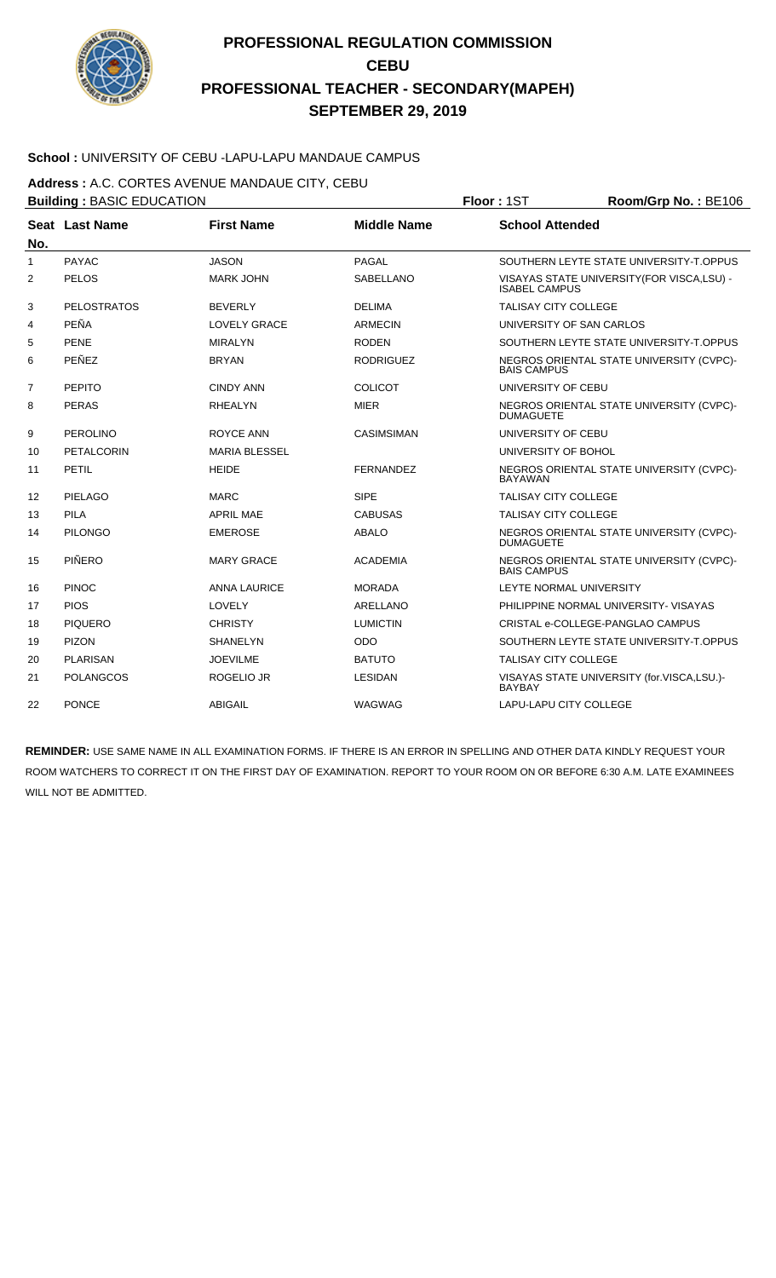

### **School :** UNIVERSITY OF CEBU -LAPU-LAPU MANDAUE CAMPUS

**Address :** A.C. CORTES AVENUE MANDAUE CITY, CEBU

|                | <b>Building: BASIC EDUCATION</b> |                      |                    | Floor: 1ST<br>Room/Grp No.: BE106                            |                                             |  |
|----------------|----------------------------------|----------------------|--------------------|--------------------------------------------------------------|---------------------------------------------|--|
|                | Seat Last Name                   | <b>First Name</b>    | <b>Middle Name</b> | <b>School Attended</b>                                       |                                             |  |
| No.            |                                  |                      |                    |                                                              |                                             |  |
| 1              | <b>PAYAC</b>                     | <b>JASON</b>         | <b>PAGAL</b>       |                                                              | SOUTHERN LEYTE STATE UNIVERSITY-T.OPPUS     |  |
| 2              | PELOS                            | <b>MARK JOHN</b>     | <b>SABELLANO</b>   | <b>ISABEL CAMPUS</b>                                         | VISAYAS STATE UNIVERSITY (FOR VISCA, LSU) - |  |
| 3              | <b>PELOSTRATOS</b>               | <b>BEVERLY</b>       | <b>DELIMA</b>      | <b>TALISAY CITY COLLEGE</b>                                  |                                             |  |
| 4              | PEÑA                             | <b>LOVELY GRACE</b>  | <b>ARMECIN</b>     |                                                              | UNIVERSITY OF SAN CARLOS                    |  |
| 5              | <b>PENE</b>                      | <b>MIRALYN</b>       | <b>RODEN</b>       |                                                              | SOUTHERN LEYTE STATE UNIVERSITY-T.OPPUS     |  |
| 6              | PEÑEZ                            | <b>BRYAN</b>         | <b>RODRIGUEZ</b>   | <b>BAIS CAMPUS</b>                                           | NEGROS ORIENTAL STATE UNIVERSITY (CVPC)-    |  |
| $\overline{7}$ | <b>PEPITO</b>                    | <b>CINDY ANN</b>     | <b>COLICOT</b>     | UNIVERSITY OF CEBU                                           |                                             |  |
| 8              | <b>PERAS</b>                     | <b>RHEALYN</b>       | <b>MIER</b>        | NEGROS ORIENTAL STATE UNIVERSITY (CVPC)-<br><b>DUMAGUETE</b> |                                             |  |
| 9              | PEROLINO                         | ROYCE ANN            | <b>CASIMSIMAN</b>  | UNIVERSITY OF CEBU                                           |                                             |  |
| 10             | PETALCORIN                       | <b>MARIA BLESSEL</b> |                    | UNIVERSITY OF BOHOL                                          |                                             |  |
| 11             | PETIL                            | <b>HEIDE</b>         | <b>FERNANDEZ</b>   | <b>BAYAWAN</b>                                               | NEGROS ORIENTAL STATE UNIVERSITY (CVPC)-    |  |
| 12             | PIELAGO                          | <b>MARC</b>          | <b>SIPE</b>        | <b>TALISAY CITY COLLEGE</b>                                  |                                             |  |
| 13             | PILA                             | <b>APRIL MAE</b>     | <b>CABUSAS</b>     | <b>TALISAY CITY COLLEGE</b>                                  |                                             |  |
| 14             | <b>PILONGO</b>                   | <b>EMEROSE</b>       | <b>ABALO</b>       | <b>DUMAGUETE</b>                                             | NEGROS ORIENTAL STATE UNIVERSITY (CVPC)-    |  |
| 15             | PIÑERO                           | <b>MARY GRACE</b>    | <b>ACADEMIA</b>    | <b>BAIS CAMPUS</b>                                           | NEGROS ORIENTAL STATE UNIVERSITY (CVPC)-    |  |
| 16             | <b>PINOC</b>                     | <b>ANNA LAURICE</b>  | <b>MORADA</b>      |                                                              | LEYTE NORMAL UNIVERSITY                     |  |
| 17             | <b>PIOS</b>                      | LOVELY               | <b>ARELLANO</b>    |                                                              | PHILIPPINE NORMAL UNIVERSITY- VISAYAS       |  |
| 18             | <b>PIQUERO</b>                   | <b>CHRISTY</b>       | <b>LUMICTIN</b>    |                                                              | CRISTAL e-COLLEGE-PANGLAO CAMPUS            |  |
| 19             | <b>PIZON</b>                     | <b>SHANELYN</b>      | <b>ODO</b>         |                                                              | SOUTHERN LEYTE STATE UNIVERSITY-T.OPPUS     |  |
| 20             | <b>PLARISAN</b>                  | <b>JOEVILME</b>      | <b>BATUTO</b>      | <b>TALISAY CITY COLLEGE</b>                                  |                                             |  |
| 21             | <b>POLANGCOS</b>                 | <b>ROGELIO JR</b>    | LESIDAN            | <b>BAYBAY</b>                                                | VISAYAS STATE UNIVERSITY (for.VISCA,LSU.)-  |  |
| 22             | <b>PONCE</b>                     | <b>ABIGAIL</b>       | WAGWAG             | <b>LAPU-LAPU CITY COLLEGE</b>                                |                                             |  |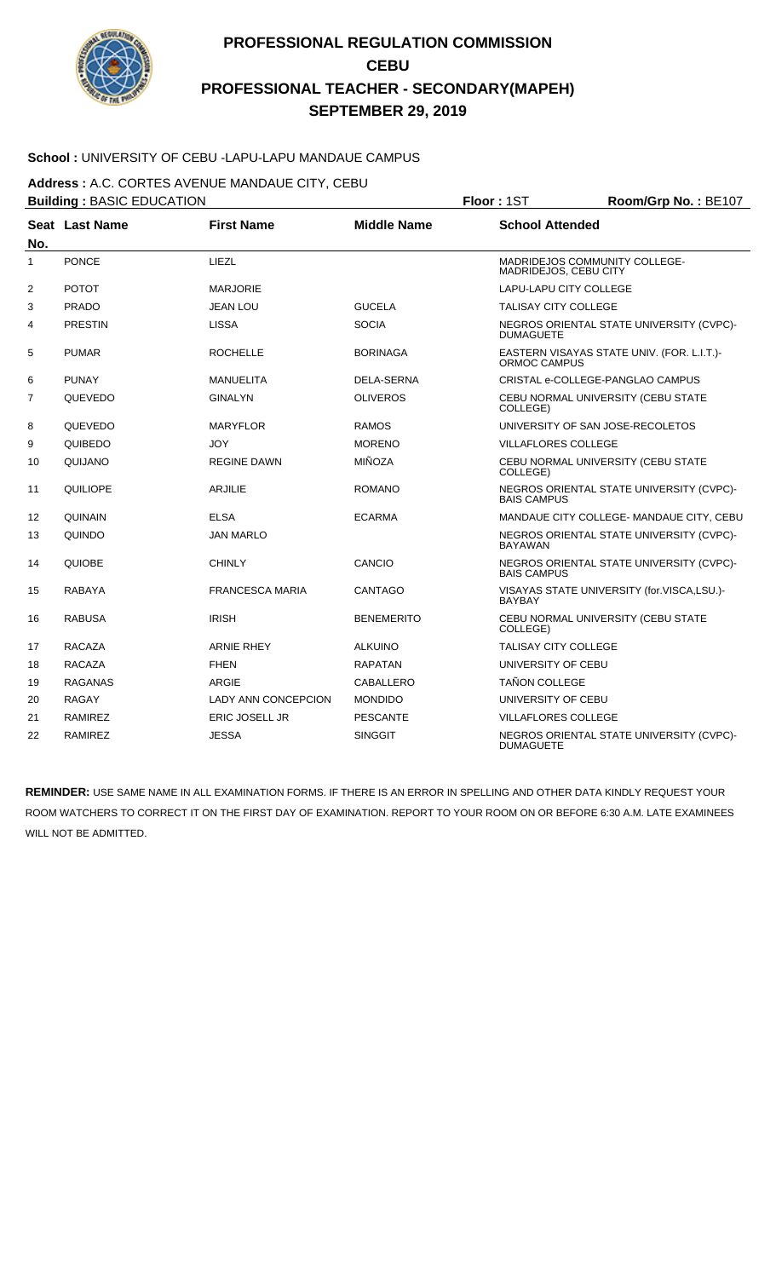

### **School :** UNIVERSITY OF CEBU -LAPU-LAPU MANDAUE CAMPUS

**Address :** A.C. CORTES AVENUE MANDAUE CITY, CEBU

|                | <b>Building: BASIC EDUCATION</b> |                            |                    | Room/Grp No.: BE107<br>Floor: 1ST |                                            |  |  |
|----------------|----------------------------------|----------------------------|--------------------|-----------------------------------|--------------------------------------------|--|--|
| No.            | Seat Last Name                   | <b>First Name</b>          | <b>Middle Name</b> | <b>School Attended</b>            |                                            |  |  |
| $\mathbf{1}$   | <b>PONCE</b>                     | LIEZL                      |                    | MADRIDEJOS, CEBU CITY             | MADRIDEJOS COMMUNITY COLLEGE-              |  |  |
| $\overline{2}$ | <b>POTOT</b>                     | <b>MARJORIE</b>            |                    | LAPU-LAPU CITY COLLEGE            |                                            |  |  |
| 3              | <b>PRADO</b>                     | <b>JEAN LOU</b>            | <b>GUCELA</b>      | <b>TALISAY CITY COLLEGE</b>       |                                            |  |  |
| 4              | <b>PRESTIN</b>                   | <b>LISSA</b>               | <b>SOCIA</b>       | <b>DUMAGUETE</b>                  | NEGROS ORIENTAL STATE UNIVERSITY (CVPC)-   |  |  |
| 5              | <b>PUMAR</b>                     | <b>ROCHELLE</b>            | <b>BORINAGA</b>    | ORMOC CAMPUS                      | EASTERN VISAYAS STATE UNIV. (FOR. L.I.T.)- |  |  |
| 6              | <b>PUNAY</b>                     | <b>MANUELITA</b>           | DELA-SERNA         |                                   | CRISTAL e-COLLEGE-PANGLAO CAMPUS           |  |  |
| 7              | QUEVEDO                          | <b>GINALYN</b>             | <b>OLIVEROS</b>    | COLLEGE)                          | CEBU NORMAL UNIVERSITY (CEBU STATE         |  |  |
| 8              | QUEVEDO                          | <b>MARYFLOR</b>            | <b>RAMOS</b>       |                                   | UNIVERSITY OF SAN JOSE-RECOLETOS           |  |  |
| 9              | QUIBEDO                          | <b>JOY</b>                 | <b>MORENO</b>      | <b>VILLAFLORES COLLEGE</b>        |                                            |  |  |
| 10             | QUIJANO                          | <b>REGINE DAWN</b>         | <b>MIÑOZA</b>      | COLLEGE)                          | CEBU NORMAL UNIVERSITY (CEBU STATE         |  |  |
| 11             | QUILIOPE                         | <b>ARJILIE</b>             | <b>ROMANO</b>      | <b>BAIS CAMPUS</b>                | NEGROS ORIENTAL STATE UNIVERSITY (CVPC)-   |  |  |
| 12             | QUINAIN                          | <b>ELSA</b>                | <b>ECARMA</b>      |                                   | MANDAUE CITY COLLEGE- MANDAUE CITY, CEBU   |  |  |
| 13             | QUINDO                           | <b>JAN MARLO</b>           |                    | <b>BAYAWAN</b>                    | NEGROS ORIENTAL STATE UNIVERSITY (CVPC)-   |  |  |
| 14             | QUIOBE                           | <b>CHINLY</b>              | CANCIO             | <b>BAIS CAMPUS</b>                | NEGROS ORIENTAL STATE UNIVERSITY (CVPC)-   |  |  |
| 15             | RABAYA                           | <b>FRANCESCA MARIA</b>     | <b>CANTAGO</b>     | <b>BAYBAY</b>                     | VISAYAS STATE UNIVERSITY (for.VISCA,LSU.)- |  |  |
| 16             | <b>RABUSA</b>                    | <b>IRISH</b>               | <b>BENEMERITO</b>  | COLLEGE)                          | CEBU NORMAL UNIVERSITY (CEBU STATE         |  |  |
| 17             | <b>RACAZA</b>                    | <b>ARNIE RHEY</b>          | <b>ALKUINO</b>     | <b>TALISAY CITY COLLEGE</b>       |                                            |  |  |
| 18             | <b>RACAZA</b>                    | <b>FHEN</b>                | <b>RAPATAN</b>     | UNIVERSITY OF CEBU                |                                            |  |  |
| 19             | <b>RAGANAS</b>                   | <b>ARGIE</b>               | CABALLERO          | <b>TAÑON COLLEGE</b>              |                                            |  |  |
| 20             | <b>RAGAY</b>                     | <b>LADY ANN CONCEPCION</b> | <b>MONDIDO</b>     | UNIVERSITY OF CEBU                |                                            |  |  |
| 21             | <b>RAMIREZ</b>                   | <b>ERIC JOSELL JR</b>      | <b>PESCANTE</b>    | <b>VILLAFLORES COLLEGE</b>        |                                            |  |  |
| 22             | <b>RAMIREZ</b>                   | <b>JESSA</b>               | <b>SINGGIT</b>     | <b>DUMAGUETE</b>                  | NEGROS ORIENTAL STATE UNIVERSITY (CVPC)-   |  |  |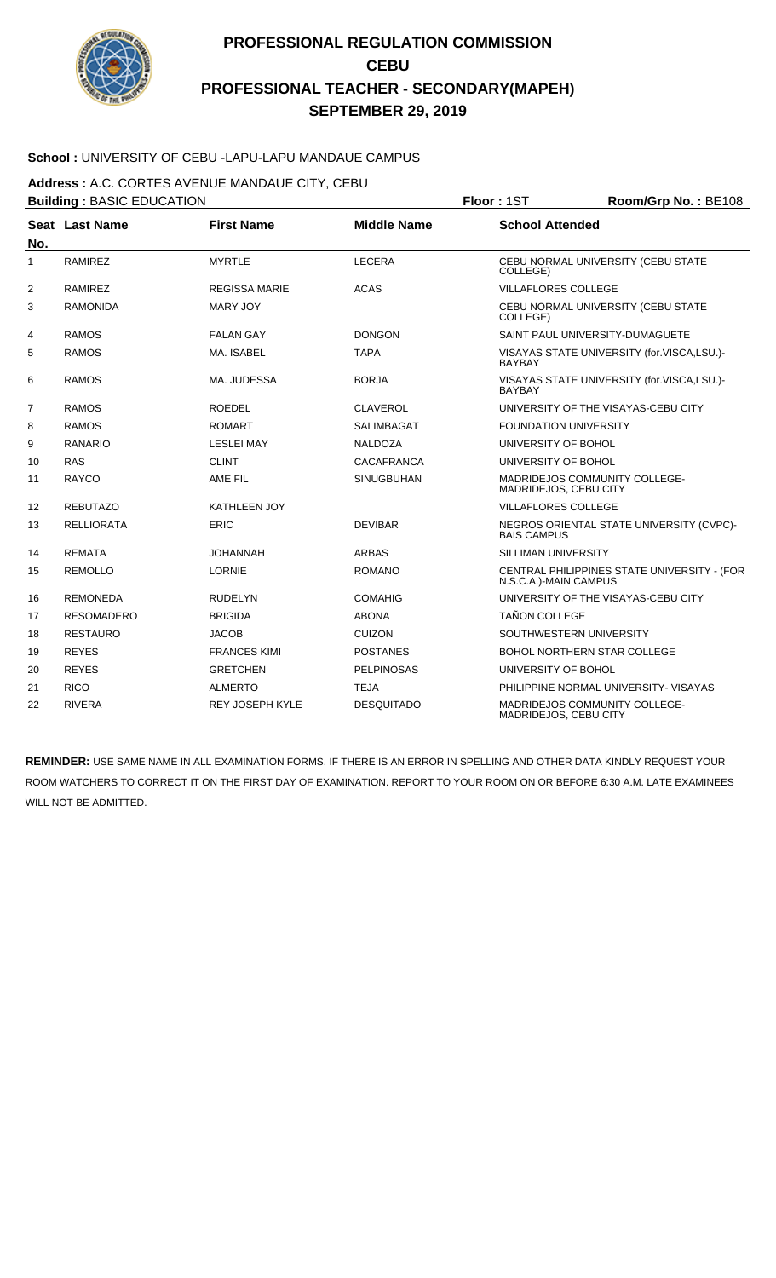

### **School :** UNIVERSITY OF CEBU -LAPU-LAPU MANDAUE CAMPUS

**Address :** A.C. CORTES AVENUE MANDAUE CITY, CEBU

**Building : BASIC EDUCATION Floor : 1ST Room/Grp No. : BE108 Seat** Last Name **No. Last Name First Name Middle Name School Attended** 1 RAMIREZ MYRTLE LECERA CEBU NORMAL UNIVERSITY (CEBU STATE COLLEGE) 2 RAMIREZ REGISSA MARIE ACAS VILLAFLORES COLLEGE 3 RAMONIDA MARY JOY CEBU NORMAL UNIVERSITY (CEBU STATE COLLEGE) 4 RAMOS FALAN GAY DONGON SAINT PAUL UNIVERSITY-DUMAGUETE 5 RAMOS MA. ISABEL TAPA VISAYAS STATE UNIVERSITY (for.VISCA,LSU.)- BAYBAY 6 RAMOS MA. JUDESSA BORJA BORJA VISAYAS STATE UNIVERSITY (for.VISCA,LSU.)-BAYBAY TERAMOS ROEDEL CLAVEROL CONTROL UNIVERSITY OF THE VISAYAS-CEBU CITY 8 RAMOS ROMART SALIMBAGAT SALIMBAGAT FOUNDATION UNIVERSITY 9 RANARIO LESLEI MAY NALDOZA UNIVERSITY OF BOHOL 10 RAS CLINT CLINT CACAFRANCA UNIVERSITY OF BOHOL 11 RAYCO AME FIL SINUGBUHAN MADRIDEJOS COMMUNITY COLLEGE-MADRIDEJOS, CEBU CITY 12 REBUTAZO KATHLEEN JOY VILLAFLORES COLLEGE 13 RELLIORATA ERIC DEVIBAR NEGROS ORIENTAL STATE UNIVERSITY (CVPC)- BAIS CAMPUS 14 REMATA JOHANNAH ARBAS SILLIMAN UNIVERSITY 15 REMOLLO LORNIE CENTRAL PHILIPPINES STATE UNIVERSITY - (FOR N.S.C.A.)-MAIN CAMPUS 16 REMONEDA RUDELYN COMAHIG UNIVERSITY OF THE VISAYAS-CEBU CITY 17 RESOMADERO BRIGIDA ABONA TAÑON COLLEGE 18 RESTAURO JACOB CUIZON SOUTHWESTERN UNIVERSITY 19 REYES FRANCES KIMI POSTANES FRANCES AND REYES BOHOL NORTHERN STAR COLLEGE 20 REYES GRETCHEN PELPINOSAS UNIVERSITY OF BOHOL 21 RICO ALMERTO TEJA PHILIPPINE NORMAL UNIVERSITY- VISAYAS 22 RIVERA REY JOSEPH KYLE DESQUITADO MADRIDEJOS COMMUNITY COLLEGE-MADRIDEJOS, CEBU CITY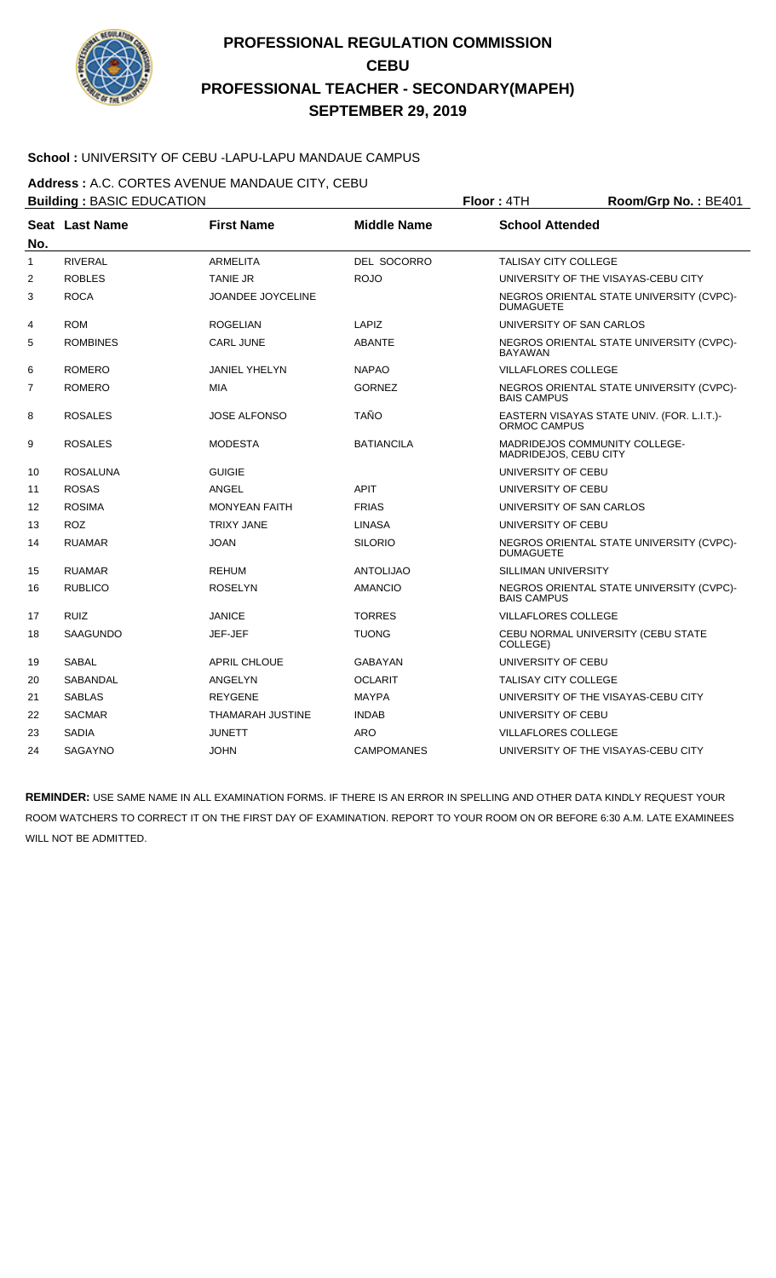

### **School :** UNIVERSITY OF CEBU -LAPU-LAPU MANDAUE CAMPUS

**Address :** A.C. CORTES AVENUE MANDAUE CITY, CEBU

|              | <b>Building: BASIC EDUCATION</b> |                         |                    | Floor: 4TH<br>Room/Grp No.: BE401                             |                                            |  |
|--------------|----------------------------------|-------------------------|--------------------|---------------------------------------------------------------|--------------------------------------------|--|
| No.          | <b>Seat Last Name</b>            | <b>First Name</b>       | <b>Middle Name</b> | <b>School Attended</b>                                        |                                            |  |
| $\mathbf{1}$ | <b>RIVERAL</b>                   | <b>ARMELITA</b>         | DEL SOCORRO        | <b>TALISAY CITY COLLEGE</b>                                   |                                            |  |
| 2            | <b>ROBLES</b>                    | <b>TANIE JR</b>         | <b>ROJO</b>        |                                                               | UNIVERSITY OF THE VISAYAS-CEBU CITY        |  |
| 3            | <b>ROCA</b>                      | JOANDEE JOYCELINE       |                    | <b>DUMAGUETE</b>                                              | NEGROS ORIENTAL STATE UNIVERSITY (CVPC)-   |  |
| 4            | <b>ROM</b>                       | <b>ROGELIAN</b>         | LAPIZ              | UNIVERSITY OF SAN CARLOS                                      |                                            |  |
| 5            | <b>ROMBINES</b>                  | <b>CARL JUNE</b>        | <b>ABANTE</b>      | <b>BAYAWAN</b>                                                | NEGROS ORIENTAL STATE UNIVERSITY (CVPC)-   |  |
| 6            | <b>ROMERO</b>                    | <b>JANIEL YHELYN</b>    | <b>NAPAO</b>       | <b>VILLAFLORES COLLEGE</b>                                    |                                            |  |
| 7            | <b>ROMERO</b>                    | <b>MIA</b>              | <b>GORNEZ</b>      | <b>BAIS CAMPUS</b>                                            | NEGROS ORIENTAL STATE UNIVERSITY (CVPC)-   |  |
| 8            | <b>ROSALES</b>                   | <b>JOSE ALFONSO</b>     | <b>TAÑO</b>        | ORMOC CAMPUS                                                  | EASTERN VISAYAS STATE UNIV. (FOR. L.I.T.)- |  |
| 9            | <b>ROSALES</b>                   | <b>MODESTA</b>          | <b>BATIANCILA</b>  | <b>MADRIDEJOS COMMUNITY COLLEGE-</b><br>MADRIDEJOS, CEBU CITY |                                            |  |
| 10           | <b>ROSALUNA</b>                  | <b>GUIGIE</b>           |                    | UNIVERSITY OF CEBU                                            |                                            |  |
| 11           | <b>ROSAS</b>                     | ANGEL                   | <b>APIT</b>        | UNIVERSITY OF CEBU                                            |                                            |  |
| 12           | <b>ROSIMA</b>                    | <b>MONYEAN FAITH</b>    | <b>FRIAS</b>       | UNIVERSITY OF SAN CARLOS                                      |                                            |  |
| 13           | <b>ROZ</b>                       | <b>TRIXY JANE</b>       | <b>LINASA</b>      | UNIVERSITY OF CEBU                                            |                                            |  |
| 14           | <b>RUAMAR</b>                    | <b>JOAN</b>             | <b>SILORIO</b>     | <b>DUMAGUETE</b>                                              | NEGROS ORIENTAL STATE UNIVERSITY (CVPC)-   |  |
| 15           | <b>RUAMAR</b>                    | <b>REHUM</b>            | <b>ANTOLIJAO</b>   | SILLIMAN UNIVERSITY                                           |                                            |  |
| 16           | <b>RUBLICO</b>                   | <b>ROSELYN</b>          | <b>AMANCIO</b>     | <b>BAIS CAMPUS</b>                                            | NEGROS ORIENTAL STATE UNIVERSITY (CVPC)-   |  |
| 17           | <b>RUIZ</b>                      | <b>JANICE</b>           | <b>TORRES</b>      | <b>VILLAFLORES COLLEGE</b>                                    |                                            |  |
| 18           | <b>SAAGUNDO</b>                  | JEF-JEF                 | <b>TUONG</b>       | COLLEGE)                                                      | CEBU NORMAL UNIVERSITY (CEBU STATE         |  |
| 19           | <b>SABAL</b>                     | <b>APRIL CHLOUE</b>     | GABAYAN            | UNIVERSITY OF CEBU                                            |                                            |  |
| 20           | SABANDAL                         | ANGELYN                 | OCLARIT            | <b>TALISAY CITY COLLEGE</b>                                   |                                            |  |
| 21           | <b>SABLAS</b>                    | <b>REYGENE</b>          | <b>MAYPA</b>       |                                                               | UNIVERSITY OF THE VISAYAS-CEBU CITY        |  |
| 22           | <b>SACMAR</b>                    | <b>THAMARAH JUSTINE</b> | <b>INDAB</b>       | UNIVERSITY OF CEBU                                            |                                            |  |
| 23           | <b>SADIA</b>                     | <b>JUNETT</b>           | <b>ARO</b>         | <b>VILLAFLORES COLLEGE</b>                                    |                                            |  |
| 24           | <b>SAGAYNO</b>                   | <b>JOHN</b>             | <b>CAMPOMANES</b>  |                                                               | UNIVERSITY OF THE VISAYAS-CEBU CITY        |  |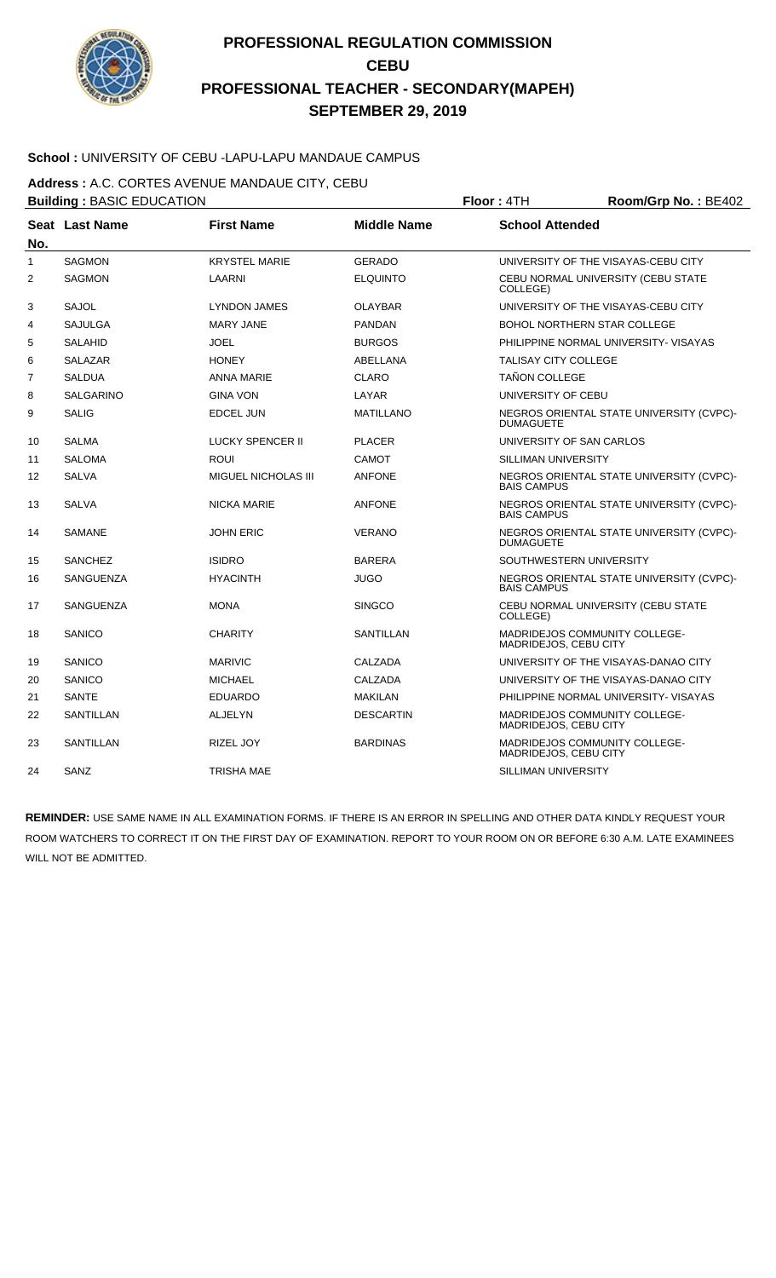

### School : UNIVERSITY OF CEBU -LAPU-LAPU MANDAUE CAMPUS

**Address :** A.C. CORTES AVENUE MANDAUE CITY, CEBU

|                | <b>Building: BASIC EDUCATION</b> |                            |                    | Floor: 4TH<br>Room/Grp No.: BE402 |                                          |  |
|----------------|----------------------------------|----------------------------|--------------------|-----------------------------------|------------------------------------------|--|
| No.            | Seat Last Name                   | <b>First Name</b>          | <b>Middle Name</b> | <b>School Attended</b>            |                                          |  |
| $\mathbf{1}$   | <b>SAGMON</b>                    | <b>KRYSTEL MARIE</b>       | <b>GERADO</b>      |                                   | UNIVERSITY OF THE VISAYAS-CEBU CITY      |  |
| $\overline{2}$ | <b>SAGMON</b>                    | LAARNI                     | <b>ELQUINTO</b>    | COLLEGE)                          | CEBU NORMAL UNIVERSITY (CEBU STATE       |  |
| 3              | <b>SAJOL</b>                     | <b>LYNDON JAMES</b>        | OLAYBAR            |                                   | UNIVERSITY OF THE VISAYAS-CEBU CITY      |  |
| 4              | <b>SAJULGA</b>                   | <b>MARY JANE</b>           | <b>PANDAN</b>      |                                   | <b>BOHOL NORTHERN STAR COLLEGE</b>       |  |
| 5              | <b>SALAHID</b>                   | <b>JOEL</b>                | <b>BURGOS</b>      |                                   | PHILIPPINE NORMAL UNIVERSITY- VISAYAS    |  |
| 6              | <b>SALAZAR</b>                   | <b>HONEY</b>               | ABELLANA           | <b>TALISAY CITY COLLEGE</b>       |                                          |  |
| 7              | <b>SALDUA</b>                    | <b>ANNA MARIE</b>          | <b>CLARO</b>       | <b>TAÑON COLLEGE</b>              |                                          |  |
| 8              | <b>SALGARINO</b>                 | <b>GINA VON</b>            | LAYAR              | UNIVERSITY OF CEBU                |                                          |  |
| 9              | <b>SALIG</b>                     | <b>EDCEL JUN</b>           | <b>MATILLANO</b>   | <b>DUMAGUETE</b>                  | NEGROS ORIENTAL STATE UNIVERSITY (CVPC)- |  |
| 10             | <b>SALMA</b>                     | <b>LUCKY SPENCER II</b>    | <b>PLACER</b>      | UNIVERSITY OF SAN CARLOS          |                                          |  |
| 11             | <b>SALOMA</b>                    | ROUI                       | CAMOT              | SILLIMAN UNIVERSITY               |                                          |  |
| 12             | <b>SALVA</b>                     | <b>MIGUEL NICHOLAS III</b> | <b>ANFONE</b>      | <b>BAIS CAMPUS</b>                | NEGROS ORIENTAL STATE UNIVERSITY (CVPC)- |  |
| 13             | <b>SALVA</b>                     | <b>NICKA MARIE</b>         | <b>ANFONE</b>      | <b>BAIS CAMPUS</b>                | NEGROS ORIENTAL STATE UNIVERSITY (CVPC)- |  |
| 14             | <b>SAMANE</b>                    | <b>JOHN ERIC</b>           | <b>VERANO</b>      | <b>DUMAGUETE</b>                  | NEGROS ORIENTAL STATE UNIVERSITY (CVPC)- |  |
| 15             | <b>SANCHEZ</b>                   | <b>ISIDRO</b>              | <b>BARERA</b>      | SOUTHWESTERN UNIVERSITY           |                                          |  |
| 16             | SANGUENZA                        | <b>HYACINTH</b>            | <b>JUGO</b>        | <b>BAIS CAMPUS</b>                | NEGROS ORIENTAL STATE UNIVERSITY (CVPC)- |  |
| 17             | SANGUENZA                        | <b>MONA</b>                | <b>SINGCO</b>      | COLLEGE)                          | CEBU NORMAL UNIVERSITY (CEBU STATE       |  |
| 18             | SANICO                           | <b>CHARITY</b>             | SANTILLAN          | MADRIDEJOS, CEBU CITY             | MADRIDEJOS COMMUNITY COLLEGE-            |  |
| 19             | SANICO                           | <b>MARIVIC</b>             | CALZADA            |                                   | UNIVERSITY OF THE VISAYAS-DANAO CITY     |  |
| 20             | SANICO                           | <b>MICHAEL</b>             | CALZADA            |                                   | UNIVERSITY OF THE VISAYAS-DANAO CITY     |  |
| 21             | <b>SANTE</b>                     | <b>EDUARDO</b>             | <b>MAKILAN</b>     |                                   | PHILIPPINE NORMAL UNIVERSITY- VISAYAS    |  |
| 22             | <b>SANTILLAN</b>                 | <b>ALJELYN</b>             | <b>DESCARTIN</b>   | MADRIDEJOS, CEBU CITY             | MADRIDEJOS COMMUNITY COLLEGE-            |  |
| 23             | <b>SANTILLAN</b>                 | <b>RIZEL JOY</b>           | <b>BARDINAS</b>    | MADRIDEJOS, CEBU CITY             | MADRIDEJOS COMMUNITY COLLEGE-            |  |
| 24             | SANZ                             | <b>TRISHA MAE</b>          |                    | <b>SILLIMAN UNIVERSITY</b>        |                                          |  |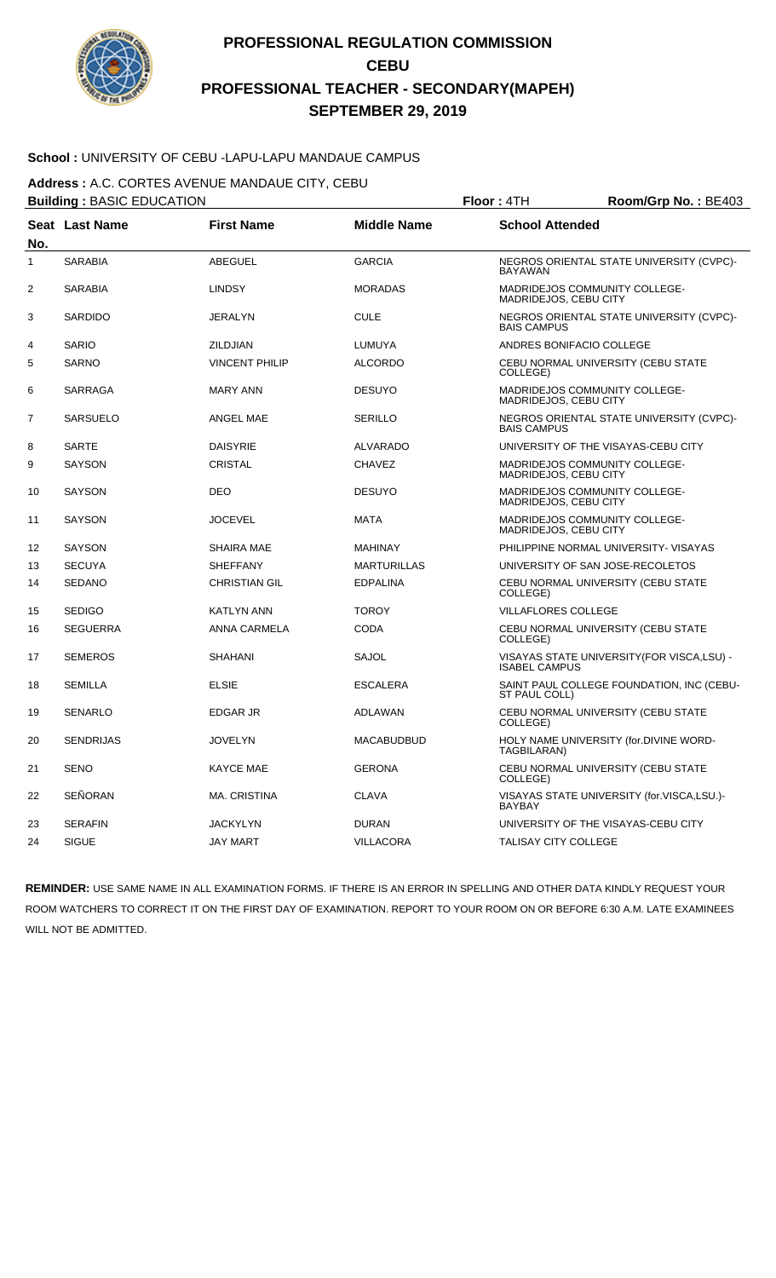

### **School :** UNIVERSITY OF CEBU -LAPU-LAPU MANDAUE CAMPUS

**Address :** A.C. CORTES AVENUE MANDAUE CITY, CEBU

| <b>Building: BASIC EDUCATION</b> |                  |                       |                    | Floor: 4TH                  | Room/Grp No.: BE403                         |
|----------------------------------|------------------|-----------------------|--------------------|-----------------------------|---------------------------------------------|
| No.                              | Seat Last Name   | <b>First Name</b>     | <b>Middle Name</b> | <b>School Attended</b>      |                                             |
| 1                                | <b>SARABIA</b>   | <b>ABEGUEL</b>        | <b>GARCIA</b>      | <b>BAYAWAN</b>              | NEGROS ORIENTAL STATE UNIVERSITY (CVPC)-    |
| 2                                | SARABIA          | <b>LINDSY</b>         | <b>MORADAS</b>     | MADRIDEJOS, CEBU CITY       | MADRIDEJOS COMMUNITY COLLEGE-               |
| 3                                | SARDIDO          | <b>JERALYN</b>        | <b>CULE</b>        | <b>BAIS CAMPUS</b>          | NEGROS ORIENTAL STATE UNIVERSITY (CVPC)-    |
| 4                                | <b>SARIO</b>     | <b>ZILDJIAN</b>       | LUMUYA             |                             | ANDRES BONIFACIO COLLEGE                    |
| 5                                | SARNO            | <b>VINCENT PHILIP</b> | <b>ALCORDO</b>     | COLLEGE)                    | CEBU NORMAL UNIVERSITY (CEBU STATE          |
| 6                                | SARRAGA          | <b>MARY ANN</b>       | <b>DESUYO</b>      | MADRIDEJOS, CEBU CITY       | MADRIDEJOS COMMUNITY COLLEGE-               |
| $\overline{7}$                   | <b>SARSUELO</b>  | ANGEL MAE             | <b>SERILLO</b>     | <b>BAIS CAMPUS</b>          | NEGROS ORIENTAL STATE UNIVERSITY (CVPC)-    |
| 8                                | <b>SARTE</b>     | <b>DAISYRIE</b>       | <b>ALVARADO</b>    |                             | UNIVERSITY OF THE VISAYAS-CEBU CITY         |
| 9                                | <b>SAYSON</b>    | <b>CRISTAL</b>        | <b>CHAVEZ</b>      | MADRIDEJOS, CEBU CITY       | MADRIDEJOS COMMUNITY COLLEGE-               |
| 10                               | SAYSON           | <b>DEO</b>            | <b>DESUYO</b>      | MADRIDEJOS, CEBU CITY       | MADRIDEJOS COMMUNITY COLLEGE-               |
| 11                               | <b>SAYSON</b>    | <b>JOCEVEL</b>        | <b>MATA</b>        | MADRIDEJOS, CEBU CITY       | MADRIDEJOS COMMUNITY COLLEGE-               |
| 12                               | <b>SAYSON</b>    | <b>SHAIRA MAE</b>     | <b>MAHINAY</b>     |                             | PHILIPPINE NORMAL UNIVERSITY- VISAYAS       |
| 13                               | <b>SECUYA</b>    | <b>SHEFFANY</b>       | <b>MARTURILLAS</b> |                             | UNIVERSITY OF SAN JOSE-RECOLETOS            |
| 14                               | <b>SEDANO</b>    | <b>CHRISTIAN GIL</b>  | <b>EDPALINA</b>    | COLLEGE)                    | CEBU NORMAL UNIVERSITY (CEBU STATE          |
| 15                               | <b>SEDIGO</b>    | <b>KATLYN ANN</b>     | <b>TOROY</b>       | <b>VILLAFLORES COLLEGE</b>  |                                             |
| 16                               | <b>SEGUERRA</b>  | ANNA CARMELA          | CODA               | COLLEGE)                    | CEBU NORMAL UNIVERSITY (CEBU STATE          |
| 17                               | <b>SEMEROS</b>   | <b>SHAHANI</b>        | <b>SAJOL</b>       | <b>ISABEL CAMPUS</b>        | VISAYAS STATE UNIVERSITY (FOR VISCA, LSU) - |
| 18                               | <b>SEMILLA</b>   | <b>ELSIE</b>          | <b>ESCALERA</b>    | ST PAUL COLL)               | SAINT PAUL COLLEGE FOUNDATION, INC (CEBU-   |
| 19                               | SENARLO          | <b>EDGAR JR</b>       | ADLAWAN            | COLLEGE)                    | CEBU NORMAL UNIVERSITY (CEBU STATE          |
| 20                               | <b>SENDRIJAS</b> | <b>JOVELYN</b>        | <b>MACABUDBUD</b>  | TAGBILARAN)                 | HOLY NAME UNIVERSITY (for.DIVINE WORD-      |
| 21                               | <b>SENO</b>      | <b>KAYCE MAE</b>      | <b>GERONA</b>      | COLLEGE)                    | CEBU NORMAL UNIVERSITY (CEBU STATE          |
| 22                               | SEÑORAN          | <b>MA. CRISTINA</b>   | <b>CLAVA</b>       | <b>BAYBAY</b>               | VISAYAS STATE UNIVERSITY (for.VISCA,LSU.)-  |
| 23                               | <b>SERAFIN</b>   | <b>JACKYLYN</b>       | <b>DURAN</b>       |                             | UNIVERSITY OF THE VISAYAS-CEBU CITY         |
| 24                               | <b>SIGUE</b>     | <b>JAY MART</b>       | <b>VILLACORA</b>   | <b>TALISAY CITY COLLEGE</b> |                                             |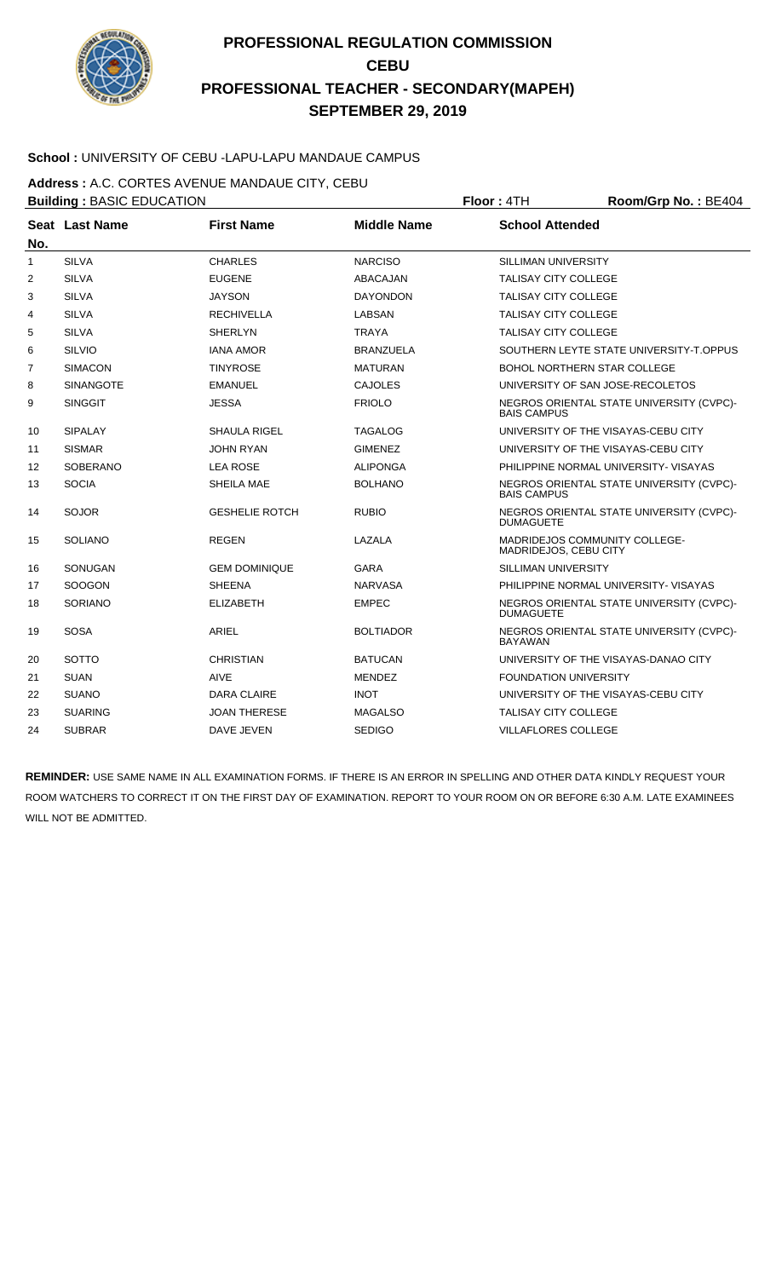

### **School :** UNIVERSITY OF CEBU -LAPU-LAPU MANDAUE CAMPUS

**Address :** A.C. CORTES AVENUE MANDAUE CITY, CEBU

| <b>Building: BASIC EDUCATION</b> |                  |                       |                    | Floor: 4TH                                                    | Room/Grp No.: BE404                      |
|----------------------------------|------------------|-----------------------|--------------------|---------------------------------------------------------------|------------------------------------------|
|                                  | Seat Last Name   | <b>First Name</b>     | <b>Middle Name</b> | <b>School Attended</b>                                        |                                          |
| No.                              |                  |                       |                    |                                                               |                                          |
| 1                                | <b>SILVA</b>     | <b>CHARLES</b>        | <b>NARCISO</b>     | <b>SILLIMAN UNIVERSITY</b>                                    |                                          |
| 2                                | <b>SILVA</b>     | <b>EUGENE</b>         | ABACAJAN           | <b>TALISAY CITY COLLEGE</b>                                   |                                          |
| 3                                | <b>SILVA</b>     | <b>JAYSON</b>         | <b>DAYONDON</b>    | <b>TALISAY CITY COLLEGE</b>                                   |                                          |
| 4                                | <b>SILVA</b>     | <b>RECHIVELLA</b>     | LABSAN             | <b>TALISAY CITY COLLEGE</b>                                   |                                          |
| 5                                | <b>SILVA</b>     | <b>SHERLYN</b>        | <b>TRAYA</b>       | <b>TALISAY CITY COLLEGE</b>                                   |                                          |
| 6                                | <b>SILVIO</b>    | <b>IANA AMOR</b>      | <b>BRANZUELA</b>   |                                                               | SOUTHERN LEYTE STATE UNIVERSITY-T.OPPUS  |
| $\overline{7}$                   | <b>SIMACON</b>   | <b>TINYROSE</b>       | <b>MATURAN</b>     | <b>BOHOL NORTHERN STAR COLLEGE</b>                            |                                          |
| 8                                | <b>SINANGOTE</b> | <b>EMANUEL</b>        | <b>CAJOLES</b>     |                                                               | UNIVERSITY OF SAN JOSE-RECOLETOS         |
| 9                                | <b>SINGGIT</b>   | JESSA                 | <b>FRIOLO</b>      | <b>BAIS CAMPUS</b>                                            | NEGROS ORIENTAL STATE UNIVERSITY (CVPC)- |
| 10                               | <b>SIPALAY</b>   | <b>SHAULA RIGEL</b>   | <b>TAGALOG</b>     |                                                               | UNIVERSITY OF THE VISAYAS-CEBU CITY      |
| 11                               | <b>SISMAR</b>    | <b>JOHN RYAN</b>      | <b>GIMENEZ</b>     |                                                               | UNIVERSITY OF THE VISAYAS-CEBU CITY      |
| 12                               | <b>SOBERANO</b>  | <b>LEA ROSE</b>       | <b>ALIPONGA</b>    |                                                               | PHILIPPINE NORMAL UNIVERSITY- VISAYAS    |
| 13                               | <b>SOCIA</b>     | SHEILA MAE            | <b>BOLHANO</b>     | <b>BAIS CAMPUS</b>                                            | NEGROS ORIENTAL STATE UNIVERSITY (CVPC)- |
| 14                               | <b>SOJOR</b>     | <b>GESHELIE ROTCH</b> | <b>RUBIO</b>       | <b>DUMAGUETE</b>                                              | NEGROS ORIENTAL STATE UNIVERSITY (CVPC)- |
| 15                               | <b>SOLIANO</b>   | <b>REGEN</b>          | LAZALA             | <b>MADRIDEJOS COMMUNITY COLLEGE-</b><br>MADRIDEJOS, CEBU CITY |                                          |
| 16                               | SONUGAN          | <b>GEM DOMINIQUE</b>  | <b>GARA</b>        | <b>SILLIMAN UNIVERSITY</b>                                    |                                          |
| 17                               | <b>SOOGON</b>    | <b>SHEENA</b>         | <b>NARVASA</b>     |                                                               | PHILIPPINE NORMAL UNIVERSITY- VISAYAS    |
| 18                               | <b>SORIANO</b>   | <b>ELIZABETH</b>      | <b>EMPEC</b>       | <b>DUMAGUETE</b>                                              | NEGROS ORIENTAL STATE UNIVERSITY (CVPC)- |
| 19                               | <b>SOSA</b>      | <b>ARIEL</b>          | <b>BOLTIADOR</b>   | <b>BAYAWAN</b>                                                | NEGROS ORIENTAL STATE UNIVERSITY (CVPC)- |
| 20                               | <b>SOTTO</b>     | <b>CHRISTIAN</b>      | <b>BATUCAN</b>     |                                                               | UNIVERSITY OF THE VISAYAS-DANAO CITY     |
| 21                               | <b>SUAN</b>      | AIVE                  | <b>MENDEZ</b>      | <b>FOUNDATION UNIVERSITY</b>                                  |                                          |
| 22                               | <b>SUANO</b>     | DARA CLAIRE           | <b>INOT</b>        |                                                               | UNIVERSITY OF THE VISAYAS-CEBU CITY      |
| 23                               | <b>SUARING</b>   | <b>JOAN THERESE</b>   | <b>MAGALSO</b>     | TALISAY CITY COLLEGE                                          |                                          |
| 24                               | <b>SUBRAR</b>    | DAVE JEVEN            | <b>SEDIGO</b>      | <b>VILLAFLORES COLLEGE</b>                                    |                                          |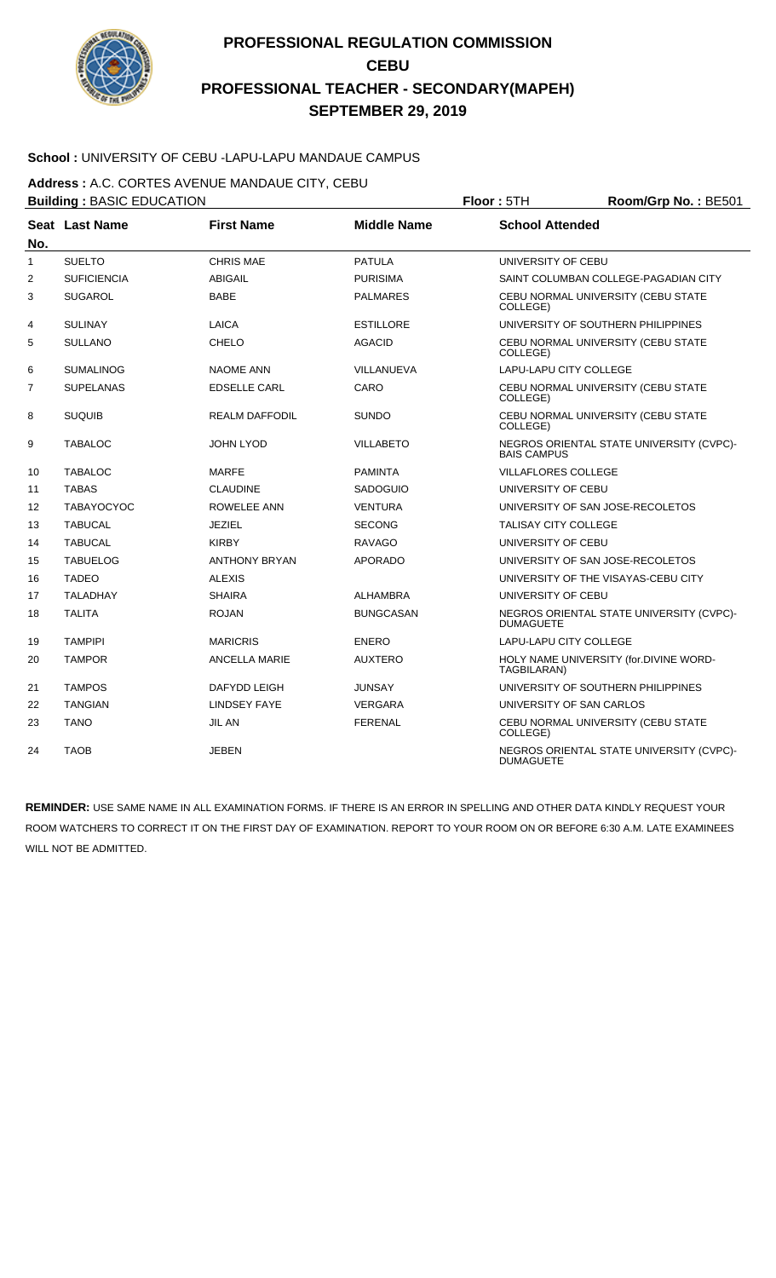

### **School :** UNIVERSITY OF CEBU -LAPU-LAPU MANDAUE CAMPUS

**Address :** A.C. CORTES AVENUE MANDAUE CITY, CEBU

| <b>Building: BASIC EDUCATION</b> |                    |                       |                    | Floor: 5TH                    | Room/Grp No.: BE501                      |
|----------------------------------|--------------------|-----------------------|--------------------|-------------------------------|------------------------------------------|
| No.                              | Seat Last Name     | <b>First Name</b>     | <b>Middle Name</b> | <b>School Attended</b>        |                                          |
| $\mathbf{1}$                     | <b>SUELTO</b>      | <b>CHRIS MAE</b>      | <b>PATULA</b>      | UNIVERSITY OF CEBU            |                                          |
| 2                                | <b>SUFICIENCIA</b> | <b>ABIGAIL</b>        | <b>PURISIMA</b>    |                               | SAINT COLUMBAN COLLEGE-PAGADIAN CITY     |
| 3                                | <b>SUGAROL</b>     | <b>BABE</b>           | <b>PALMARES</b>    |                               | CEBU NORMAL UNIVERSITY (CEBU STATE       |
|                                  |                    |                       |                    | COLLEGE)                      |                                          |
| 4                                | <b>SULINAY</b>     | LAICA                 | <b>ESTILLORE</b>   |                               | UNIVERSITY OF SOUTHERN PHILIPPINES       |
| 5                                | <b>SULLANO</b>     | <b>CHELO</b>          | <b>AGACID</b>      | COLLEGE)                      | CEBU NORMAL UNIVERSITY (CEBU STATE       |
| 6                                | <b>SUMALINOG</b>   | <b>NAOME ANN</b>      | VILLANUEVA         | <b>LAPU-LAPU CITY COLLEGE</b> |                                          |
| $\overline{7}$                   | <b>SUPELANAS</b>   | <b>EDSELLE CARL</b>   | CARO               | COLLEGE)                      | CEBU NORMAL UNIVERSITY (CEBU STATE       |
| 8                                | <b>SUQUIB</b>      | <b>REALM DAFFODIL</b> | <b>SUNDO</b>       | COLLEGE)                      | CEBU NORMAL UNIVERSITY (CEBU STATE       |
| 9                                | <b>TABALOC</b>     | <b>JOHN LYOD</b>      | <b>VILLABETO</b>   | <b>BAIS CAMPUS</b>            | NEGROS ORIENTAL STATE UNIVERSITY (CVPC)- |
| 10                               | <b>TABALOC</b>     | <b>MARFE</b>          | <b>PAMINTA</b>     | <b>VILLAFLORES COLLEGE</b>    |                                          |
| 11                               | <b>TABAS</b>       | <b>CLAUDINE</b>       | <b>SADOGUIO</b>    | UNIVERSITY OF CEBU            |                                          |
| 12                               | <b>TABAYOCYOC</b>  | ROWELEE ANN           | <b>VENTURA</b>     |                               | UNIVERSITY OF SAN JOSE-RECOLETOS         |
| 13                               | <b>TABUCAL</b>     | <b>JEZIEL</b>         | <b>SECONG</b>      | <b>TALISAY CITY COLLEGE</b>   |                                          |
| 14                               | <b>TABUCAL</b>     | <b>KIRBY</b>          | <b>RAVAGO</b>      | UNIVERSITY OF CEBU            |                                          |
| 15                               | <b>TABUELOG</b>    | <b>ANTHONY BRYAN</b>  | <b>APORADO</b>     |                               | UNIVERSITY OF SAN JOSE-RECOLETOS         |
| 16                               | <b>TADEO</b>       | <b>ALEXIS</b>         |                    |                               | UNIVERSITY OF THE VISAYAS-CEBU CITY      |
| 17                               | <b>TALADHAY</b>    | <b>SHAIRA</b>         | ALHAMBRA           | UNIVERSITY OF CEBU            |                                          |
| 18                               | <b>TALITA</b>      | <b>ROJAN</b>          | <b>BUNGCASAN</b>   | <b>DUMAGUETE</b>              | NEGROS ORIENTAL STATE UNIVERSITY (CVPC)- |
| 19                               | <b>TAMPIPI</b>     | <b>MARICRIS</b>       | <b>ENERO</b>       | <b>LAPU-LAPU CITY COLLEGE</b> |                                          |
| 20                               | <b>TAMPOR</b>      | <b>ANCELLA MARIE</b>  | <b>AUXTERO</b>     | TAGBILARAN)                   | HOLY NAME UNIVERSITY (for.DIVINE WORD-   |
| 21                               | <b>TAMPOS</b>      | <b>DAFYDD LEIGH</b>   | <b>JUNSAY</b>      |                               | UNIVERSITY OF SOUTHERN PHILIPPINES       |
| 22                               | <b>TANGIAN</b>     | <b>LINDSEY FAYE</b>   | <b>VERGARA</b>     | UNIVERSITY OF SAN CARLOS      |                                          |
| 23                               | <b>TANO</b>        | <b>JIL AN</b>         | <b>FERENAL</b>     | COLLEGE)                      | CEBU NORMAL UNIVERSITY (CEBU STATE       |
| 24                               | <b>TAOB</b>        | <b>JEBEN</b>          |                    | <b>DUMAGUETE</b>              | NEGROS ORIENTAL STATE UNIVERSITY (CVPC)- |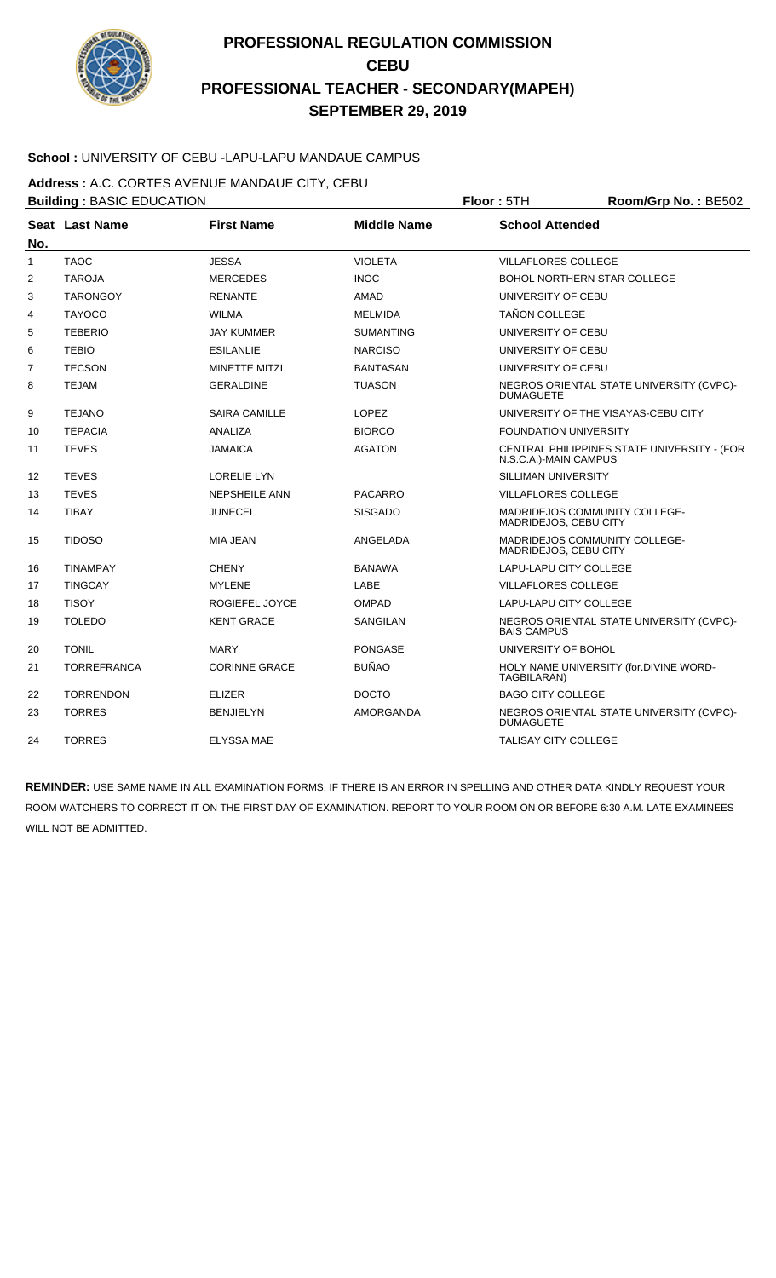

### **School :** UNIVERSITY OF CEBU -LAPU-LAPU MANDAUE CAMPUS

**Address :** A.C. CORTES AVENUE MANDAUE CITY, CEBU

|                | <b>Building: BASIC EDUCATION</b> |                      |                    | Floor: 5TH                                                    | Room/Grp No.: BE502                         |
|----------------|----------------------------------|----------------------|--------------------|---------------------------------------------------------------|---------------------------------------------|
| No.            | Seat Last Name                   | <b>First Name</b>    | <b>Middle Name</b> | <b>School Attended</b>                                        |                                             |
| $\mathbf{1}$   | <b>TAOC</b>                      | <b>JESSA</b>         | <b>VIOLETA</b>     | <b>VILLAFLORES COLLEGE</b>                                    |                                             |
| $\overline{2}$ | <b>TAROJA</b>                    | <b>MERCEDES</b>      | <b>INOC</b>        | <b>BOHOL NORTHERN STAR COLLEGE</b>                            |                                             |
| 3              | <b>TARONGOY</b>                  | <b>RENANTE</b>       | AMAD               | UNIVERSITY OF CEBU                                            |                                             |
| 4              | <b>TAYOCO</b>                    | <b>WILMA</b>         | <b>MELMIDA</b>     | <b>TAÑON COLLEGE</b>                                          |                                             |
| 5              | <b>TEBERIO</b>                   | <b>JAY KUMMER</b>    | <b>SUMANTING</b>   | UNIVERSITY OF CEBU                                            |                                             |
| 6              | <b>TEBIO</b>                     | <b>ESILANLIE</b>     | <b>NARCISO</b>     | UNIVERSITY OF CEBU                                            |                                             |
| $\overline{7}$ | <b>TECSON</b>                    | <b>MINETTE MITZI</b> | <b>BANTASAN</b>    | UNIVERSITY OF CEBU                                            |                                             |
| 8              | <b>TEJAM</b>                     | <b>GERALDINE</b>     | <b>TUASON</b>      | <b>DUMAGUETE</b>                                              | NEGROS ORIENTAL STATE UNIVERSITY (CVPC)-    |
| 9              | <b>TEJANO</b>                    | <b>SAIRA CAMILLE</b> | <b>LOPEZ</b>       |                                                               | UNIVERSITY OF THE VISAYAS-CEBU CITY         |
| 10             | <b>TEPACIA</b>                   | <b>ANALIZA</b>       | <b>BIORCO</b>      | <b>FOUNDATION UNIVERSITY</b>                                  |                                             |
| 11             | <b>TEVES</b>                     | <b>JAMAICA</b>       | <b>AGATON</b>      | N.S.C.A.)-MAIN CAMPUS                                         | CENTRAL PHILIPPINES STATE UNIVERSITY - (FOR |
| 12             | <b>TEVES</b>                     | <b>LORELIE LYN</b>   |                    | SILLIMAN UNIVERSITY                                           |                                             |
| 13             | <b>TEVES</b>                     | <b>NEPSHEILE ANN</b> | <b>PACARRO</b>     | <b>VILLAFLORES COLLEGE</b>                                    |                                             |
| 14             | <b>TIBAY</b>                     | <b>JUNECEL</b>       | <b>SISGADO</b>     | <b>MADRIDEJOS COMMUNITY COLLEGE-</b><br>MADRIDEJOS, CEBU CITY |                                             |
| 15             | <b>TIDOSO</b>                    | <b>MIA JEAN</b>      | ANGELADA           | MADRIDEJOS COMMUNITY COLLEGE-<br>MADRIDEJOS, CEBU CITY        |                                             |
| 16             | <b>TINAMPAY</b>                  | <b>CHENY</b>         | <b>BANAWA</b>      | LAPU-LAPU CITY COLLEGE                                        |                                             |
| 17             | <b>TINGCAY</b>                   | <b>MYLENE</b>        | LABE               | <b>VILLAFLORES COLLEGE</b>                                    |                                             |
| 18             | <b>TISOY</b>                     | ROGIEFEL JOYCE       | <b>OMPAD</b>       | LAPU-LAPU CITY COLLEGE                                        |                                             |
| 19             | <b>TOLEDO</b>                    | <b>KENT GRACE</b>    | <b>SANGILAN</b>    | <b>BAIS CAMPUS</b>                                            | NEGROS ORIENTAL STATE UNIVERSITY (CVPC)-    |
| 20             | <b>TONIL</b>                     | <b>MARY</b>          | <b>PONGASE</b>     | UNIVERSITY OF BOHOL                                           |                                             |
| 21             | <b>TORREFRANCA</b>               | <b>CORINNE GRACE</b> | <b>BUÑAO</b>       | TAGBILARAN)                                                   | HOLY NAME UNIVERSITY (for.DIVINE WORD-      |
| 22             | <b>TORRENDON</b>                 | <b>ELIZER</b>        | <b>DOCTO</b>       | <b>BAGO CITY COLLEGE</b>                                      |                                             |
| 23             | <b>TORRES</b>                    | <b>BENJIELYN</b>     | <b>AMORGANDA</b>   | <b>DUMAGUETE</b>                                              | NEGROS ORIENTAL STATE UNIVERSITY (CVPC)-    |
| 24             | <b>TORRES</b>                    | <b>ELYSSA MAE</b>    |                    | <b>TALISAY CITY COLLEGE</b>                                   |                                             |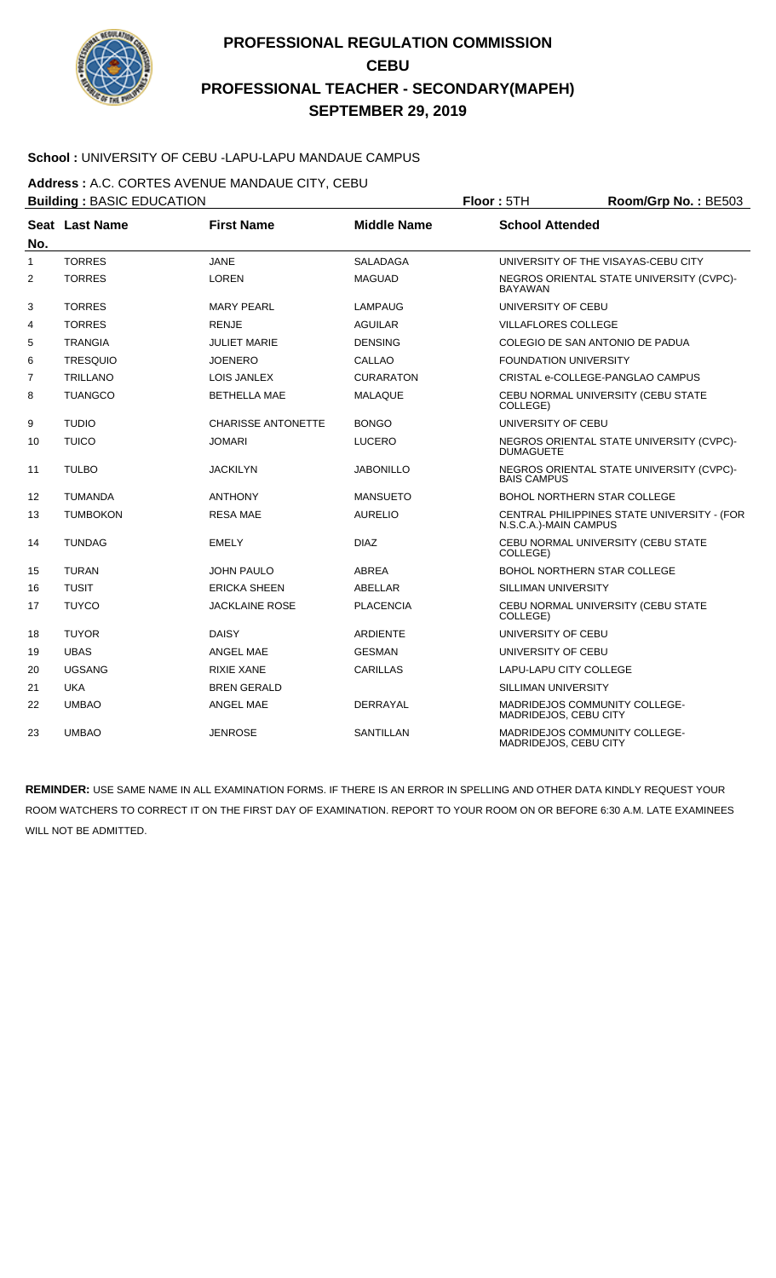

#### **School :** UNIVERSITY OF CEBU -LAPU-LAPU MANDAUE CAMPUS

**Address :** A.C. CORTES AVENUE MANDAUE CITY, CEBU

| <b>Building: BASIC EDUCATION</b> |                 |                           |                    | Floor: 5TH                   | Room/Grp No.: BE503                         |
|----------------------------------|-----------------|---------------------------|--------------------|------------------------------|---------------------------------------------|
| No.                              | Seat Last Name  | <b>First Name</b>         | <b>Middle Name</b> | <b>School Attended</b>       |                                             |
| $\mathbf{1}$                     | <b>TORRES</b>   | <b>JANE</b>               | <b>SALADAGA</b>    |                              | UNIVERSITY OF THE VISAYAS-CEBU CITY         |
| 2                                | <b>TORRES</b>   | <b>LOREN</b>              | <b>MAGUAD</b>      | <b>BAYAWAN</b>               | NEGROS ORIENTAL STATE UNIVERSITY (CVPC)-    |
| 3                                | <b>TORRES</b>   | <b>MARY PEARL</b>         | <b>LAMPAUG</b>     | UNIVERSITY OF CEBU           |                                             |
| 4                                | <b>TORRES</b>   | <b>RENJE</b>              | <b>AGUILAR</b>     | <b>VILLAFLORES COLLEGE</b>   |                                             |
| 5                                | <b>TRANGIA</b>  | <b>JULIET MARIE</b>       | <b>DENSING</b>     |                              | COLEGIO DE SAN ANTONIO DE PADUA             |
| 6                                | <b>TRESQUIO</b> | <b>JOENERO</b>            | CALLAO             | <b>FOUNDATION UNIVERSITY</b> |                                             |
| $\overline{7}$                   | <b>TRILLANO</b> | <b>LOIS JANLEX</b>        | <b>CURARATON</b>   |                              | CRISTAL e-COLLEGE-PANGLAO CAMPUS            |
| 8                                | <b>TUANGCO</b>  | <b>BETHELLA MAE</b>       | <b>MALAQUE</b>     | COLLEGE)                     | CEBU NORMAL UNIVERSITY (CEBU STATE          |
| 9                                | <b>TUDIO</b>    | <b>CHARISSE ANTONETTE</b> | <b>BONGO</b>       | UNIVERSITY OF CEBU           |                                             |
| 10                               | <b>TUICO</b>    | <b>JOMARI</b>             | <b>LUCERO</b>      | <b>DUMAGUETE</b>             | NEGROS ORIENTAL STATE UNIVERSITY (CVPC)-    |
| 11                               | <b>TULBO</b>    | <b>JACKILYN</b>           | <b>JABONILLO</b>   | <b>BAIS CAMPUS</b>           | NEGROS ORIENTAL STATE UNIVERSITY (CVPC)-    |
| $12 \overline{ }$                | <b>TUMANDA</b>  | <b>ANTHONY</b>            | <b>MANSUETO</b>    |                              | <b>BOHOL NORTHERN STAR COLLEGE</b>          |
| 13                               | <b>TUMBOKON</b> | <b>RESA MAE</b>           | <b>AURELIO</b>     | N.S.C.A.)-MAIN CAMPUS        | CENTRAL PHILIPPINES STATE UNIVERSITY - (FOR |
| 14                               | <b>TUNDAG</b>   | <b>EMELY</b>              | <b>DIAZ</b>        | COLLEGE)                     | CEBU NORMAL UNIVERSITY (CEBU STATE          |
| 15                               | <b>TURAN</b>    | <b>JOHN PAULO</b>         | ABREA              |                              | <b>BOHOL NORTHERN STAR COLLEGE</b>          |
| 16                               | <b>TUSIT</b>    | <b>ERICKA SHEEN</b>       | <b>ABELLAR</b>     | <b>SILLIMAN UNIVERSITY</b>   |                                             |
| 17                               | <b>TUYCO</b>    | <b>JACKLAINE ROSE</b>     | <b>PLACENCIA</b>   | COLLEGE)                     | CEBU NORMAL UNIVERSITY (CEBU STATE          |
| 18                               | <b>TUYOR</b>    | <b>DAISY</b>              | <b>ARDIENTE</b>    | UNIVERSITY OF CEBU           |                                             |
| 19                               | <b>UBAS</b>     | ANGEL MAE                 | <b>GESMAN</b>      | UNIVERSITY OF CEBU           |                                             |
| 20                               | <b>UGSANG</b>   | <b>RIXIE XANE</b>         | <b>CARILLAS</b>    | LAPU-LAPU CITY COLLEGE       |                                             |
| 21                               | <b>UKA</b>      | <b>BREN GERALD</b>        |                    | SILLIMAN UNIVERSITY          |                                             |
| 22                               | <b>UMBAO</b>    | ANGEL MAE                 | <b>DERRAYAL</b>    | MADRIDEJOS, CEBU CITY        | <b>MADRIDEJOS COMMUNITY COLLEGE-</b>        |
| 23                               | <b>UMBAO</b>    | <b>JENROSE</b>            | <b>SANTILLAN</b>   | MADRIDEJOS, CEBU CITY        | MADRIDEJOS COMMUNITY COLLEGE-               |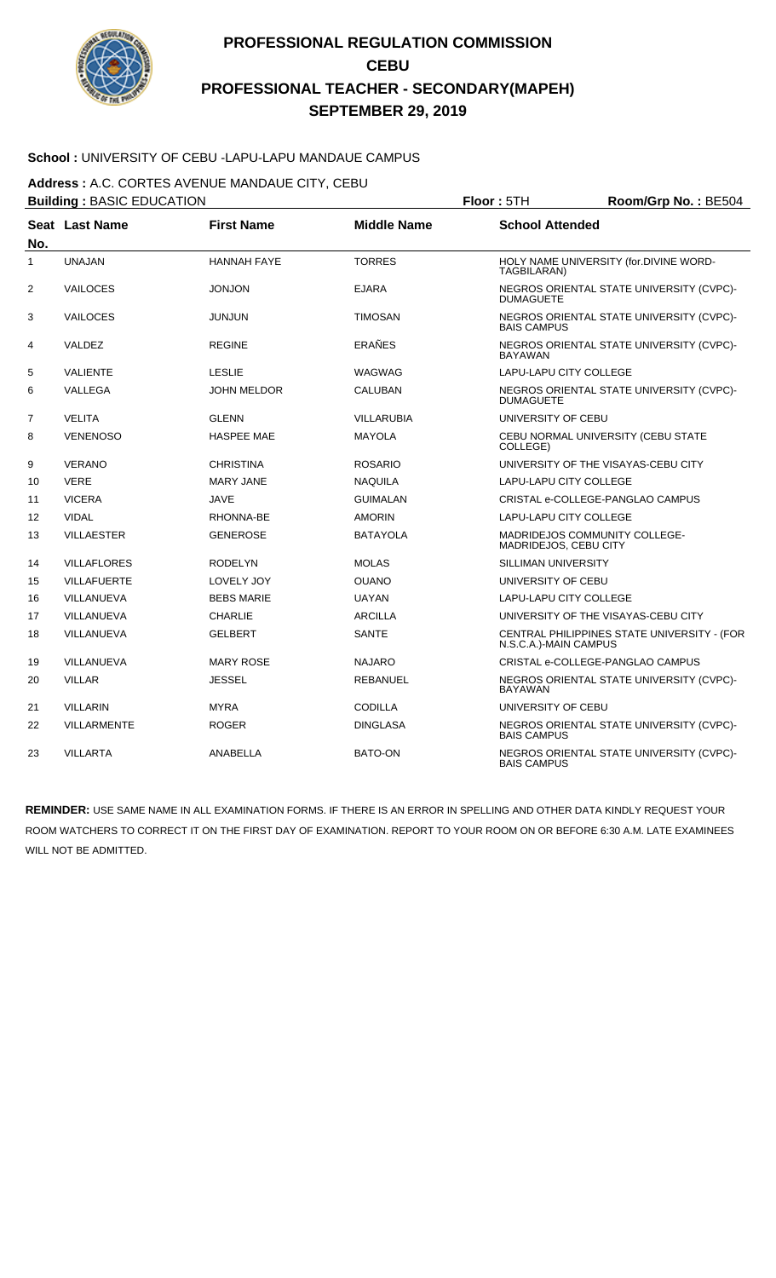

### **School :** UNIVERSITY OF CEBU -LAPU-LAPU MANDAUE CAMPUS

**Address :** A.C. CORTES AVENUE MANDAUE CITY, CEBU

|                | <b>Building: BASIC EDUCATION</b> |                    | Floor: 5TH         | Room/Grp No.: BE504           |                                             |
|----------------|----------------------------------|--------------------|--------------------|-------------------------------|---------------------------------------------|
| No.            | Seat Last Name                   | <b>First Name</b>  | <b>Middle Name</b> | <b>School Attended</b>        |                                             |
| $\mathbf{1}$   | <b>UNAJAN</b>                    | <b>HANNAH FAYE</b> | <b>TORRES</b>      | TAGBILARAN)                   | HOLY NAME UNIVERSITY (for.DIVINE WORD-      |
| $\overline{2}$ | <b>VAILOCES</b>                  | <b>JONJON</b>      | <b>EJARA</b>       | <b>DUMAGUETE</b>              | NEGROS ORIENTAL STATE UNIVERSITY (CVPC)-    |
| 3              | <b>VAILOCES</b>                  | <b>JUNJUN</b>      | <b>TIMOSAN</b>     | <b>BAIS CAMPUS</b>            | NEGROS ORIENTAL STATE UNIVERSITY (CVPC)-    |
| 4              | VALDEZ                           | <b>REGINE</b>      | <b>ERAÑES</b>      | <b>BAYAWAN</b>                | NEGROS ORIENTAL STATE UNIVERSITY (CVPC)-    |
| 5              | <b>VALIENTE</b>                  | <b>LESLIE</b>      | <b>WAGWAG</b>      | <b>LAPU-LAPU CITY COLLEGE</b> |                                             |
| 6              | VALLEGA                          | <b>JOHN MELDOR</b> | <b>CALUBAN</b>     | <b>DUMAGUETE</b>              | NEGROS ORIENTAL STATE UNIVERSITY (CVPC)-    |
| $\overline{7}$ | <b>VELITA</b>                    | <b>GLENN</b>       | <b>VILLARUBIA</b>  | UNIVERSITY OF CEBU            |                                             |
| 8              | <b>VENENOSO</b>                  | <b>HASPEE MAE</b>  | <b>MAYOLA</b>      | COLLEGE)                      | CEBU NORMAL UNIVERSITY (CEBU STATE          |
| 9              | <b>VERANO</b>                    | <b>CHRISTINA</b>   | <b>ROSARIO</b>     |                               | UNIVERSITY OF THE VISAYAS-CEBU CITY         |
| 10             | <b>VERE</b>                      | <b>MARY JANE</b>   | <b>NAQUILA</b>     | LAPU-LAPU CITY COLLEGE        |                                             |
| 11             | <b>VICERA</b>                    | <b>JAVE</b>        | <b>GUIMALAN</b>    |                               | CRISTAL e-COLLEGE-PANGLAO CAMPUS            |
| 12             | <b>VIDAL</b>                     | RHONNA-BE          | <b>AMORIN</b>      | LAPU-LAPU CITY COLLEGE        |                                             |
| 13             | <b>VILLAESTER</b>                | <b>GENEROSE</b>    | <b>BATAYOLA</b>    | MADRIDEJOS, CEBU CITY         | <b>MADRIDEJOS COMMUNITY COLLEGE-</b>        |
| 14             | <b>VILLAFLORES</b>               | <b>RODELYN</b>     | <b>MOLAS</b>       | SILLIMAN UNIVERSITY           |                                             |
| 15             | <b>VILLAFUERTE</b>               | LOVELY JOY         | <b>OUANO</b>       | UNIVERSITY OF CEBU            |                                             |
| 16             | VILLANUEVA                       | <b>BEBS MARIE</b>  | <b>UAYAN</b>       | LAPU-LAPU CITY COLLEGE        |                                             |
| 17             | VILLANUEVA                       | <b>CHARLIE</b>     | <b>ARCILLA</b>     |                               | UNIVERSITY OF THE VISAYAS-CEBU CITY         |
| 18             | VILLANUEVA                       | <b>GELBERT</b>     | <b>SANTE</b>       | N.S.C.A.)-MAIN CAMPUS         | CENTRAL PHILIPPINES STATE UNIVERSITY - (FOR |
| 19             | VILLANUEVA                       | <b>MARY ROSE</b>   | <b>NAJARO</b>      |                               | CRISTAL e-COLLEGE-PANGLAO CAMPUS            |
| 20             | <b>VILLAR</b>                    | <b>JESSEL</b>      | <b>REBANUEL</b>    | <b>BAYAWAN</b>                | NEGROS ORIENTAL STATE UNIVERSITY (CVPC)-    |
| 21             | <b>VILLARIN</b>                  | <b>MYRA</b>        | <b>CODILLA</b>     | UNIVERSITY OF CEBU            |                                             |
| 22             | <b>VILLARMENTE</b>               | <b>ROGER</b>       | <b>DINGLASA</b>    | <b>BAIS CAMPUS</b>            | NEGROS ORIENTAL STATE UNIVERSITY (CVPC)-    |
| 23             | <b>VILLARTA</b>                  | ANABELLA           | <b>BATO-ON</b>     | <b>BAIS CAMPUS</b>            | NEGROS ORIENTAL STATE UNIVERSITY (CVPC)-    |